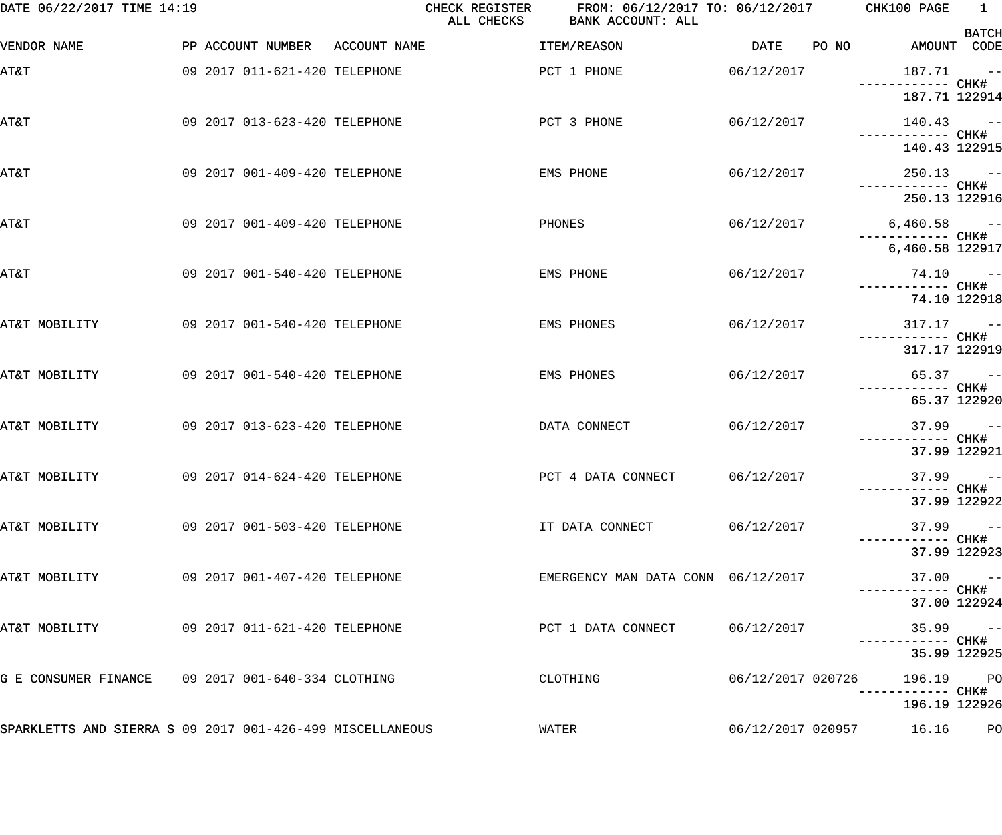| DATE 06/22/2017 TIME 14:19                                |                                | CHECK REGISTER<br>ALL CHECKS | FROM: 06/12/2017 TO: 06/12/2017 CHK100 PAGE<br>BANK ACCOUNT: ALL |                   |       |                         | $\overline{1}$              |
|-----------------------------------------------------------|--------------------------------|------------------------------|------------------------------------------------------------------|-------------------|-------|-------------------------|-----------------------------|
| VENDOR NAME                                               | PP ACCOUNT NUMBER ACCOUNT NAME |                              | ITEM/REASON                                                      | <b>DATE</b>       | PO NO |                         | <b>BATCH</b><br>AMOUNT CODE |
| AT&T                                                      | 09 2017 011-621-420 TELEPHONE  |                              | PCT 1 PHONE                                                      | 06/12/2017        |       | $187.71 - -$            |                             |
|                                                           |                                |                              |                                                                  |                   |       | 187.71 122914           |                             |
| AT&T                                                      | 09 2017 013-623-420 TELEPHONE  |                              | PCT 3 PHONE                                                      | 06/12/2017        |       | $140.43 - -$            |                             |
|                                                           |                                |                              |                                                                  |                   |       | 140.43 122915           |                             |
| AT&T                                                      | 09 2017 001-409-420 TELEPHONE  |                              | EMS PHONE                                                        | 06/12/2017        |       | $250.13 - -$            |                             |
|                                                           |                                |                              |                                                                  |                   |       | 250.13 122916           |                             |
| AT&T                                                      | 09 2017 001-409-420 TELEPHONE  |                              | PHONES                                                           | 06/12/2017        |       | $6,460.58$ --           |                             |
|                                                           |                                |                              |                                                                  |                   |       | 6,460.58 122917         |                             |
| AT&T                                                      | 09 2017 001-540-420 TELEPHONE  |                              | EMS PHONE                                                        | 06/12/2017        |       |                         | $74.10 - -$                 |
|                                                           |                                |                              |                                                                  |                   |       |                         | 74.10 122918                |
| AT&T MOBILITY                                             | 09 2017 001-540-420 TELEPHONE  |                              | EMS PHONES                                                       | 06/12/2017        |       | $317.17 - -$            |                             |
|                                                           |                                |                              |                                                                  |                   |       | 317.17 122919           |                             |
| AT&T MOBILITY                                             | 09 2017 001-540-420 TELEPHONE  |                              | EMS PHONES                                                       | 06/12/2017        |       |                         | $65.37 - -$                 |
|                                                           |                                |                              |                                                                  |                   |       |                         | 65.37 122920                |
| AT&T MOBILITY                                             | 09 2017 013-623-420 TELEPHONE  |                              | DATA CONNECT                                                     | 06/12/2017        |       |                         | $37.99 - -$                 |
|                                                           |                                |                              |                                                                  |                   |       |                         | 37.99 122921                |
| AT&T MOBILITY 69 2017 014-624-420 TELEPHONE               |                                |                              | PCT 4 DATA CONNECT 06/12/2017                                    |                   |       |                         | $37.99 - -$                 |
|                                                           |                                |                              |                                                                  |                   |       |                         | 37.99 122922                |
| AT&T MOBILITY                                             | 09 2017 001-503-420 TELEPHONE  |                              | IT DATA CONNECT 06/12/2017                                       |                   |       |                         | $37.99 - -$                 |
|                                                           |                                |                              |                                                                  |                   |       |                         | 37.99 122923                |
| AT&T MOBILITY                                             | 09 2017 001-407-420 TELEPHONE  |                              | EMERGENCY MAN DATA CONN 06/12/2017                               |                   |       |                         | $37.00 - -$                 |
|                                                           |                                |                              |                                                                  |                   |       |                         | 37.00 122924                |
| AT&T MOBILITY                                             | 09 2017 011-621-420 TELEPHONE  |                              | PCT 1 DATA CONNECT 06/12/2017                                    |                   |       |                         | $35.99 - -$                 |
|                                                           |                                |                              |                                                                  |                   |       |                         | 35.99 122925                |
| G E CONSUMER FINANCE 09 2017 001-640-334 CLOTHING         |                                |                              | CLOTHING                                                         | 06/12/2017 020726 |       | 196.19 PO               |                             |
|                                                           |                                |                              |                                                                  |                   |       | 196.19 122926           |                             |
| SPARKLETTS AND SIERRA S 09 2017 001-426-499 MISCELLANEOUS |                                |                              | WATER                                                            |                   |       | 06/12/2017 020957 16.16 | P <sub>O</sub>              |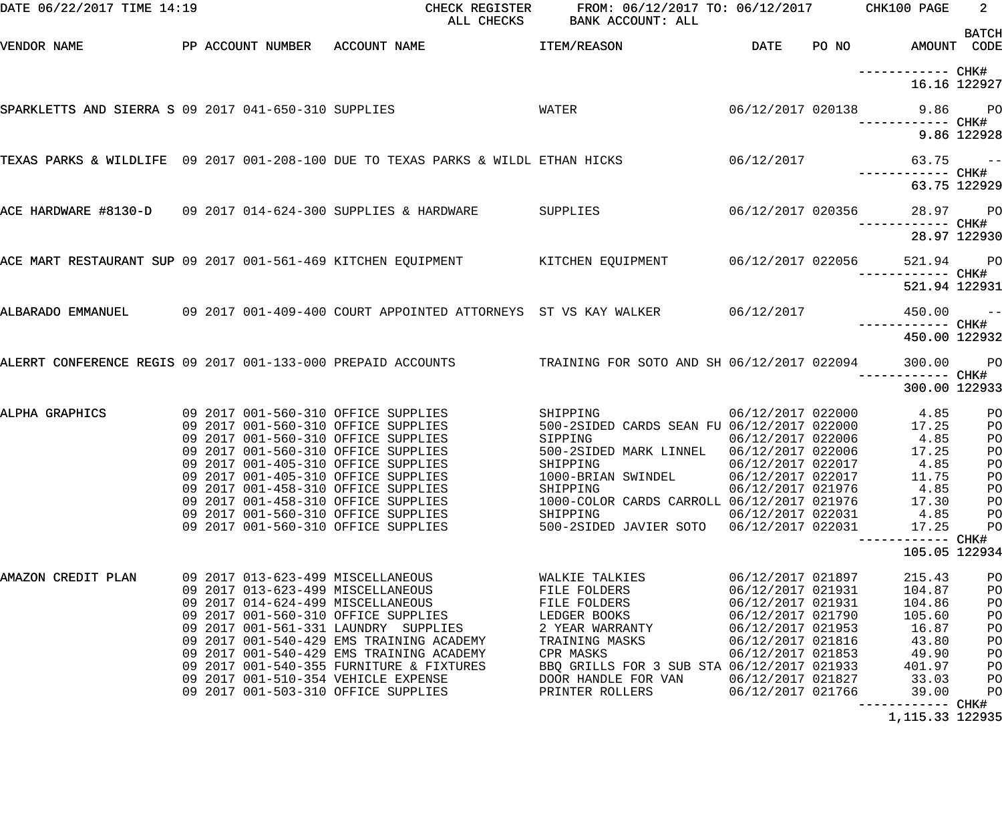| DATE 06/22/2017 TIME 14:19                           |  | CHECK REGISTER<br>ALL CHECKS                                                                                                                                                                                                                                                                                                                                                                                 | FROM: 06/12/2017 TO: 06/12/2017 CHK100 PAGE<br>BANK ACCOUNT: ALL                                                                                                                                                                                 |                                                                                                                                                                                           |       |                                                                                                              | $2^{\circ}$<br><b>BATCH</b>                                          |
|------------------------------------------------------|--|--------------------------------------------------------------------------------------------------------------------------------------------------------------------------------------------------------------------------------------------------------------------------------------------------------------------------------------------------------------------------------------------------------------|--------------------------------------------------------------------------------------------------------------------------------------------------------------------------------------------------------------------------------------------------|-------------------------------------------------------------------------------------------------------------------------------------------------------------------------------------------|-------|--------------------------------------------------------------------------------------------------------------|----------------------------------------------------------------------|
| VENDOR NAME                                          |  | PP ACCOUNT NUMBER ACCOUNT NAME                                                                                                                                                                                                                                                                                                                                                                               | ITEM/REASON                                                                                                                                                                                                                                      | DATE                                                                                                                                                                                      | PO NO | AMOUNT CODE                                                                                                  |                                                                      |
|                                                      |  |                                                                                                                                                                                                                                                                                                                                                                                                              |                                                                                                                                                                                                                                                  |                                                                                                                                                                                           |       | 16.16 122927                                                                                                 |                                                                      |
| SPARKLETTS AND SIERRA S 09 2017 041-650-310 SUPPLIES |  |                                                                                                                                                                                                                                                                                                                                                                                                              | WATER                                                                                                                                                                                                                                            | 06/12/2017 020138                                                                                                                                                                         |       |                                                                                                              | 9.86 PO                                                              |
|                                                      |  | TEXAS PARKS & WILDLIFE 09 2017 001-208-100 DUE TO TEXAS PARKS & WILDL ETHAN HICKS                                                                                                                                                                                                                                                                                                                            |                                                                                                                                                                                                                                                  | 06/12/2017                                                                                                                                                                                |       | 63.75                                                                                                        | 9.86 122928<br>$\sim$ $ -$                                           |
|                                                      |  |                                                                                                                                                                                                                                                                                                                                                                                                              |                                                                                                                                                                                                                                                  |                                                                                                                                                                                           |       | ----------- CHK#                                                                                             | 63.75 122929                                                         |
|                                                      |  | ACE HARDWARE #8130-D 09 2017 014-624-300 SUPPLIES & HARDWARE                                                                                                                                                                                                                                                                                                                                                 | SUPPLIES                                                                                                                                                                                                                                         | 06/12/2017 020356                                                                                                                                                                         |       | 28.97 PO                                                                                                     |                                                                      |
|                                                      |  |                                                                                                                                                                                                                                                                                                                                                                                                              |                                                                                                                                                                                                                                                  |                                                                                                                                                                                           |       | —————————— CHK#                                                                                              | 28.97 122930                                                         |
|                                                      |  | ACE MART RESTAURANT SUP 09 2017 001-561-469 KITCHEN EQUIPMENT           KITCHEN EQUIPMENT        06/12/2017 022056                                                                                                                                                                                                                                                                                           |                                                                                                                                                                                                                                                  |                                                                                                                                                                                           |       | 521.94<br>—————————— CHK#                                                                                    | <b>PO</b>                                                            |
|                                                      |  |                                                                                                                                                                                                                                                                                                                                                                                                              |                                                                                                                                                                                                                                                  |                                                                                                                                                                                           |       | 521.94 122931                                                                                                |                                                                      |
| ALBARADO EMMANUEL                                    |  | 09 2017 001-409-400 COURT APPOINTED ATTORNEYS ST VS KAY WALKER 66/12/2017                                                                                                                                                                                                                                                                                                                                    |                                                                                                                                                                                                                                                  |                                                                                                                                                                                           |       | $450.00 - -$<br>450.00 122932                                                                                |                                                                      |
|                                                      |  | ALERRT CONFERENCE REGIS 09 2017 001-133-000 PREPAID ACCOUNTS TRAINING FOR SOTO AND SH 06/12/2017 022094                                                                                                                                                                                                                                                                                                      |                                                                                                                                                                                                                                                  |                                                                                                                                                                                           |       | 300.00                                                                                                       | <b>PO</b>                                                            |
|                                                      |  |                                                                                                                                                                                                                                                                                                                                                                                                              |                                                                                                                                                                                                                                                  |                                                                                                                                                                                           |       | ------------ CHK#<br>300.00 122933                                                                           |                                                                      |
| ALPHA GRAPHICS                                       |  | 09 2017 001-560-310 OFFICE SUPPLIES<br>09 2017 001-560-310 OFFICE SUPPLIES<br>09 2017 001-560-310 OFFICE SUPPLIES<br>09 2017 001-560-310 OFFICE SUPPLIES<br>09 2017 001-405-310 OFFICE SUPPLIES<br>09 2017 001-405-310 OFFICE SUPPLIES<br>09 2017 001-458-310 OFFICE SUPPLIES<br>09 2017 001-458-310 OFFICE SUPPLIES<br>09 2017 001-560-310 OFFICE SUPPLIES<br>09 2017 001-560-310 OFFICE SUPPLIES           | SHIPPING<br>500-2SIDED CARDS SEAN FU 06/12/2017 022000<br>SIPPING<br>500-2SIDED MARK LINNEL  06/12/2017 022006<br>SHIPPING<br>1000-BRIAN SWINDEL<br>SHIPPING<br>1000-COLOR CARDS CARROLL 06/12/2017 021976<br>SHIPPING<br>500-2SIDED JAVIER SOTO | 06/12/2017 022000<br>06/12/2017 022006<br>06/12/2017 022017<br>06/12/2017 022017<br>06/12/2017 021976<br>06/12/2017 022031<br>06/12/2017 022031                                           |       | 4.85<br>17.25<br>4.85<br>17.25<br>4.85<br>11.75<br>4.85<br>17.30<br>4.85<br>17.25<br>------------ CHK#       | PO<br>PO<br>PO<br>PO<br>PO<br>P <sub>O</sub><br>PO<br>PO<br>PO<br>PO |
| AMAZON CREDIT PLAN                                   |  | 09 2017 013-623-499 MISCELLANEOUS<br>09 2017 013-623-499 MISCELLANEOUS<br>09 2017 014-624-499 MISCELLANEOUS<br>09 2017 001-560-310 OFFICE SUPPLIES<br>09 2017 001-561-331 LAUNDRY SUPPLIES<br>09 2017 001-540-429 EMS TRAINING ACADEMY<br>09 2017 001-540-429 EMS TRAINING ACADEMY<br>09 2017 001-540-355 FURNITURE & FIXTURES<br>09 2017 001-510-354 VEHICLE EXPENSE<br>09 2017 001-503-310 OFFICE SUPPLIES | WALKIE TALKIES<br>FILE FOLDERS<br>FILE FOLDERS<br>LEDGER BOOKS<br>2 YEAR WARRANTY<br>TRAINING MASKS<br>CPR MASKS<br>BBQ GRILLS FOR 3 SUB STA 06/12/2017 021933<br>DOOR HANDLE FOR VAN<br>PRINTER ROLLERS                                         | 06/12/2017 021897<br>06/12/2017 021931<br>06/12/2017 021931<br>06/12/2017 021790<br>06/12/2017 021953<br>06/12/2017 021816<br>06/12/2017 021853<br>06/12/2017 021827<br>06/12/2017 021766 |       | 105.05 122934<br>215.43<br>104.87<br>104.86<br>105.60<br>16.87<br>43.80<br>49.90<br>401.97<br>33.03<br>39.00 | PO<br>PO<br>PO<br>PO<br>PO<br>PO<br>PO<br>PO<br>PO<br>PO             |

1,115.33 122935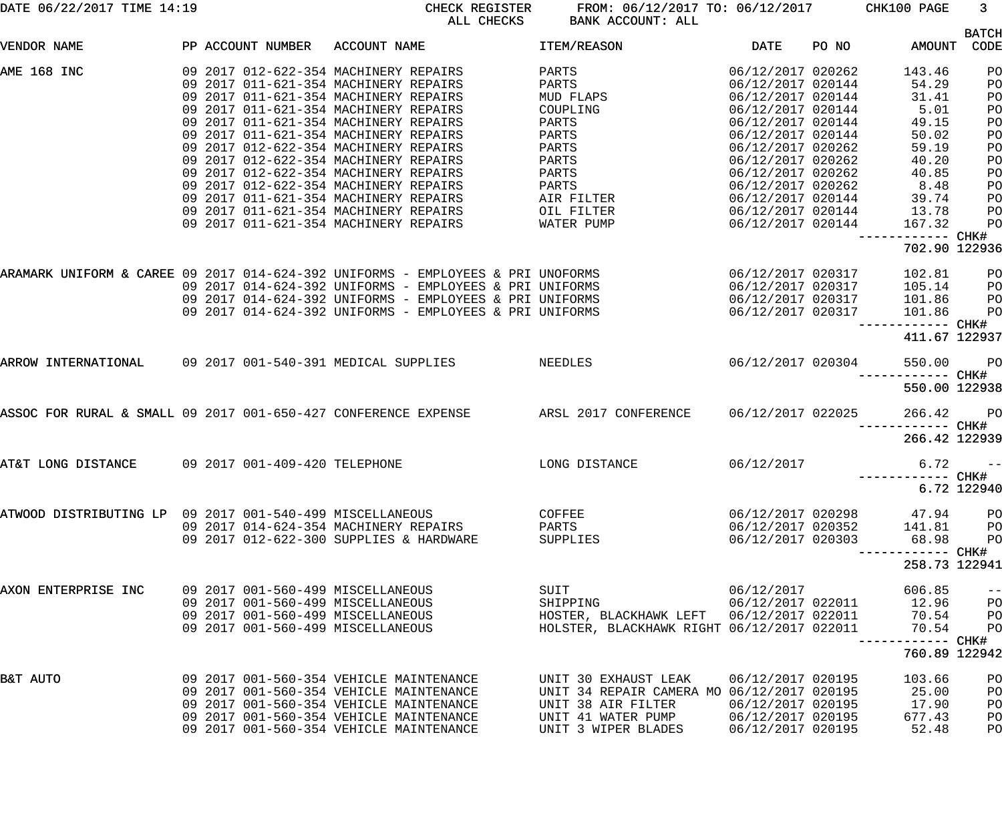| DATE 06/22/2017 TIME 14:19 | CHECK REGISTER | FROM: 06/12/2017 TO: 06/12/2017 | CHK100 PAGE |
|----------------------------|----------------|---------------------------------|-------------|
|                            | CHECKS<br>ALL  | BANK ACCOUNT: ALL               |             |
|                            |                |                                 | <b>BAT</b>  |

| rage |  |
|------|--|
|      |  |
|      |  |

|                                                                |  |                               |                                                                                    |                                                                                                                                                                                                                                         |                   |       |                                   | <b>BATCH</b>   |
|----------------------------------------------------------------|--|-------------------------------|------------------------------------------------------------------------------------|-----------------------------------------------------------------------------------------------------------------------------------------------------------------------------------------------------------------------------------------|-------------------|-------|-----------------------------------|----------------|
| VENDOR NAME                                                    |  |                               | PP ACCOUNT NUMBER ACCOUNT NAME                                                     | ITEM/REASON                                                                                                                                                                                                                             | DATE              | PO NO | AMOUNT                            | CODE           |
| AME 168 INC                                                    |  |                               | 09 2017 012-622-354 MACHINERY REPAIRS                                              | PARTS                                                                                                                                                                                                                                   | 06/12/2017 020262 |       | 143.46                            | PO             |
|                                                                |  |                               | 09 2017 011-621-354 MACHINERY REPAIRS                                              | PARTS                                                                                                                                                                                                                                   | 06/12/2017 020144 |       | 54.29                             | PO             |
|                                                                |  |                               | 09 2017 011-621-354 MACHINERY REPAIRS                                              | MUD FLAPS                                                                                                                                                                                                                               | 06/12/2017 020144 |       | 31.41                             | PO             |
|                                                                |  |                               | 09 2017 011-621-354 MACHINERY REPAIRS                                              | COUPLING                                                                                                                                                                                                                                | 06/12/2017 020144 |       | 5.01                              | PO             |
|                                                                |  |                               | 09 2017 011-621-354 MACHINERY REPAIRS                                              | PARTS                                                                                                                                                                                                                                   | 06/12/2017 020144 |       | 49.15                             | PO             |
|                                                                |  |                               | 09 2017 011-621-354 MACHINERY REPAIRS                                              | PARTS                                                                                                                                                                                                                                   | 06/12/2017 020144 |       | 50.02                             | PO             |
|                                                                |  |                               | 09 2017 012-622-354 MACHINERY REPAIRS                                              | PARTS                                                                                                                                                                                                                                   | 06/12/2017 020262 |       | 59.19                             | PO             |
|                                                                |  |                               | 09 2017 012-622-354 MACHINERY REPAIRS                                              | PARTS                                                                                                                                                                                                                                   | 06/12/2017 020262 |       | 40.20                             | PO             |
|                                                                |  |                               | 09 2017 012-622-354 MACHINERY REPAIRS                                              | PARTS                                                                                                                                                                                                                                   | 06/12/2017 020262 |       | 40.85                             | PO             |
|                                                                |  |                               | 09 2017 012-622-354 MACHINERY REPAIRS                                              | PARTS                                                                                                                                                                                                                                   | 06/12/2017 020262 |       | 8.48                              | PO             |
|                                                                |  |                               | 09 2017 011-621-354 MACHINERY REPAIRS                                              | AIR FILTER                                                                                                                                                                                                                              | 06/12/2017 020144 |       | 39.74                             | PO             |
|                                                                |  |                               | 09 2017 011-621-354 MACHINERY REPAIRS                                              | OIL FILTER                                                                                                                                                                                                                              | 06/12/2017 020144 |       | 13.78                             | PO             |
|                                                                |  |                               | 09 2017 011-621-354 MACHINERY REPAIRS                                              | WATER PUMP                                                                                                                                                                                                                              | 06/12/2017 020144 |       | 167.32                            | PO             |
|                                                                |  |                               |                                                                                    |                                                                                                                                                                                                                                         |                   |       | ----------- CHK#                  |                |
|                                                                |  |                               |                                                                                    |                                                                                                                                                                                                                                         |                   |       | 702.90 122936                     |                |
|                                                                |  |                               |                                                                                    | ARAMARK UNIFORM & CAREE 09 2017 014-624-392 UNIFORMS - EMPLOYEES & PRI UNOFORMS<br>09 2017 014-624-392 UNIFORMS - EMPLOYEES & PRI UNIFORMS<br>09 2017 014-624-392 UNIFORMS - EMPLOYEES & PRI UNIFORMS<br>09 2017 014-624-392 UNIFORMS - | 06/12/2017 020317 |       | 102.81                            | P <sub>O</sub> |
|                                                                |  |                               |                                                                                    |                                                                                                                                                                                                                                         | 06/12/2017 020317 |       | 105.14                            | P <sub>O</sub> |
|                                                                |  |                               |                                                                                    |                                                                                                                                                                                                                                         | 06/12/2017 020317 |       | 101.86                            | P <sub>O</sub> |
|                                                                |  |                               |                                                                                    |                                                                                                                                                                                                                                         | 06/12/2017 020317 |       | 101.86                            | PO             |
|                                                                |  |                               |                                                                                    |                                                                                                                                                                                                                                         |                   |       | ----------- CHK#<br>411.67 122937 |                |
|                                                                |  |                               |                                                                                    |                                                                                                                                                                                                                                         |                   |       |                                   |                |
| ARROW INTERNATIONAL                                            |  |                               | 09 2017 001-540-391 MEDICAL SUPPLIES                                               | NEEDLES                                                                                                                                                                                                                                 | 06/12/2017 020304 |       | 550.00                            | PO             |
|                                                                |  |                               |                                                                                    |                                                                                                                                                                                                                                         |                   |       | ------------ CHK#                 |                |
|                                                                |  |                               |                                                                                    |                                                                                                                                                                                                                                         |                   |       | 550.00 122938                     |                |
| ASSOC FOR RURAL & SMALL 09 2017 001-650-427 CONFERENCE EXPENSE |  |                               |                                                                                    | ARSL 2017 CONFERENCE                                                                                                                                                                                                                    | 06/12/2017 022025 |       | 266.42                            | PO             |
|                                                                |  |                               |                                                                                    |                                                                                                                                                                                                                                         |                   |       |                                   |                |
|                                                                |  |                               |                                                                                    |                                                                                                                                                                                                                                         |                   |       | 266.42 122939                     |                |
|                                                                |  |                               |                                                                                    |                                                                                                                                                                                                                                         |                   |       |                                   |                |
| AT&T LONG DISTANCE                                             |  | 09 2017 001-409-420 TELEPHONE |                                                                                    | LONG DISTANCE                                                                                                                                                                                                                           | 06/12/2017        |       | 6.72                              | $\sim$ $ -$    |
|                                                                |  |                               |                                                                                    |                                                                                                                                                                                                                                         |                   |       |                                   | 6.72 122940    |
|                                                                |  |                               |                                                                                    |                                                                                                                                                                                                                                         |                   |       |                                   |                |
| ATWOOD DISTRIBUTING LP 09 2017 001-540-499 MISCELLANEOUS       |  |                               |                                                                                    | COFFEE                                                                                                                                                                                                                                  | 06/12/2017 020298 |       | 47.94                             | PO             |
|                                                                |  |                               | 09 2017 014-624-354 MACHINERY REPAIRS                                              | PARTS                                                                                                                                                                                                                                   | 06/12/2017 020352 |       | 141.81                            | P <sub>O</sub> |
|                                                                |  |                               | 09 2017 012-622-300 SUPPLIES & HARDWARE                                            | SUPPLIES                                                                                                                                                                                                                                | 06/12/2017 020303 |       | 68.98                             | PO             |
|                                                                |  |                               |                                                                                    |                                                                                                                                                                                                                                         |                   |       | ----------- CHK#                  |                |
|                                                                |  |                               |                                                                                    |                                                                                                                                                                                                                                         |                   |       | 258.73 122941                     |                |
| AXON ENTERPRISE INC                                            |  |                               | 09 2017 001-560-499 MISCELLANEOUS                                                  | SUIT                                                                                                                                                                                                                                    | 06/12/2017        |       | 606.85                            | $- -$          |
|                                                                |  |                               | 09 2017 001-560-499 MISCELLANEOUS                                                  | SHIPPING                                                                                                                                                                                                                                | 06/12/2017 022011 |       | 12.96                             | P <sub>O</sub> |
|                                                                |  |                               | 09 2017 001-560-499 MISCELLANEOUS                                                  | HOSTER, BLACKHAWK LEFT  06/12/2017 022011                                                                                                                                                                                               |                   |       | 70.54                             | P <sub>O</sub> |
|                                                                |  |                               | 09 2017 001-560-499 MISCELLANEOUS                                                  | HOLSTER, BLACKHAWK RIGHT 06/12/2017 022011                                                                                                                                                                                              |                   |       | 70.54                             | PO             |
|                                                                |  |                               |                                                                                    |                                                                                                                                                                                                                                         |                   |       | ------------ CHK#                 |                |
|                                                                |  |                               |                                                                                    |                                                                                                                                                                                                                                         |                   |       | 760.89 122942                     |                |
|                                                                |  |                               |                                                                                    |                                                                                                                                                                                                                                         |                   |       |                                   |                |
| B&T AUTO                                                       |  |                               | 09 2017 001-560-354 VEHICLE MAINTENANCE                                            | UNIT 30 EXHAUST LEAK                                                                                                                                                                                                                    | 06/12/2017 020195 |       | 103.66<br>25.00                   | PO             |
|                                                                |  |                               | 09 2017 001-560-354 VEHICLE MAINTENANCE<br>09 2017 001-560-354 VEHICLE MAINTENANCE | UNIT 34 REPAIR CAMERA MO 06/12/2017 020195<br>UNIT 38 AIR FILTER                                                                                                                                                                        | 06/12/2017 020195 |       | 17.90                             | PO<br>PO       |
|                                                                |  |                               | 09 2017 001-560-354 VEHICLE MAINTENANCE                                            | UNIT 41 WATER PUMP                                                                                                                                                                                                                      | 06/12/2017 020195 |       | 677.43                            | PO             |
|                                                                |  |                               | 09 2017 001-560-354 VEHICLE MAINTENANCE                                            | UNIT 3 WIPER BLADES                                                                                                                                                                                                                     | 06/12/2017 020195 |       | 52.48                             | PO             |
|                                                                |  |                               |                                                                                    |                                                                                                                                                                                                                                         |                   |       |                                   |                |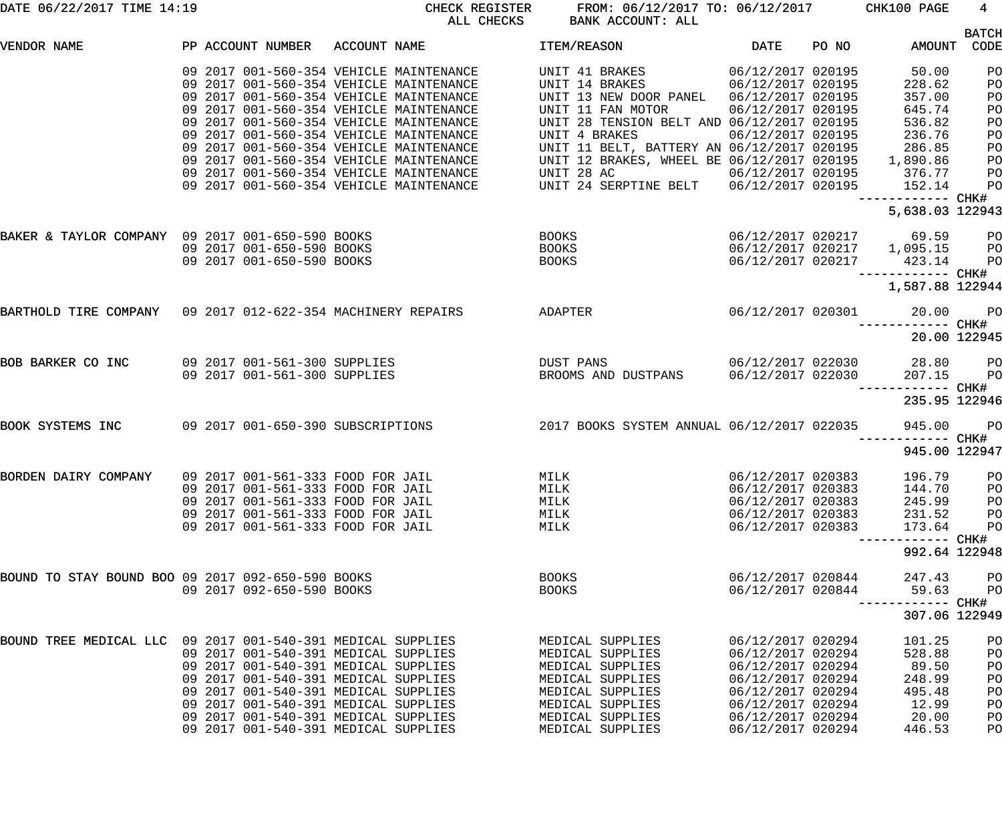| DATE 06/22/2017 TIME 14:19                                  |                                         | CHECK REGISTER<br>ALL CHECKS | FROM: 06/12/2017 TO: 06/12/2017 CHK100 PAGE<br>BANK ACCOUNT: ALL |                   |       |                               | $4\overline{ }$ |
|-------------------------------------------------------------|-----------------------------------------|------------------------------|------------------------------------------------------------------|-------------------|-------|-------------------------------|-----------------|
|                                                             |                                         |                              |                                                                  |                   |       |                               | <b>BATCH</b>    |
| VENDOR NAME                                                 | PP ACCOUNT NUMBER ACCOUNT NAME          |                              | ITEM/REASON                                                      | DATE              | PO NO | AMOUNT CODE                   |                 |
|                                                             | 09 2017 001-560-354 VEHICLE MAINTENANCE |                              | UNIT 41 BRAKES 06/12/2017 020195                                 |                   |       | 50.00                         | PO              |
|                                                             | 09 2017 001-560-354 VEHICLE MAINTENANCE |                              | UNIT 14 BRAKES                                                   | 06/12/2017 020195 |       | 228.62                        | PO              |
|                                                             | 09 2017 001-560-354 VEHICLE MAINTENANCE |                              | UNIT 13 NEW DOOR PANEL 06/12/2017 020195                         |                   |       | 357.00                        | PO              |
|                                                             | 09 2017 001-560-354 VEHICLE MAINTENANCE |                              | UNIT 11 FAN MOTOR                                                | 06/12/2017 020195 |       | 645.74                        | PO              |
|                                                             | 09 2017 001-560-354 VEHICLE MAINTENANCE |                              | UNIT 28 TENSION BELT AND 06/12/2017 020195                       |                   |       | 536.82                        | PO              |
|                                                             | 09 2017 001-560-354 VEHICLE MAINTENANCE |                              | UNIT 4 BRAKES                                                    | 06/12/2017 020195 |       | 236.76                        |                 |
|                                                             |                                         |                              |                                                                  |                   |       |                               | PO              |
|                                                             | 09 2017 001-560-354 VEHICLE MAINTENANCE |                              | UNIT 11 BELT, BATTERY AN 06/12/2017 020195                       |                   |       | 286.85                        | PO              |
|                                                             | 09 2017 001-560-354 VEHICLE MAINTENANCE |                              | UNIT 12 BRAKES, WHEEL BE 06/12/2017 020195                       |                   |       | 1,890.86                      | PO              |
|                                                             | 09 2017 001-560-354 VEHICLE MAINTENANCE |                              | UNIT 28 AC<br>06/12/2017 020195                                  |                   |       | 376.77                        | PО              |
|                                                             | 09 2017 001-560-354 VEHICLE MAINTENANCE |                              | UNIT 24 SERPTINE BELT 06/12/2017 020195                          |                   |       | 152.14                        | P <sub>O</sub>  |
|                                                             |                                         |                              |                                                                  |                   |       | —————————— CHK#               |                 |
|                                                             |                                         |                              |                                                                  |                   |       | 5,638.03 122943               |                 |
| BAKER & TAYLOR COMPANY 09 2017 001-650-590 BOOKS            |                                         |                              | BOOKS                                                            |                   |       | 06/12/2017 020217 69.59       | PO <sub>1</sub> |
|                                                             | 09 2017 001-650-590 BOOKS               |                              | BOOKS                                                            |                   |       | 06/12/2017 020217 1,095.15 PO |                 |
|                                                             | 09 2017 001-650-590 BOOKS               |                              | BOOKS                                                            | 06/12/2017 020217 |       | 423.14                        | P <sub>O</sub>  |
|                                                             |                                         |                              |                                                                  |                   |       |                               |                 |
|                                                             |                                         |                              |                                                                  |                   |       | 1,587.88 122944               |                 |
| BARTHOLD TIRE COMPANY 09 2017 012-622-354 MACHINERY REPAIRS |                                         | ADAPTER                      |                                                                  | 06/12/2017 020301 |       | 20.00 PO                      |                 |
|                                                             |                                         |                              |                                                                  |                   |       |                               |                 |
|                                                             |                                         |                              |                                                                  |                   |       | 20.00 122945                  |                 |
| BOB BARKER CO INC                                           |                                         | 09 2017 001-561-300 SUPPLIES | DUST PANS                                                        | 06/12/2017 022030 |       | 28.80                         | $P$ O           |
|                                                             | 09 2017 001-561-300 SUPPLIES            |                              | BROOMS AND DUSTPANS                                              | 06/12/2017 022030 |       | 207.15                        | $P$ O           |
|                                                             |                                         |                              |                                                                  |                   |       |                               |                 |
|                                                             |                                         |                              |                                                                  |                   |       | 235.95 122946                 |                 |
| BOOK SYSTEMS INC                                            | 09 2017 001-650-390 SUBSCRIPTIONS       |                              | 2017 BOOKS SYSTEM ANNUAL 06/12/2017 022035                       |                   |       | 945.00                        | <b>PO</b>       |
|                                                             |                                         |                              |                                                                  |                   |       |                               |                 |
|                                                             |                                         |                              |                                                                  |                   |       | 945.00 122947                 |                 |
| BORDEN DAIRY COMPANY 09 2017 001-561-333 FOOD FOR JAIL      |                                         |                              | MILK                                                             |                   |       | 06/12/2017 020383 196.79 PO   |                 |
|                                                             | 09 2017 001-561-333 FOOD FOR JAIL       |                              | MILK                                                             | 06/12/2017 020383 |       | 144.70                        | PO              |
|                                                             | 09 2017 001-561-333 FOOD FOR JAIL       |                              | MILK                                                             | 06/12/2017 020383 |       | 245.99                        | PO              |
|                                                             | 09 2017 001-561-333 FOOD FOR JAIL       |                              | MILK                                                             | 06/12/2017 020383 |       | 231.52                        | PO              |
|                                                             | 09 2017 001-561-333 FOOD FOR JAIL       |                              | MILK                                                             | 06/12/2017 020383 |       | 173.64                        | PO              |
|                                                             |                                         |                              |                                                                  |                   |       |                               |                 |
|                                                             |                                         |                              |                                                                  |                   |       | 992.64 122948                 |                 |
| BOUND TO STAY BOUND BOO 09 2017 092-650-590 BOOKS           |                                         |                              | BOOKS                                                            | 06/12/2017 020844 |       | 247.43                        | P <sub>O</sub>  |
|                                                             | 09 2017 092-650-590 BOOKS               |                              | <b>BOOKS</b>                                                     | 06/12/2017 020844 |       | 59.63                         | PO              |
|                                                             |                                         |                              |                                                                  |                   |       |                               |                 |
|                                                             |                                         |                              |                                                                  |                   |       | 307.06 122949                 |                 |
| BOUND TREE MEDICAL LLC 09 2017 001-540-391 MEDICAL SUPPLIES |                                         |                              | MEDICAL SUPPLIES                                                 | 06/12/2017 020294 |       | 101.25                        | PO              |
|                                                             | 09 2017 001-540-391 MEDICAL SUPPLIES    |                              | MEDICAL SUPPLIES                                                 | 06/12/2017 020294 |       | 528.88                        | PO              |
|                                                             | 09 2017 001-540-391 MEDICAL SUPPLIES    |                              | MEDICAL SUPPLIES                                                 | 06/12/2017 020294 |       | 89.50                         | PO              |
|                                                             | 09 2017 001-540-391 MEDICAL SUPPLIES    |                              | MEDICAL SUPPLIES                                                 | 06/12/2017 020294 |       | 248.99                        | PO              |
|                                                             | 09 2017 001-540-391 MEDICAL SUPPLIES    |                              | MEDICAL SUPPLIES                                                 | 06/12/2017 020294 |       | 495.48                        | PO              |
|                                                             | 09 2017 001-540-391 MEDICAL SUPPLIES    |                              | MEDICAL SUPPLIES                                                 | 06/12/2017 020294 |       | 12.99                         | PO              |
|                                                             | 09 2017 001-540-391 MEDICAL SUPPLIES    |                              |                                                                  | 06/12/2017 020294 |       | 20.00                         |                 |
|                                                             | 09 2017 001-540-391 MEDICAL SUPPLIES    |                              | MEDICAL SUPPLIES                                                 | 06/12/2017 020294 |       |                               | PO              |
|                                                             |                                         |                              | MEDICAL SUPPLIES                                                 |                   |       | 446.53                        | PO              |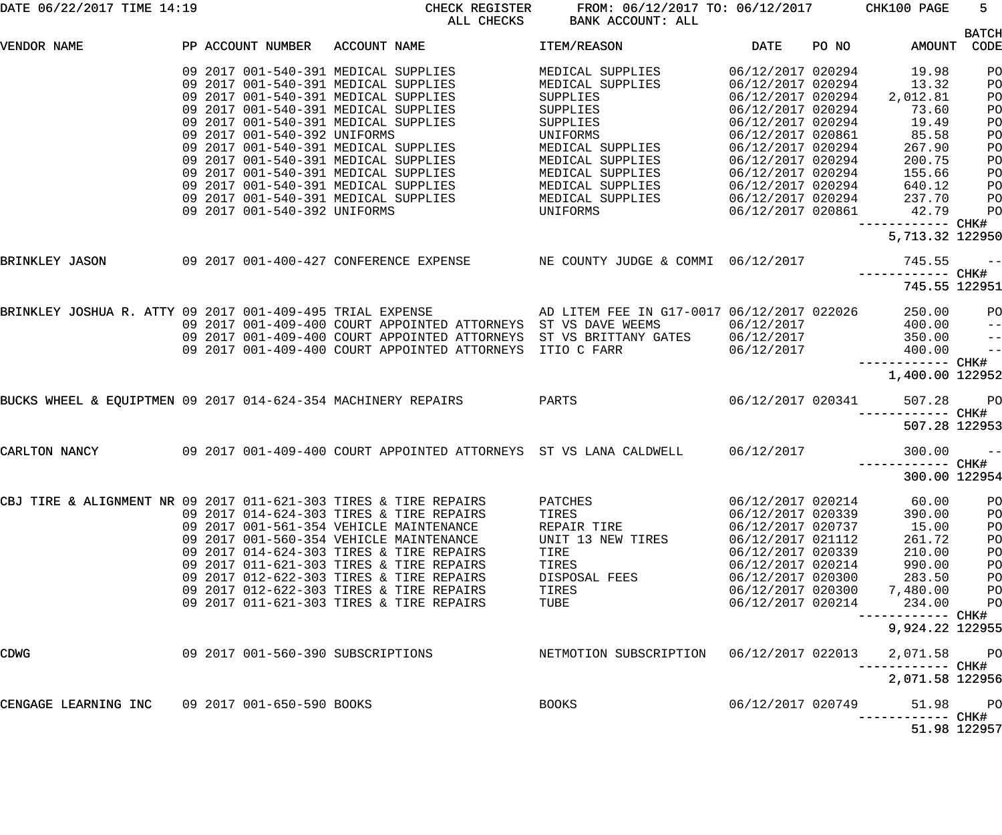| DATE 06/22/2017 TIME 14:19                                       |  |                                      | CHECK REGISTER<br>ALL CHECKS                                                       | FROM: 06/12/2017 TO: 06/12/2017 CHK100 PAGE<br>BANK ACCOUNT: ALL                                                                                                                                                  |                   |       |                                    | $5 -$                       |
|------------------------------------------------------------------|--|--------------------------------------|------------------------------------------------------------------------------------|-------------------------------------------------------------------------------------------------------------------------------------------------------------------------------------------------------------------|-------------------|-------|------------------------------------|-----------------------------|
| VENDOR NAME                                                      |  |                                      | PP ACCOUNT NUMBER ACCOUNT NAME                                                     | <b>Example 19 DATE</b><br>ITEM/REASON                                                                                                                                                                             |                   | PO NO | AMOUNT                             | <b>BATCH</b><br>CODE        |
|                                                                  |  |                                      | 09  2017  001-540-391  MEDICAL SUPPLIES<br>09  2017  001-540-391  MEDICAL SUPPLIES | MEDICAL SUPPLIES 06/12/2017 020294<br>MEDICAL SUPPLIES 06/12/2017 020294                                                                                                                                          |                   |       | 19.98<br>13.32                     | PO<br>PO                    |
|                                                                  |  | 09 2017 001-540-391 MEDICAL SUPPLIES |                                                                                    | SUPPLIES                                                                                                                                                                                                          | 06/12/2017 020294 |       | 2,012.81                           | PO                          |
|                                                                  |  | 09 2017 001-540-391 MEDICAL SUPPLIES |                                                                                    | SUPPLIES 06/12/2017 020294                                                                                                                                                                                        |                   |       | 73.60                              | PO                          |
|                                                                  |  | 09 2017 001-540-391 MEDICAL SUPPLIES |                                                                                    | SUPPLIES 06/12/2017 020294                                                                                                                                                                                        |                   |       | 19.49                              | PO                          |
|                                                                  |  | 09 2017 001-540-392 UNIFORMS         |                                                                                    |                                                                                                                                                                                                                   | 06/12/2017 020861 |       | 85.58                              | PO                          |
|                                                                  |  | 09 2017 001-540-391 MEDICAL SUPPLIES |                                                                                    | UNIFORMS<br>MEDICAL SUPPLIES                                                                                                                                                                                      | 06/12/2017 020294 |       | 267.90                             | PO                          |
|                                                                  |  | 09 2017 001-540-391 MEDICAL SUPPLIES |                                                                                    | MEDICAL SUPPLIES                                                                                                                                                                                                  | 06/12/2017 020294 |       | 200.75                             | PO                          |
|                                                                  |  | 09 2017 001-540-391 MEDICAL SUPPLIES |                                                                                    | MEDICAL SUPPLIES 06/12/2017 020294                                                                                                                                                                                |                   |       | 155.66                             | PO                          |
|                                                                  |  | 09 2017 001-540-391 MEDICAL SUPPLIES |                                                                                    | MEDICAL SUPPLIES 06/12/2017 020294 640.12                                                                                                                                                                         |                   |       |                                    | PO                          |
|                                                                  |  |                                      |                                                                                    |                                                                                                                                                                                                                   |                   |       |                                    | PO                          |
|                                                                  |  |                                      |                                                                                    | 09 2017 001-540-391 MEDICAL SUPPLIES               MEDICAL SUPPLIES           06/12/2017 020294       237.70<br>09 2017 001-540-392 UNIFORMS               UNIFORMS                 06/12/2017 020861       42.79 |                   |       |                                    | PO                          |
|                                                                  |  |                                      |                                                                                    |                                                                                                                                                                                                                   |                   |       | ------------ CHK#                  |                             |
|                                                                  |  |                                      |                                                                                    |                                                                                                                                                                                                                   |                   |       | 5,713.32 122950                    |                             |
| BRINKLEY JASON                                                   |  |                                      |                                                                                    | 09 2017 001-400-427 CONFERENCE EXPENSE NE COUNTY JUDGE & COMMI 06/12/2017 745.55                                                                                                                                  |                   |       |                                    | $ -$                        |
|                                                                  |  |                                      |                                                                                    |                                                                                                                                                                                                                   |                   |       | ------------ CHK#<br>745.55 122951 |                             |
|                                                                  |  |                                      |                                                                                    | BRINKLEY JOSHUA R. ATTY 09 2017 001-409-495 TRIAL EXPENSE AD LITEM FEE IN G17-0017 06/12/2017 022026                                                                                                              |                   |       | 250.00                             | P <sub>O</sub>              |
|                                                                  |  |                                      | 09 2017 001-409-400 COURT APPOINTED ATTORNEYS ST VS DAVE WEEMS                     | ST VS DAVE WEEMS 06/12/2017 100.00<br>ST VS BRITTANY GATES 06/12/2017 150.00                                                                                                                                      |                   |       |                                    | $\rightarrow$ $\rightarrow$ |
|                                                                  |  |                                      | 09 2017 001-409-400 COURT APPOINTED ATTORNEYS                                      |                                                                                                                                                                                                                   |                   |       |                                    | $ -$                        |
|                                                                  |  |                                      | 09 2017 001-409-400 COURT APPOINTED ATTORNEYS                                      | ITIO C FARR<br>06/12/2017                                                                                                                                                                                         |                   |       | 400.00 −− <br>CHK# −−−−−−−−−−−     |                             |
|                                                                  |  |                                      |                                                                                    |                                                                                                                                                                                                                   |                   |       | 1,400.00 122952                    |                             |
|                                                                  |  |                                      |                                                                                    | BUCKS WHEEL & EQUIPTMEN 09 2017 014-624-354 MACHINERY REPAIRS PARTS PARTS 06/12/2017 020341                                                                                                                       |                   |       | 507.28<br>------------ CHK#        | PO <sub>1</sub>             |
|                                                                  |  |                                      |                                                                                    |                                                                                                                                                                                                                   |                   |       | 507.28 122953                      |                             |
| CARLTON NANCY                                                    |  |                                      |                                                                                    | 09 2017 001-409-400 COURT APPOINTED ATTORNEYS ST VS LANA CALDWELL 06/12/2017                                                                                                                                      |                   |       | 300.00                             | $ -$                        |
|                                                                  |  |                                      |                                                                                    |                                                                                                                                                                                                                   |                   |       | 300.00 122954                      |                             |
| CBJ TIRE & ALIGNMENT NR 09 2017 011-621-303 TIRES & TIRE REPAIRS |  |                                      |                                                                                    | PATCHES                                                                                                                                                                                                           | 06/12/2017 020214 |       | 60.00                              | PO                          |
|                                                                  |  |                                      | 09 2017 014-624-303 TIRES & TIRE REPAIRS                                           | <b>TIRES</b>                                                                                                                                                                                                      | 06/12/2017 020339 |       | 390.00                             | PO                          |
|                                                                  |  |                                      | 09 2017 001-561-354 VEHICLE MAINTENANCE                                            | REPAIR TIRE                                                                                                                                                                                                       | 06/12/2017 020737 |       | 15.00                              | PO                          |
|                                                                  |  |                                      | 09 2017 001-560-354 VEHICLE MAINTENANCE                                            | UNIT 13 NEW TIRES                                                                                                                                                                                                 | 06/12/2017 021112 |       | 261.72                             | PO                          |
|                                                                  |  |                                      | 09 2017 014-624-303 TIRES & TIRE REPAIRS                                           | TIRE                                                                                                                                                                                                              | 06/12/2017 020339 |       | 210.00                             | PO                          |
|                                                                  |  |                                      | 09 2017 011-621-303 TIRES & TIRE REPAIRS                                           | TIRES                                                                                                                                                                                                             | 06/12/2017 020214 |       | 990.00                             | PO                          |
|                                                                  |  |                                      | 09 2017 012-622-303 TIRES & TIRE REPAIRS                                           | DISPOSAL FEES                                                                                                                                                                                                     | 06/12/2017 020300 |       | 283.50                             | PO                          |
|                                                                  |  |                                      | 09 2017 012-622-303 TIRES & TIRE REPAIRS                                           | TIRES                                                                                                                                                                                                             |                   |       | 06/12/2017 020300 7,480.00         | P <sub>O</sub>              |
|                                                                  |  |                                      | 09 2017 011-621-303 TIRES & TIRE REPAIRS                                           | TUBE                                                                                                                                                                                                              | 06/12/2017 020214 |       | 234.00                             | PO                          |
|                                                                  |  |                                      |                                                                                    |                                                                                                                                                                                                                   |                   |       | 9,924.22 122955                    |                             |
| CDWG                                                             |  | 09 2017 001-560-390 SUBSCRIPTIONS    |                                                                                    | NETMOTION SUBSCRIPTION  06/12/2017 022013                                                                                                                                                                         |                   |       | 2,071.58 PO                        |                             |
|                                                                  |  |                                      |                                                                                    |                                                                                                                                                                                                                   |                   |       | —————————— CHK#<br>2,071.58 122956 |                             |
| CENGAGE LEARNING INC 09 2017 001-650-590 BOOKS                   |  |                                      |                                                                                    | BOOKS                                                                                                                                                                                                             | 06/12/2017 020749 |       | 51.98 PO                           |                             |
|                                                                  |  |                                      |                                                                                    |                                                                                                                                                                                                                   |                   |       |                                    | 51.98 122957                |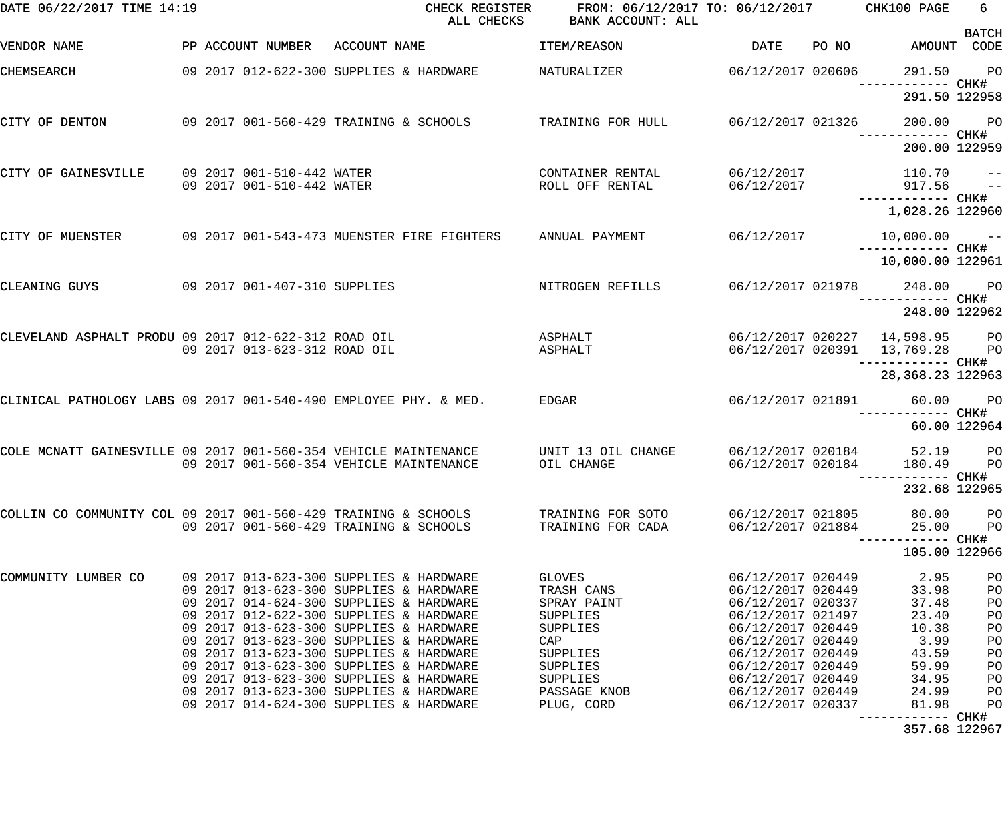| DATE 06/22/2017 TIME 14:19                                       |  |                                                        | CHECK REGISTER<br>ALL CHECKS                                                       | FROM: 06/12/2017 TO: 06/12/2017 CHK100 PAGE<br>BANK ACCOUNT: ALL |                                        |       |                                                                  | 6                    |
|------------------------------------------------------------------|--|--------------------------------------------------------|------------------------------------------------------------------------------------|------------------------------------------------------------------|----------------------------------------|-------|------------------------------------------------------------------|----------------------|
| VENDOR NAME                                                      |  |                                                        | PP ACCOUNT NUMBER ACCOUNT NAME                                                     | ITEM/REASON                                                      | DATE                                   | PO NO | AMOUNT CODE                                                      | <b>BATCH</b>         |
| CHEMSEARCH                                                       |  |                                                        | 09 2017 012-622-300 SUPPLIES & HARDWARE                                            | NATURALIZER                                                      | 06/12/2017 020606                      |       | 291.50                                                           | <b>PO</b>            |
|                                                                  |  |                                                        |                                                                                    |                                                                  |                                        |       | 291.50 122958                                                    |                      |
| CITY OF DENTON                                                   |  |                                                        | 09 2017 001-560-429 TRAINING & SCHOOLS                                             | TRAINING FOR HULL                                                | 06/12/2017 021326                      |       | 200.00                                                           | PO <sub>1</sub>      |
|                                                                  |  |                                                        |                                                                                    |                                                                  |                                        |       | 200.00 122959                                                    |                      |
| CITY OF GAINESVILLE                                              |  | 09 2017 001-510-442 WATER<br>09 2017 001-510-442 WATER |                                                                                    | CONTAINER RENTAL<br>ROLL OFF RENTAL                              | 06/12/2017<br>06/12/2017               |       | 110.70 --<br>917.56 --<br>917.56                                 |                      |
|                                                                  |  |                                                        |                                                                                    |                                                                  |                                        |       | ------------ CHK#<br>1,028.26 122960                             |                      |
| CITY OF MUENSTER                                                 |  |                                                        | 09  2017  001-543-473  MUENSTER FIRE FIGHTERS  ANNUAL PAYMENT                      |                                                                  | 06/12/2017                             |       | $10,000.00$ --                                                   |                      |
|                                                                  |  |                                                        |                                                                                    |                                                                  |                                        |       | ------------ CHK#<br>10,000.00 122961                            |                      |
|                                                                  |  |                                                        |                                                                                    |                                                                  |                                        |       |                                                                  |                      |
| CLEANING GUYS                                                    |  | 09 2017 001-407-310 SUPPLIES                           |                                                                                    | NITROGEN REFILLS                                                 |                                        |       | 06/12/2017 021978 248.00                                         | <b>PO</b>            |
|                                                                  |  |                                                        |                                                                                    |                                                                  |                                        |       | 248.00 122962                                                    |                      |
| CLEVELAND ASPHALT PRODU 09 2017 012-622-312 ROAD OIL             |  | 09 2017 013-623-312 ROAD OIL                           |                                                                                    | ASPHALT<br>ASPHALT                                               |                                        |       | 06/12/2017 020227 14,598.95 PO<br>06/12/2017 020391 13,769.28 PO |                      |
|                                                                  |  |                                                        |                                                                                    |                                                                  |                                        |       | ------------ CHK#<br>28, 368. 23 122963                          |                      |
| CLINICAL PATHOLOGY LABS 09 2017 001-540-490 EMPLOYEE PHY. & MED. |  |                                                        |                                                                                    | <b>EDGAR</b>                                                     | 06/12/2017 021891                      |       | 60.00                                                            | P <sub>O</sub>       |
|                                                                  |  |                                                        |                                                                                    |                                                                  |                                        |       |                                                                  | CHK#<br>60.00 122964 |
| COLE MCNATT GAINESVILLE 09 2017 001-560-354 VEHICLE MAINTENANCE  |  |                                                        |                                                                                    | UNIT 13 OIL CHANGE                                               | 06/12/2017 020184                      |       | 52.19                                                            | P <sub>O</sub>       |
|                                                                  |  |                                                        | 09 2017 001-560-354 VEHICLE MAINTENANCE                                            | OIL CHANGE                                                       | 06/12/2017 020184                      |       | 180.49                                                           | PO                   |
|                                                                  |  |                                                        |                                                                                    |                                                                  |                                        |       | 232.68 122965                                                    |                      |
| COLLIN CO COMMUNITY COL 09 2017 001-560-429 TRAINING & SCHOOLS   |  |                                                        | 09 2017 001-560-429 TRAINING & SCHOOLS                                             | TRAINING FOR SOTO<br>TRAINING FOR CADA                           | 06/12/2017 021805<br>06/12/2017 021884 |       | 80.00<br>25.00                                                   | PO<br>PO             |
|                                                                  |  |                                                        |                                                                                    |                                                                  |                                        |       | 105.00 122966                                                    |                      |
| COMMUNITY LUMBER CO                                              |  |                                                        | 09 2017 013-623-300 SUPPLIES & HARDWARE                                            | GLOVES                                                           | 06/12/2017 020449                      |       | 2.95                                                             | PO                   |
|                                                                  |  |                                                        | 09 2017 013-623-300 SUPPLIES & HARDWARE                                            | TRASH CANS                                                       | 06/12/2017 020449                      |       | 33.98                                                            | PO                   |
|                                                                  |  |                                                        | 09 2017 014-624-300 SUPPLIES & HARDWARE                                            | SPRAY PAINT                                                      | 06/12/2017 020337                      |       | 37.48                                                            | PO                   |
|                                                                  |  |                                                        | 09 2017 012-622-300 SUPPLIES & HARDWARE                                            | SUPPLIES                                                         | 06/12/2017 021497                      |       | 23.40                                                            | PO                   |
|                                                                  |  |                                                        | 09 2017 013-623-300 SUPPLIES & HARDWARE                                            | SUPPLIES                                                         | 06/12/2017 020449                      |       | 10.38                                                            | PO                   |
|                                                                  |  |                                                        | 09 2017 013-623-300 SUPPLIES & HARDWARE                                            | CAP                                                              | 06/12/2017 020449                      |       | 3.99                                                             | PO                   |
|                                                                  |  |                                                        | 09 2017 013-623-300 SUPPLIES & HARDWARE<br>09 2017 013-623-300 SUPPLIES & HARDWARE | SUPPLIES<br>SUPPLIES                                             | 06/12/2017 020449<br>06/12/2017 020449 |       | 43.59<br>59.99                                                   | PO<br>PO             |
|                                                                  |  |                                                        | 09 2017 013-623-300 SUPPLIES & HARDWARE                                            | SUPPLIES                                                         | 06/12/2017 020449                      |       | 34.95                                                            | PO                   |
|                                                                  |  |                                                        | 09 2017 013-623-300 SUPPLIES & HARDWARE                                            | PASSAGE KNOB                                                     | 06/12/2017 020449                      |       | 24.99                                                            | PO                   |
|                                                                  |  |                                                        | 09 2017 014-624-300 SUPPLIES & HARDWARE                                            | PLUG, CORD                                                       | 06/12/2017 020337                      |       | 81.98                                                            | PO                   |
|                                                                  |  |                                                        |                                                                                    |                                                                  |                                        |       | ------------ CHK#                                                |                      |

357.68 122967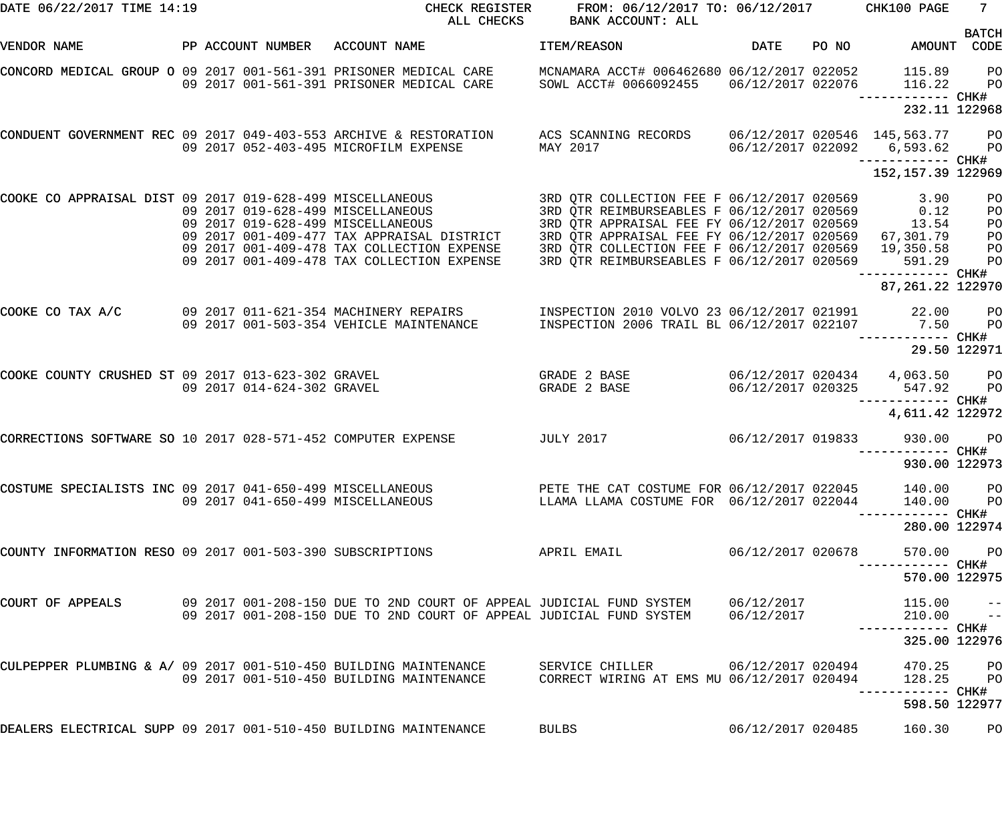| DATE 06/22/2017 TIME 14:19                                       |  |                            | CHECK REGISTER<br>ALL CHECKS                                                                                                                                                                                     | FROM: 06/12/2017 TO: 06/12/2017 CHK100 PAGE<br>BANK ACCOUNT: ALL                                                                                                                                                                                                                                               |                          |       |                                                               | 7                                                                                |
|------------------------------------------------------------------|--|----------------------------|------------------------------------------------------------------------------------------------------------------------------------------------------------------------------------------------------------------|----------------------------------------------------------------------------------------------------------------------------------------------------------------------------------------------------------------------------------------------------------------------------------------------------------------|--------------------------|-------|---------------------------------------------------------------|----------------------------------------------------------------------------------|
| VENDOR NAME                                                      |  |                            | PP ACCOUNT NUMBER ACCOUNT NAME                                                                                                                                                                                   | ITEM/REASON                                                                                                                                                                                                                                                                                                    | DATE                     | PO NO | AMOUNT CODE                                                   | <b>BATCH</b>                                                                     |
|                                                                  |  |                            | CONCORD MEDICAL GROUP O 09 2017 001-561-391 PRISONER MEDICAL CARE<br>09 2017 001-561-391 PRISONER MEDICAL CARE                                                                                                   | MCNAMARA ACCT# 006462680 06/12/2017 022052<br>SOWL ACCT# 0066092455                                                                                                                                                                                                                                            |                          |       | 115.89<br>06/12/2017 022076 116.22<br>------------ CHK#       | <b>PO</b><br>PO                                                                  |
|                                                                  |  |                            |                                                                                                                                                                                                                  |                                                                                                                                                                                                                                                                                                                |                          |       | 232.11 122968                                                 |                                                                                  |
|                                                                  |  |                            | CONDUENT GOVERNMENT REC 09 2017 049-403-553 ARCHIVE & RESTORATION ACS SCANNING RECORDS<br>09 2017 052-403-495 MICROFILM EXPENSE                                                                                  | MAY 2017                                                                                                                                                                                                                                                                                                       |                          |       | 06/12/2017 020546 145,563.77 PO<br>06/12/2017 022092 6,593.62 | P <sub>O</sub>                                                                   |
|                                                                  |  |                            |                                                                                                                                                                                                                  |                                                                                                                                                                                                                                                                                                                |                          |       | 152, 157.39 122969                                            |                                                                                  |
| COOKE CO APPRAISAL DIST 09 2017 019-628-499 MISCELLANEOUS        |  |                            | 09 2017 019-628-499 MISCELLANEOUS<br>09 2017 019-628-499 MISCELLANEOUS<br>09 2017 001-409-477 TAX APPRAISAL DISTRICT<br>09 2017 001-409-478 TAX COLLECTION EXPENSE<br>09 2017 001-409-478 TAX COLLECTION EXPENSE | 3RD QTR COLLECTION FEE F 06/12/2017 020569 3.90<br>3RD QTR REIMBURSEABLES F 06/12/2017 020569 0.12<br>3RD QTR APPRAISAL FEE FY 06/12/2017 020569<br>3RD QTR APPRAISAL FEE FY 06/12/2017 020569 67,301.79<br>3RD QTR COLLECTION FEE F 06/12/2017 020569 19,350.58<br>3RD OTR REIMBURSEABLES F 06/12/2017 020569 |                          |       | 13.54<br>591.29                                               | PO<br>PO<br>P <sub>O</sub><br>P <sub>O</sub><br>P <sub>O</sub><br>P <sub>O</sub> |
|                                                                  |  |                            |                                                                                                                                                                                                                  |                                                                                                                                                                                                                                                                                                                |                          |       | 87, 261. 22 122970                                            |                                                                                  |
| COOKE CO TAX A/C                                                 |  |                            | 09 2017 011-621-354 MACHINERY REPAIRS<br>09 2017 001-503-354 VEHICLE MAINTENANCE                                                                                                                                 | INSPECTION 2010 VOLVO 23 06/12/2017 021991 22.00<br>INSPECTION 2006 TRAIL BL 06/12/2017 022107                                                                                                                                                                                                                 |                          |       | 7.50                                                          | <b>PO</b><br>P <sub>O</sub>                                                      |
|                                                                  |  |                            |                                                                                                                                                                                                                  |                                                                                                                                                                                                                                                                                                                |                          |       | 29.50 122971                                                  |                                                                                  |
|                                                                  |  | 09 2017 014-624-302 GRAVEL | COOKE COUNTY CRUSHED ST 09 2017 013-623-302 GRAVEL                                                                                                                                                               | GRADE 2 BASE<br>GRADE 2 BASE                                                                                                                                                                                                                                                                                   |                          |       | 06/12/2017 020434  4,063.50  PO<br>06/12/2017 020325 547.92   | <b>PO</b>                                                                        |
|                                                                  |  |                            |                                                                                                                                                                                                                  |                                                                                                                                                                                                                                                                                                                |                          |       | 4,611.42 122972                                               |                                                                                  |
|                                                                  |  |                            | CORRECTIONS SOFTWARE SO 10 2017 028-571-452 COMPUTER EXPENSE JULY 2017                                                                                                                                           |                                                                                                                                                                                                                                                                                                                | 06/12/2017 019833        |       | 930.00<br>930.00 122973                                       | $P$ O                                                                            |
| COSTUME SPECIALISTS INC 09 2017 041-650-499 MISCELLANEOUS        |  |                            | 09 2017 041-650-499 MISCELLANEOUS                                                                                                                                                                                | PETE THE CAT COSTUME FOR 06/12/2017 022045<br>LLAMA LLAMA COSTUME FOR 06/12/2017 022044                                                                                                                                                                                                                        |                          |       | 140.00<br>140.00<br>------- CHK#                              | PО<br>P <sub>O</sub>                                                             |
|                                                                  |  |                            |                                                                                                                                                                                                                  |                                                                                                                                                                                                                                                                                                                |                          |       | 280.00 122974                                                 |                                                                                  |
| COUNTY INFORMATION RESO 09 2017 001-503-390 SUBSCRIPTIONS        |  |                            |                                                                                                                                                                                                                  | APRIL EMAIL                                                                                                                                                                                                                                                                                                    | 06/12/2017 020678        |       | 570.00                                                        | $P$ O                                                                            |
|                                                                  |  |                            |                                                                                                                                                                                                                  |                                                                                                                                                                                                                                                                                                                |                          |       | 570.00 122975                                                 |                                                                                  |
| COURT OF APPEALS                                                 |  |                            | 09  2017  001-208-150  DUE TO 2ND COURT OF APPEAL JUDICIAL FUND SYSTEM<br>09 2017 001-208-150 DUE TO 2ND COURT OF APPEAL JUDICIAL FUND SYSTEM                                                                    |                                                                                                                                                                                                                                                                                                                | 06/12/2017<br>06/12/2017 |       | 115.00<br>210.00                                              | $\qquad \qquad -$<br>$ -$                                                        |
|                                                                  |  |                            |                                                                                                                                                                                                                  |                                                                                                                                                                                                                                                                                                                |                          |       | 325.00 122976                                                 |                                                                                  |
| CULPEPPER PLUMBING & A/ 09 2017 001-510-450 BUILDING MAINTENANCE |  |                            | 09 2017 001-510-450 BUILDING MAINTENANCE                                                                                                                                                                         | CORRECT WIRING AT EMS MU 06/12/2017 020494                                                                                                                                                                                                                                                                     |                          |       | 470.25<br>128.25<br>------                                    | $P$ O<br>$P$ O<br>CHK#                                                           |
|                                                                  |  |                            |                                                                                                                                                                                                                  |                                                                                                                                                                                                                                                                                                                |                          |       | 598.50 122977                                                 |                                                                                  |
| DEALERS ELECTRICAL SUPP 09 2017 001-510-450 BUILDING MAINTENANCE |  |                            |                                                                                                                                                                                                                  | <b>BULBS</b>                                                                                                                                                                                                                                                                                                   | 06/12/2017 020485        |       | 160.30                                                        | PО                                                                               |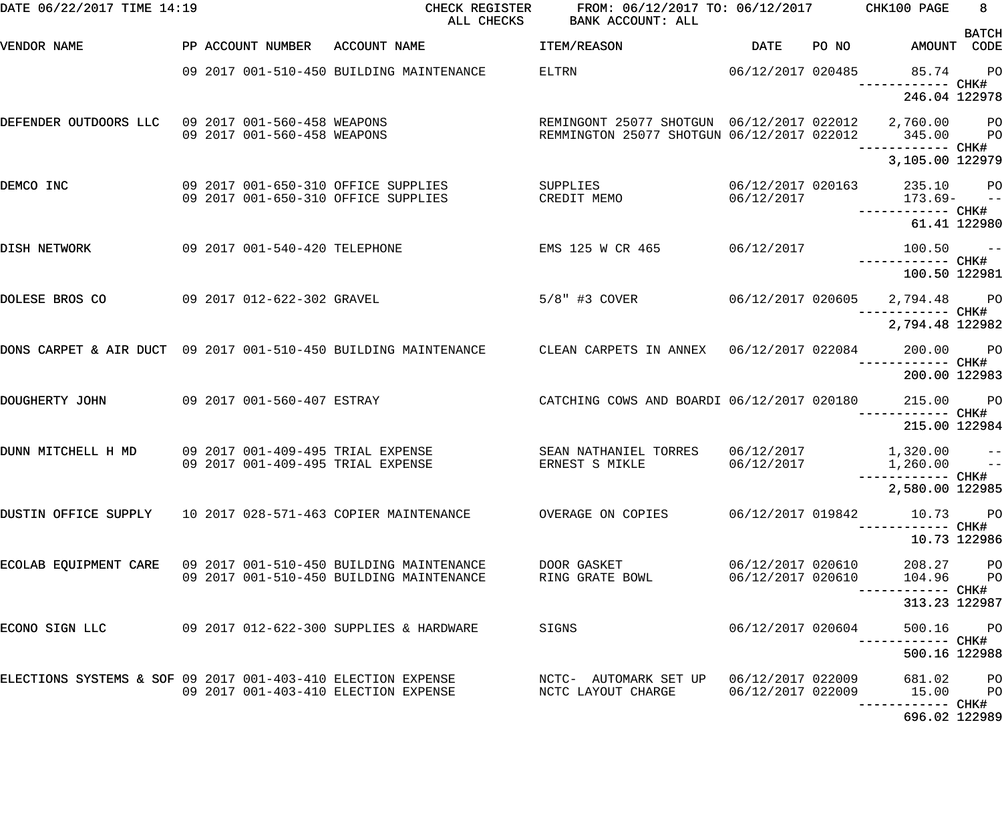| DATE 06/22/2017 TIME 14:19                                      |                               | CHECK REGISTER<br>ALL CHECKS                                                                         | FROM: 06/12/2017 TO: 06/12/2017 CHK100 PAGE<br>BANK ACCOUNT: ALL                                    |                          |       |                                        | 8                 |
|-----------------------------------------------------------------|-------------------------------|------------------------------------------------------------------------------------------------------|-----------------------------------------------------------------------------------------------------|--------------------------|-------|----------------------------------------|-------------------|
| VENDOR NAME                                                     |                               | PP ACCOUNT NUMBER ACCOUNT NAME                                                                       | ITEM/REASON                                                                                         | DATE                     | PO NO | AMOUNT CODE                            | <b>BATCH</b>      |
|                                                                 |                               | 09 2017 001-510-450 BUILDING MAINTENANCE                                                             | ELTRN                                                                                               | 06/12/2017 020485        |       | 85.74<br>------------ CHK#             | $P$ O             |
|                                                                 |                               |                                                                                                      |                                                                                                     |                          |       | 246.04 122978                          |                   |
| DEFENDER OUTDOORS LLC 09 2017 001-560-458 WEAPONS               | 09 2017 001-560-458 WEAPONS   |                                                                                                      | REMINGONT 25077 SHOTGUN 06/12/2017 022012 2,760.00 PO<br>REMMINGTON 25077 SHOTGUN 06/12/2017 022012 |                          |       | 345.00<br>------------ CHK#            | <b>PO</b>         |
|                                                                 |                               |                                                                                                      |                                                                                                     |                          |       | 3,105.00 122979                        |                   |
| DEMCO INC                                                       |                               | 09 2017 001-650-310 OFFICE SUPPLIES<br>09 2017 001-650-310 OFFICE SUPPLIES                           | SUPPLIES<br>CREDIT MEMO                                                                             | 06/12/2017               |       | 06/12/2017 020163 235.10 PO<br>173.69- | $- -$             |
|                                                                 |                               |                                                                                                      |                                                                                                     |                          |       | 61.41 122980                           |                   |
| DISH NETWORK                                                    | 09 2017 001-540-420 TELEPHONE |                                                                                                      | EMS 125 W CR 465                                                                                    | 06/12/2017               |       | $100.50 -$<br>------------ CHK#        |                   |
|                                                                 |                               |                                                                                                      |                                                                                                     |                          |       | 100.50 122981                          |                   |
| DOLESE BROS CO                                                  | 09 2017 012-622-302 GRAVEL    |                                                                                                      | $5/8"$ #3 COVER                                                                                     | 06/12/2017 020605        |       | 2,794.48 PO<br>------------ CHK#       |                   |
|                                                                 |                               |                                                                                                      |                                                                                                     |                          |       | 2,794.48 122982                        |                   |
| DONS CARPET & AIR DUCT 09 2017 001-510-450 BUILDING MAINTENANCE |                               |                                                                                                      | CLEAN CARPETS IN ANNEX 06/12/2017 022084                                                            |                          |       | 200.00<br>----------- CHK#             | <b>PO</b>         |
|                                                                 |                               |                                                                                                      |                                                                                                     |                          |       | 200.00 122983                          |                   |
| DOUGHERTY JOHN                                                  | 09 2017 001-560-407 ESTRAY    |                                                                                                      | CATCHING COWS AND BOARDI 06/12/2017 020180                                                          |                          |       | 215.00                                 | $P$ O<br>-- CHK#  |
|                                                                 |                               |                                                                                                      |                                                                                                     |                          |       | 215.00 122984                          |                   |
| DUNN MITCHELL H MD                                              |                               | 09 2017 001-409-495 TRIAL EXPENSE<br>09 2017 001-409-495 TRIAL EXPENSE                               | SEAN NATHANIEL TORRES<br>ERNEST S MIKLE                                                             | 06/12/2017<br>06/12/2017 |       | $1,320.00 - -$<br>1,260.00             | $\qquad \qquad -$ |
|                                                                 |                               |                                                                                                      |                                                                                                     |                          |       | 2,580.00 122985                        |                   |
| DUSTIN OFFICE SUPPLY 10 2017 028-571-463 COPIER MAINTENANCE     |                               |                                                                                                      | OVERAGE ON COPIES                                                                                   | 06/12/2017 019842        |       | 10.73 PO                               |                   |
|                                                                 |                               |                                                                                                      |                                                                                                     |                          |       | ----------- CHK#<br>10.73 122986       |                   |
| ECOLAB EQUIPMENT CARE 09 2017 001-510-450 BUILDING MAINTENANCE  |                               |                                                                                                      | DOOR GASKET                                                                                         | 06/12/2017 020610        |       | 208.27 PO                              |                   |
|                                                                 |                               | 09 2017 001-510-450 BUILDING MAINTENANCE                                                             | RING GRATE BOWL                                                                                     | 06/12/2017 020610        |       | 104.96 PO<br>--------- CHK#            |                   |
|                                                                 |                               |                                                                                                      |                                                                                                     |                          |       | 313.23 122987                          |                   |
| ECONO SIGN LLC                                                  |                               | 09 2017 012-622-300 SUPPLIES & HARDWARE                                                              | SIGNS                                                                                               | 06/12/2017 020604        |       | 500.16 PO                              |                   |
|                                                                 |                               |                                                                                                      |                                                                                                     |                          |       | 500.16 122988                          |                   |
|                                                                 |                               | ELECTIONS SYSTEMS & SOF 09 2017 001-403-410 ELECTION EXPENSE<br>09 2017 001-403-410 ELECTION EXPENSE | NCTC- AUTOMARK SET UP 06/12/2017 022009<br>NCTC LAYOUT CHARGE                                       | 06/12/2017 022009        |       | 681.02 PO<br>15.00 PO                  |                   |
|                                                                 |                               |                                                                                                      |                                                                                                     |                          |       | 696.02 122989                          |                   |
|                                                                 |                               |                                                                                                      |                                                                                                     |                          |       |                                        |                   |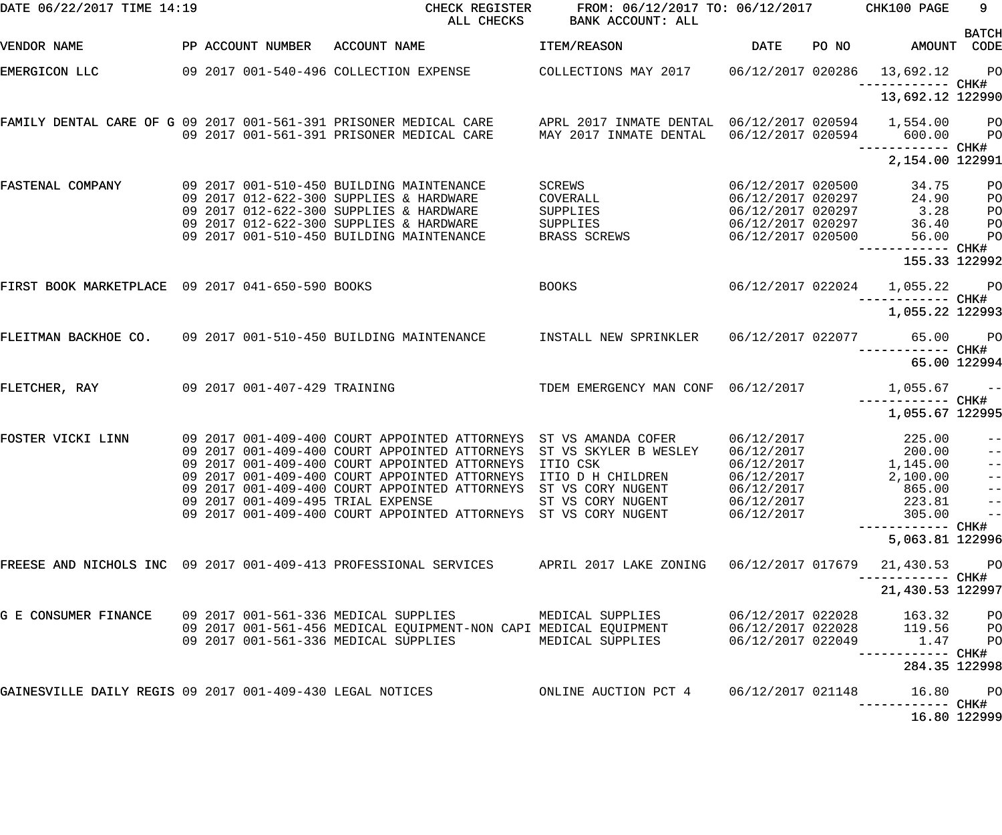| DATE 06/22/2017 TIME 14:19                                        |  |                              | CHECK REGISTER<br>ALL CHECKS                                                            | FROM: 06/12/2017 TO: 06/12/2017<br>BANK ACCOUNT: ALL                         |                   |       | CHK100 PAGE                                      | 9                                |
|-------------------------------------------------------------------|--|------------------------------|-----------------------------------------------------------------------------------------|------------------------------------------------------------------------------|-------------------|-------|--------------------------------------------------|----------------------------------|
| VENDOR NAME                                                       |  | PP ACCOUNT NUMBER            | ACCOUNT NAME                                                                            | ITEM/REASON                                                                  | <b>DATE</b>       | PO NO | AMOUNT                                           | <b>BATCH</b><br>CODE             |
| EMERGICON LLC                                                     |  |                              | 09 2017 001-540-496 COLLECTION EXPENSE                                                  | COLLECTIONS MAY 2017                                                         |                   |       | 06/12/2017 020286 13,692.12<br>------------ CHK# | <b>PO</b>                        |
|                                                                   |  |                              |                                                                                         |                                                                              |                   |       | 13,692.12 122990                                 |                                  |
| FAMILY DENTAL CARE OF G 09 2017 001-561-391 PRISONER MEDICAL CARE |  |                              | 09 2017 001-561-391 PRISONER MEDICAL CARE                                               | APRL 2017 INMATE DENTAL 06/12/2017 020594 1,554.00<br>MAY 2017 INMATE DENTAL | 06/12/2017 020594 |       | 600.00                                           | P <sub>O</sub><br>P <sub>O</sub> |
|                                                                   |  |                              |                                                                                         |                                                                              |                   |       | ------------ CHK#<br>2,154.00 122991             |                                  |
| FASTENAL COMPANY                                                  |  |                              | 09 2017 001-510-450 BUILDING MAINTENANCE                                                | SCREWS                                                                       | 06/12/2017 020500 |       | 34.75                                            | PO                               |
|                                                                   |  |                              | 09 2017 012-622-300 SUPPLIES & HARDWARE                                                 | COVERALL                                                                     | 06/12/2017 020297 |       | 24.90                                            | PO                               |
|                                                                   |  |                              | 09 2017 012-622-300 SUPPLIES & HARDWARE                                                 | SUPPLIES                                                                     | 06/12/2017 020297 |       | 3.28                                             | PO                               |
|                                                                   |  |                              | 09 2017 012-622-300 SUPPLIES & HARDWARE                                                 | SUPPLIES                                                                     | 06/12/2017 020297 |       | 36.40                                            | PO                               |
|                                                                   |  |                              | 09 2017 001-510-450 BUILDING MAINTENANCE                                                | BRASS SCREWS                                                                 | 06/12/2017 020500 |       | 56.00<br>------------ CHK#                       | PO                               |
|                                                                   |  |                              |                                                                                         |                                                                              |                   |       | 155.33 122992                                    |                                  |
| FIRST BOOK MARKETPLACE 09 2017 041-650-590 BOOKS                  |  |                              |                                                                                         | BOOKS                                                                        | 06/12/2017 022024 |       | 1,055.22<br>-––––––– CHK#                        | <b>PO</b>                        |
|                                                                   |  |                              |                                                                                         |                                                                              |                   |       | 1,055.22 122993                                  |                                  |
| FLEITMAN BACKHOE CO. 09 2017 001-510-450 BUILDING MAINTENANCE     |  |                              |                                                                                         | INSTALL NEW SPRINKLER                                                        | 06/12/2017 022077 |       | 65.00                                            | PO <sub>1</sub>                  |
|                                                                   |  |                              |                                                                                         |                                                                              |                   |       |                                                  | 65.00 122994                     |
| FLETCHER, RAY                                                     |  | 09 2017 001-407-429 TRAINING |                                                                                         | TDEM EMERGENCY MAN CONF 06/12/2017                                           |                   |       | 1,055.67<br>—————————— CHK#                      | $\sim$ $ -$                      |
|                                                                   |  |                              |                                                                                         |                                                                              |                   |       | 1,055.67 122995                                  |                                  |
| FOSTER VICKI LINN                                                 |  |                              | 09 2017 001-409-400 COURT APPOINTED ATTORNEYS                                           | ST VS AMANDA COFER                                                           | 06/12/2017        |       | 225.00                                           | $- -$                            |
|                                                                   |  |                              | 09 2017 001-409-400 COURT APPOINTED ATTORNEYS                                           | ST VS SKYLER B WESLEY                                                        | 06/12/2017        |       | 200.00                                           | $\equiv$                         |
|                                                                   |  |                              | 09 2017 001-409-400 COURT APPOINTED ATTORNEYS                                           | ITIO CSK                                                                     | 06/12/2017        |       | 1,145.00                                         | $\frac{1}{2}$                    |
|                                                                   |  |                              | 09 2017 001-409-400 COURT APPOINTED ATTORNEYS                                           | ITIO D H CHILDREN                                                            | 06/12/2017        |       | 2,100.00                                         | $\frac{1}{2}$                    |
|                                                                   |  |                              | 09 2017 001-409-400 COURT APPOINTED ATTORNEYS ST VS CORY NUGENT                         |                                                                              | 06/12/2017        |       | 865.00                                           | $ -$                             |
|                                                                   |  |                              | 09 2017 001-409-495 TRIAL EXPENSE                                                       | ST VS CORY NUGENT                                                            | 06/12/2017        |       | 223.81                                           | $\qquad \qquad -$                |
|                                                                   |  |                              | 09 2017 001-409-400 COURT APPOINTED ATTORNEYS ST VS CORY NUGENT                         |                                                                              | 06/12/2017        |       | 305.00                                           | $\qquad \qquad -$                |
|                                                                   |  |                              |                                                                                         |                                                                              |                   |       | 5,063.81 122996                                  |                                  |
|                                                                   |  |                              | FREESE AND NICHOLS INC 09 2017 001-409-413 PROFESSIONAL SERVICES APRIL 2017 LAKE ZONING |                                                                              | 06/12/2017 017679 |       | 21,430.53<br>------ CHK#                         | P <sub>O</sub>                   |
|                                                                   |  |                              |                                                                                         |                                                                              |                   |       | 21,430.53 122997                                 |                                  |
| G E CONSUMER FINANCE                                              |  |                              | 09 2017 001-561-336 MEDICAL SUPPLIES                                                    | MEDICAL SUPPLIES                                                             | 06/12/2017 022028 |       | 163.32                                           | PO                               |
|                                                                   |  |                              | 09 2017 001-561-456 MEDICAL EQUIPMENT-NON CAPI MEDICAL EQUIPMENT                        |                                                                              | 06/12/2017 022028 |       | 119.56                                           | PО                               |
|                                                                   |  |                              | 09 2017 001-561-336 MEDICAL SUPPLIES                                                    | MEDICAL SUPPLIES                                                             | 06/12/2017 022049 |       | 1.47<br>-------- CHK#                            | PO                               |
|                                                                   |  |                              |                                                                                         |                                                                              |                   |       | 284.35 122998                                    |                                  |
| GAINESVILLE DAILY REGIS 09 2017 001-409-430 LEGAL NOTICES         |  |                              |                                                                                         | ONLINE AUCTION PCT 4                                                         | 06/12/2017 021148 |       | 16.80<br>------ CHK#                             | P <sub>O</sub>                   |
|                                                                   |  |                              |                                                                                         |                                                                              |                   |       |                                                  | 16.80 122999                     |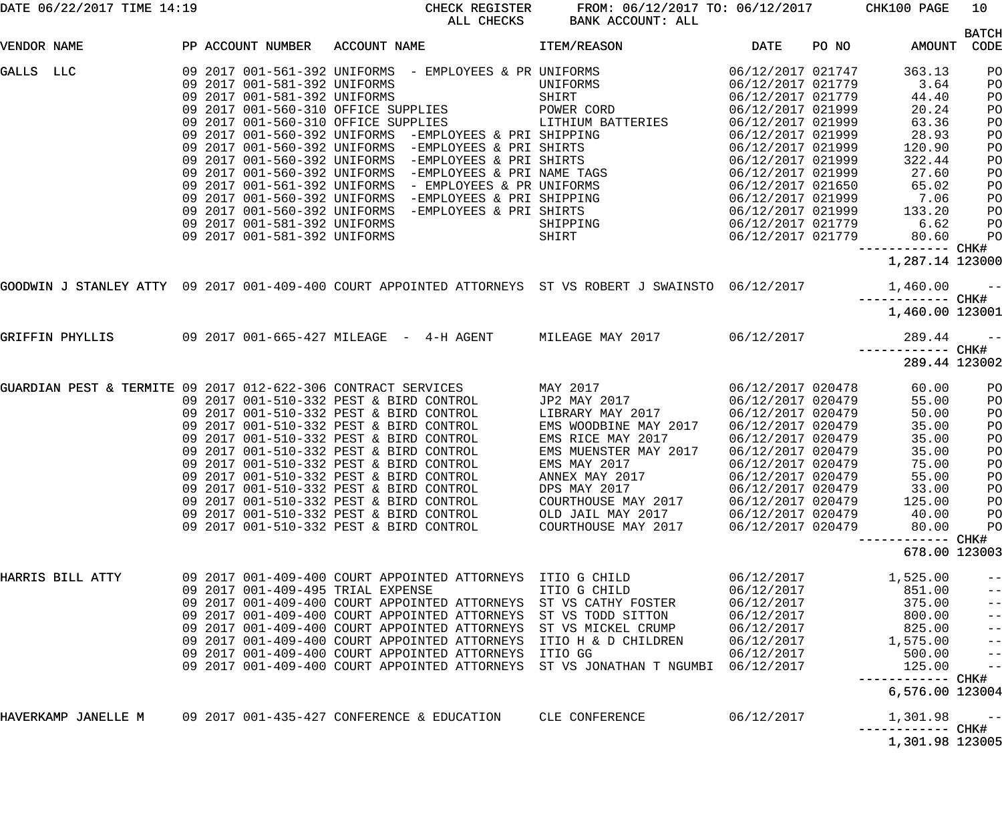| DATE 06/22/2017 TIME 14:19 |                                                                                                                                                                                                                                                                                                                                                                                                                                            | CHECK REGISTER<br>ALL CHECKS                                                                                                                                                                                                                                                                                                                        | FROM: 06/12/2017 TO: 06/12/2017 CHK100 PAGE<br>BANK ACCOUNT: ALL                                                                                                                                                             |                                                                                                                                                                                                                                     |                                                                                                                               | 10                                                                              |
|----------------------------|--------------------------------------------------------------------------------------------------------------------------------------------------------------------------------------------------------------------------------------------------------------------------------------------------------------------------------------------------------------------------------------------------------------------------------------------|-----------------------------------------------------------------------------------------------------------------------------------------------------------------------------------------------------------------------------------------------------------------------------------------------------------------------------------------------------|------------------------------------------------------------------------------------------------------------------------------------------------------------------------------------------------------------------------------|-------------------------------------------------------------------------------------------------------------------------------------------------------------------------------------------------------------------------------------|-------------------------------------------------------------------------------------------------------------------------------|---------------------------------------------------------------------------------|
| VENDOR NAME                |                                                                                                                                                                                                                                                                                                                                                                                                                                            | PP ACCOUNT NUMBER ACCOUNT NAME TEM/REASON                                                                                                                                                                                                                                                                                                           | <b>Example 12 DATE</b>                                                                                                                                                                                                       |                                                                                                                                                                                                                                     | PO NO                                                                                                                         | <b>BATCH</b><br>AMOUNT CODE                                                     |
| GALLS LLC                  | 09 2017 001-581-392 UNIFORMS                                                                                                                                                                                                                                                                                                                                                                                                               | 09 2017 001-560-392 UNIFORMS -EMPLOYEES & PRI SHIPPING<br>09 2017 001-560-392 UNIFORMS -EMPLOYEES & PRI SHIPPING<br>09 2017 001-560-392 UNIFORMS -EMPLOYEES & PRI SHIRTS<br>09 2017 001-560-392 UNIFORMS -EMPLOYEES & PRI NAME TAGS<br>09                                                                                                           | SHIPPING                                                                                                                                                                                                                     | 06/12/2017 021779<br>06/12/2017 021999<br>06/12/2017 021999<br>06/12/2017 021999<br>06/12/2017 021999<br>06/12/2017 021999<br>06/12/2017 021999<br>06/12/2017 021650<br>06/12/2017 021999<br>06/12/2017 021999<br>06/12/2017 021779 | 363.13<br>3.64<br>44.40<br>20.24<br>63.36<br>28.93<br>120.90<br>322.44<br>27.60<br>65.02<br>7.06<br>133.20<br>6.62            | PO<br>PO<br>PO<br>PO<br>PO<br>PO<br>PO<br>PO<br>PO<br>PO<br>PO<br>PO<br>PO      |
|                            | 09 2017 001-581-392 UNIFORMS                                                                                                                                                                                                                                                                                                                                                                                                               |                                                                                                                                                                                                                                                                                                                                                     | SHIRT                                                                                                                                                                                                                        | 06/12/2017 021779                                                                                                                                                                                                                   | 80.60<br>------------ CHK#<br>1,287.14 123000                                                                                 | PO                                                                              |
|                            |                                                                                                                                                                                                                                                                                                                                                                                                                                            | GOODWIN J STANLEY ATTY 09 2017 001-409-400 COURT APPOINTED ATTORNEYS ST VS ROBERT J SWAINSTO 06/12/2017                                                                                                                                                                                                                                             |                                                                                                                                                                                                                              |                                                                                                                                                                                                                                     | $1,460.00 - -$<br>1,460.00 123001                                                                                             |                                                                                 |
|                            |                                                                                                                                                                                                                                                                                                                                                                                                                                            | GRIFFIN PHYLLIS      09 2017 001-665-427 MILEAGE - 4-H AGENT MILEAGE MAY 2017      06/12/2017       289.44   --                                                                                                                                                                                                                                     |                                                                                                                                                                                                                              |                                                                                                                                                                                                                                     |                                                                                                                               |                                                                                 |
|                            |                                                                                                                                                                                                                                                                                                                                                                                                                                            |                                                                                                                                                                                                                                                                                                                                                     |                                                                                                                                                                                                                              |                                                                                                                                                                                                                                     | ------------ CHK#<br>289.44 123002                                                                                            |                                                                                 |
|                            | 09 2017 001-510-332 PEST & BIRD CONTROL<br>09 2017 001-510-332 PEST & BIRD CONTROL<br>09 2017 001-510-332 PEST & BIRD CONTROL<br>09 2017 001-510-332 PEST & BIRD CONTROL<br>09 2017 001-510-332 PEST & BIRD CONTROL<br>09 2017 001-510-332 PEST & BIRD CONTROL<br>09 2017 001-510-332 PEST & BIRD CONTROL<br>09 2017 001-510-332 PEST & BIRD CONTROL<br>09 2017 001-510-332 PEST & BIRD CONTROL<br>09 2017 001-510-332 PEST & BIRD CONTROL | GUARDIAN PEST & TERMITE 09 2017 012-622-306 CONTRACT SERVICES MAY 2017 12017 126/12/2017 020478<br>09 2017 001-510-332 PEST & BIRD CONTROL                                                                                                                                                                                                          | JP2 MAY 2017<br>LIBRARY MAY 2017<br>EMS WOODBINE MAY 2017<br>EMS RICE MAY 2017<br>EMS MUENSTER MAY 2017<br>EMS MAY 2017<br>ANNEX MAY 2017<br>DPS MAY 2017<br>COURTHOUSE MAY 2017<br>OLD JAIL MAY 2017<br>COURTHOUSE MAY 2017 | 06/12/2017 020479<br>06/12/2017 020479<br>06/12/2017 020479<br>06/12/2017 020479<br>06/12/2017 020479<br>06/12/2017 020479<br>06/12/2017 020479<br>06/12/2017 020479<br>06/12/2017 020479<br>06/12/2017 020479<br>06/12/2017 020479 | 60.00<br>55.00<br>50.00<br>35.00<br>35.00<br>35.00<br>75.00<br>55.00<br>33.00<br>125.00<br>40.00<br>80.00<br>----------- CHK# | PO<br>PO<br>PO<br>PO<br>PO<br>PO<br>PO<br>PO<br>PO<br>PO<br>PO<br>PO            |
|                            |                                                                                                                                                                                                                                                                                                                                                                                                                                            |                                                                                                                                                                                                                                                                                                                                                     |                                                                                                                                                                                                                              |                                                                                                                                                                                                                                     |                                                                                                                               | 678.00 123003                                                                   |
| HARRIS BILL ATTY           | 09 2017 001-409-495 TRIAL EXPENSE                                                                                                                                                                                                                                                                                                                                                                                                          | 09 2017 001-409-400 COURT APPOINTED ATTORNEYS<br>09 2017 001-409-400 COURT APPOINTED ATTORNEYS<br>09 2017 001-409-400 COURT APPOINTED ATTORNEYS<br>09 2017 001-409-400 COURT APPOINTED ATTORNEYS<br>09 2017 001-409-400 COURT APPOINTED ATTORNEYS<br>09 2017 001-409-400 COURT APPOINTED ATTORNEYS<br>09 2017 001-409-400 COURT APPOINTED ATTORNEYS | ITIO G CHILD<br>ITIO G CHILD<br>ST VS CATHY FOSTER<br>ST VS TODD SITTON<br>ST VS MICKEL CRUMP<br>ITIO H & D CHILDREN<br>ITIO GG<br>ST VS JONATHAN T NGUMBI                                                                   | 06/12/2017<br>06/12/2017<br>06/12/2017<br>06/12/2017<br>06/12/2017<br>06/12/2017<br>06/12/2017<br>06/12/2017                                                                                                                        | 1,525.00<br>851.00<br>375.00<br>800.00<br>825.00<br>1,575.00<br>500.00<br>125.00<br>------------ CHK#<br>6,576.00 123004      | $- -$<br>$- -$<br>$-$ -<br>$ -$<br>$-\:\:-$<br>$-\:\:-$<br>$-\:\:-$<br>$-\:\:-$ |
| HAVERKAMP JANELLE M        | 09 2017 001-435-427 CONFERENCE & EDUCATION                                                                                                                                                                                                                                                                                                                                                                                                 |                                                                                                                                                                                                                                                                                                                                                     | CLE CONFERENCE                                                                                                                                                                                                               | 06/12/2017                                                                                                                                                                                                                          | 1,301.98<br>------------ CHK#                                                                                                 | $- -$                                                                           |
|                            |                                                                                                                                                                                                                                                                                                                                                                                                                                            |                                                                                                                                                                                                                                                                                                                                                     |                                                                                                                                                                                                                              |                                                                                                                                                                                                                                     | 1,301.98 123005                                                                                                               |                                                                                 |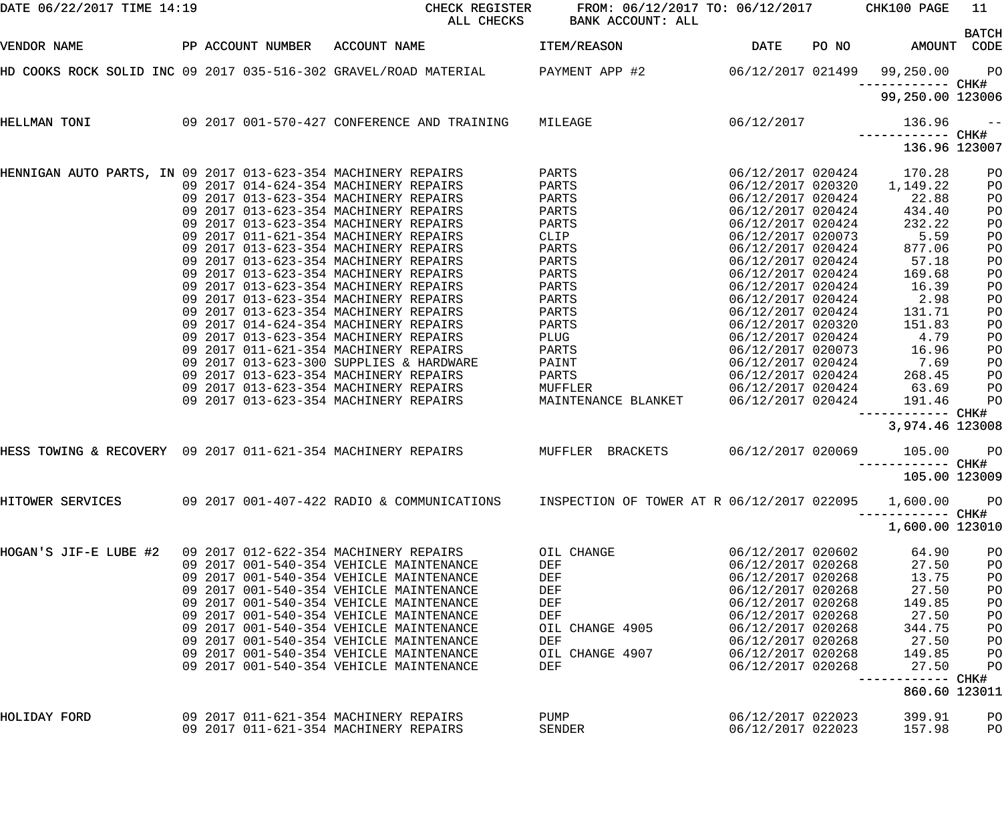| DATE 06/22/2017 TIME 14:19                                       |  |                   | CHECK REGISTER<br>ALL CHECKS                                                   | FROM: 06/12/2017 TO: 06/12/2017<br>BANK ACCOUNT: ALL |                                        |       | CHK100 PAGE                       | -11                         |
|------------------------------------------------------------------|--|-------------------|--------------------------------------------------------------------------------|------------------------------------------------------|----------------------------------------|-------|-----------------------------------|-----------------------------|
| VENDOR NAME                                                      |  | PP ACCOUNT NUMBER | ACCOUNT NAME                                                                   | ITEM/REASON                                          | <b>DATE</b>                            | PO NO |                                   | <b>BATCH</b><br>AMOUNT CODE |
| HD COOKS ROCK SOLID INC 09 2017 035-516-302 GRAVEL/ROAD MATERIAL |  |                   |                                                                                | PAYMENT APP #2                                       | 06/12/2017 021499                      |       | 99,250.00<br>------------ CHK#    | $P$ O                       |
|                                                                  |  |                   |                                                                                |                                                      |                                        |       | 99,250.00 123006                  |                             |
| HELLMAN TONI                                                     |  |                   | 09 2017 001-570-427 CONFERENCE AND TRAINING                                    | MILEAGE                                              | 06/12/2017                             |       | 136.96                            | $ -$                        |
|                                                                  |  |                   |                                                                                |                                                      |                                        |       | 136.96 123007                     |                             |
| HENNIGAN AUTO PARTS, IN 09 2017 013-623-354 MACHINERY REPAIRS    |  |                   |                                                                                | PARTS                                                | 06/12/2017 020424                      |       | 170.28                            | PO                          |
|                                                                  |  |                   | 09 2017 014-624-354 MACHINERY REPAIRS                                          | PARTS                                                | 06/12/2017 020320                      |       | 1,149.22                          | PO                          |
|                                                                  |  |                   | 09 2017 013-623-354 MACHINERY REPAIRS                                          | PARTS                                                | 06/12/2017 020424                      |       | 22.88                             | PO                          |
|                                                                  |  |                   | 09 2017 013-623-354 MACHINERY REPAIRS                                          | PARTS                                                | 06/12/2017 020424                      |       | 434.40                            | PO                          |
|                                                                  |  |                   | 09 2017 013-623-354 MACHINERY REPAIRS                                          | PARTS                                                | 06/12/2017 020424                      |       | 232.22                            | PO                          |
|                                                                  |  |                   | 09 2017 011-621-354 MACHINERY REPAIRS                                          | CLIP                                                 | 06/12/2017 020073                      |       | 5.59                              | PO                          |
|                                                                  |  |                   | 09 2017 013-623-354 MACHINERY REPAIRS                                          | PARTS                                                | 06/12/2017 020424                      |       | 877.06                            | PO                          |
|                                                                  |  |                   | 09 2017 013-623-354 MACHINERY REPAIRS                                          | PARTS                                                | 06/12/2017 020424                      |       | 57.18                             | PO                          |
|                                                                  |  |                   | 09 2017 013-623-354 MACHINERY REPAIRS                                          | PARTS                                                | 06/12/2017 020424                      |       | 169.68                            | PO                          |
|                                                                  |  |                   | 09 2017 013-623-354 MACHINERY REPAIRS                                          | PARTS                                                | 06/12/2017 020424                      |       | 16.39                             | PO                          |
|                                                                  |  |                   | 09 2017 013-623-354 MACHINERY REPAIRS                                          | PARTS                                                | 06/12/2017 020424                      |       | 2.98                              | PO                          |
|                                                                  |  |                   | 09 2017 013-623-354 MACHINERY REPAIRS                                          | PARTS                                                | 06/12/2017 020424                      |       | 131.71                            | PO                          |
|                                                                  |  |                   | 09 2017 014-624-354 MACHINERY REPAIRS<br>09 2017 013-623-354 MACHINERY REPAIRS | PARTS                                                | 06/12/2017 020320                      |       | 151.83                            | PO                          |
|                                                                  |  |                   | 09 2017 011-621-354 MACHINERY REPAIRS                                          | PLUG                                                 | 06/12/2017 020424<br>06/12/2017 020073 |       | 4.79                              | PO                          |
|                                                                  |  |                   | 09 2017 013-623-300 SUPPLIES & HARDWARE                                        | PARTS<br>PAINT                                       | 06/12/2017 020424                      |       | 16.96<br>7.69                     | PO                          |
|                                                                  |  |                   | 09 2017 013-623-354 MACHINERY REPAIRS                                          |                                                      | 06/12/2017 020424                      |       |                                   | PO                          |
|                                                                  |  |                   | 09 2017 013-623-354 MACHINERY REPAIRS                                          | PARTS<br>MUFFLER                                     | 06/12/2017 020424                      |       | 268.45<br>63.69                   | PO                          |
|                                                                  |  |                   | 09 2017 013-623-354 MACHINERY REPAIRS                                          | MAINTENANCE BLANKET                                  | 06/12/2017 020424                      |       | 191.46                            | PO<br>PO                    |
|                                                                  |  |                   |                                                                                |                                                      |                                        |       | ------------ CHK#                 |                             |
|                                                                  |  |                   |                                                                                |                                                      |                                        |       | 3,974.46 123008                   |                             |
| HESS TOWING & RECOVERY 09 2017 011-621-354 MACHINERY REPAIRS     |  |                   |                                                                                | MUFFLER BRACKETS                                     | 06/12/2017 020069                      |       | 105.00                            | $P$ O                       |
|                                                                  |  |                   |                                                                                |                                                      |                                        |       | ----------- CHK#<br>105.00 123009 |                             |
| HITOWER SERVICES                                                 |  |                   | 09 2017 001-407-422 RADIO & COMMUNICATIONS                                     | INSPECTION OF TOWER AT R 06/12/2017 022095           |                                        |       | 1,600.00                          | P <sub>O</sub>              |
|                                                                  |  |                   |                                                                                |                                                      |                                        |       | 1,600.00 123010                   |                             |
| HOGAN'S JIF-E LUBE #2                                            |  |                   | 09 2017 012-622-354 MACHINERY REPAIRS                                          | OIL CHANGE                                           | 06/12/2017 020602                      |       | 64.90                             | PO                          |
|                                                                  |  |                   | 09 2017 001-540-354 VEHICLE MAINTENANCE                                        | DEF                                                  | 06/12/2017 020268                      |       | 27.50                             | PO                          |
|                                                                  |  |                   | 09 2017 001-540-354 VEHICLE MAINTENANCE                                        | DEF                                                  | 06/12/2017 020268                      |       | 13.75                             | PO                          |
|                                                                  |  |                   | 09 2017 001-540-354 VEHICLE MAINTENANCE                                        | DEF                                                  | 06/12/2017 020268                      |       | 27.50                             | PO                          |
|                                                                  |  |                   | 09 2017 001-540-354 VEHICLE MAINTENANCE                                        | DEF                                                  | 06/12/2017 020268                      |       | 149.85                            | PO                          |
|                                                                  |  |                   | 09 2017 001-540-354 VEHICLE MAINTENANCE                                        | DEF                                                  | 06/12/2017 020268                      |       | 27.50                             | PO                          |
|                                                                  |  |                   | 09 2017 001-540-354 VEHICLE MAINTENANCE                                        | OIL CHANGE 4905                                      | 06/12/2017 020268                      |       | 344.75                            | PO                          |
|                                                                  |  |                   | 09 2017 001-540-354 VEHICLE MAINTENANCE                                        | DEF                                                  | 06/12/2017 020268                      |       | 27.50                             | PO                          |
|                                                                  |  |                   | 09 2017 001-540-354 VEHICLE MAINTENANCE                                        | OIL CHANGE 4907                                      | 06/12/2017 020268                      |       | 149.85                            | PO                          |
|                                                                  |  |                   | 09 2017 001-540-354 VEHICLE MAINTENANCE                                        | DEF                                                  | 06/12/2017 020268                      |       | 27.50                             | PO                          |
|                                                                  |  |                   |                                                                                |                                                      |                                        |       | ------------ CHK#                 |                             |
|                                                                  |  |                   |                                                                                |                                                      |                                        |       | 860.60 123011                     |                             |
| HOLIDAY FORD                                                     |  |                   | 09 2017 011-621-354 MACHINERY REPAIRS                                          | PUMP                                                 | 06/12/2017 022023                      |       | 399.91                            | PO                          |
|                                                                  |  |                   | 09 2017 011-621-354 MACHINERY REPAIRS                                          | SENDER                                               | 06/12/2017 022023                      |       | 157.98                            | PO                          |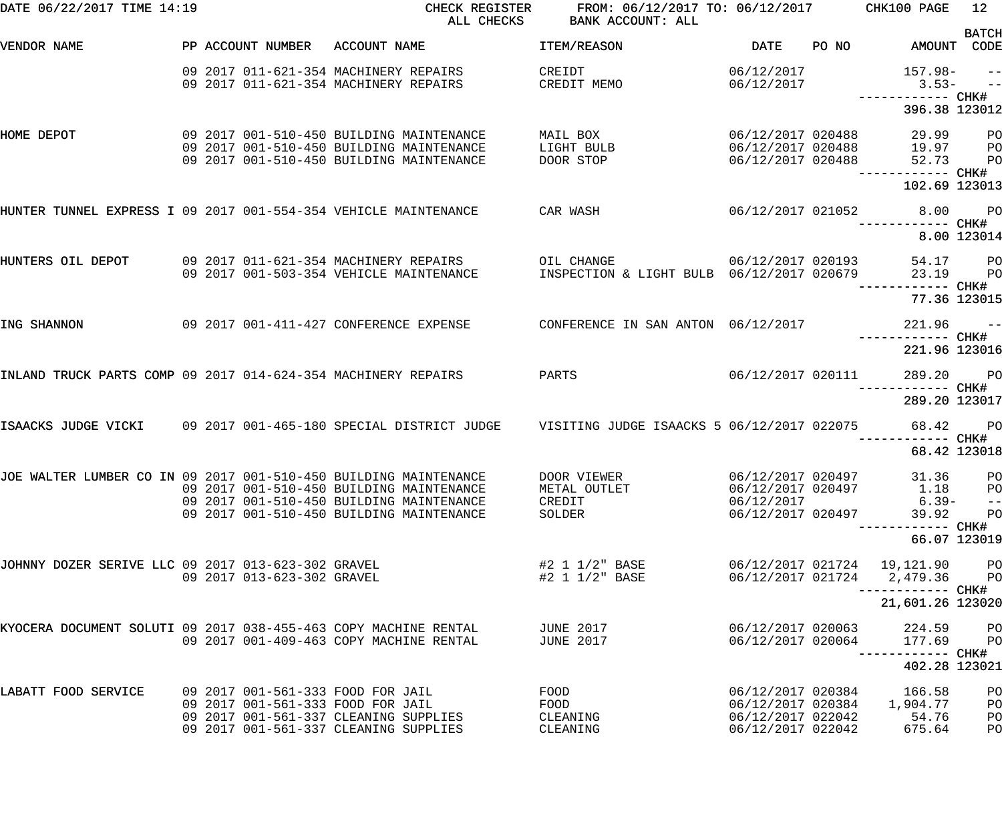| DATE 06/22/2017 TIME 14:19                                      |  |                            | CHECK REGISTER<br>ALL CHECKS                                                                                                   | FROM: 06/12/2017 TO: 06/12/2017 CHK100 PAGE<br>BANK ACCOUNT: ALL |                                                             |       |                                             | 12                               |
|-----------------------------------------------------------------|--|----------------------------|--------------------------------------------------------------------------------------------------------------------------------|------------------------------------------------------------------|-------------------------------------------------------------|-------|---------------------------------------------|----------------------------------|
| VENDOR NAME                                                     |  | PP ACCOUNT NUMBER          | ACCOUNT NAME                                                                                                                   | ITEM/REASON                                                      | <b>DATE</b>                                                 | PO NO | AMOUNT CODE                                 | <b>BATCH</b>                     |
|                                                                 |  |                            | 09 2017 011-621-354 MACHINERY REPAIRS<br>09 2017 011-621-354 MACHINERY REPAIRS                                                 | CREIDT<br>CREDIT MEMO                                            | 06/12/2017<br>06/12/2017                                    |       | $157.98 - -$<br>$3.53-$                     | $ -$                             |
|                                                                 |  |                            |                                                                                                                                |                                                                  |                                                             |       | 396.38 123012                               |                                  |
| HOME DEPOT                                                      |  |                            | 09 2017 001-510-450 BUILDING MAINTENANCE<br>09 2017 001-510-450 BUILDING MAINTENANCE                                           | MAIL BOX<br>LIGHT BULB                                           | 06/12/2017 020488<br>06/12/2017 020488                      |       | 29.99<br>19.97 PO                           | <b>PO</b>                        |
|                                                                 |  |                            | 09 2017 001-510-450 BUILDING MAINTENANCE                                                                                       | DOOR STOP                                                        | 06/12/2017 020488                                           |       | 52.73<br>------------ CHK#<br>102.69 123013 | P <sub>O</sub>                   |
| HUNTER TUNNEL EXPRESS I 09 2017 001-554-354 VEHICLE MAINTENANCE |  |                            |                                                                                                                                | CAR WASH                                                         | 06/12/2017 021052                                           |       |                                             | 8.00 PO                          |
|                                                                 |  |                            |                                                                                                                                |                                                                  |                                                             |       |                                             | 8.00 123014                      |
| HUNTERS OIL DEPOT 09 2017 011-621-354 MACHINERY REPAIRS         |  |                            | 09 2017 001-503-354 VEHICLE MAINTENANCE                                                                                        | OIL CHANGE<br>INSPECTION & LIGHT BULB 06/12/2017 020679          | 06/12/2017 020193                                           |       | 54.17<br>23.19                              | <b>PO</b><br>$P$ O               |
|                                                                 |  |                            |                                                                                                                                |                                                                  |                                                             |       | 77.36 123015                                |                                  |
| ING SHANNON                                                     |  |                            | 09 2017 001-411-427 CONFERENCE EXPENSE                                                                                         | CONFERENCE IN SAN ANTON 06/12/2017                               |                                                             |       | 221.96<br>------------ CHK#                 | $\sim$ $ -$                      |
|                                                                 |  |                            |                                                                                                                                |                                                                  |                                                             |       | 221.96 123016                               |                                  |
| INLAND TRUCK PARTS COMP 09 2017 014-624-354 MACHINERY REPAIRS   |  |                            |                                                                                                                                | PARTS                                                            | 06/12/2017 020111                                           |       | 289.20                                      | <b>PO</b>                        |
|                                                                 |  |                            |                                                                                                                                |                                                                  |                                                             |       | 289.20 123017                               |                                  |
|                                                                 |  |                            | ISAACKS JUDGE VICKI 09 2017 001-465-180 SPECIAL DISTRICT JUDGE VISITING JUDGE ISAACKS 5 06/12/2017 022075                      |                                                                  |                                                             |       | 68.42<br>----------- CHK#                   | <b>PO</b>                        |
|                                                                 |  |                            |                                                                                                                                |                                                                  |                                                             |       | 68.42 123018                                |                                  |
|                                                                 |  |                            | JOE WALTER LUMBER CO IN 09 2017 001-510-450 BUILDING MAINTENANCE       DOOR VIEWER<br>09 2017 001-510-450 BUILDING MAINTENANCE | METAL OUTLET                                                     | 06/12/2017 020497<br>06/12/2017 020497                      |       | 31.36 PO<br>1.18                            | P <sub>O</sub>                   |
|                                                                 |  |                            | 09 2017 001-510-450 BUILDING MAINTENANCE<br>09 2017 001-510-450 BUILDING MAINTENANCE                                           | CREDIT<br>SOLDER                                                 | 06/12/2017<br>06/12/2017 020497                             |       | $6.39-$<br>39.92                            | $\qquad \qquad -$<br>PO          |
|                                                                 |  |                            |                                                                                                                                |                                                                  |                                                             |       | 66.07 123019                                |                                  |
| JOHNNY DOZER SERIVE LLC 09 2017 013-623-302 GRAVEL              |  |                            |                                                                                                                                | #2 1 1/2" BASE                                                   |                                                             |       | 06/12/2017 021724 19,121.90                 | $P$ O                            |
|                                                                 |  | 09 2017 013-623-302 GRAVEL |                                                                                                                                | #2 1 1/2" BASE                                                   | 06/12/2017 021724                                           |       | 2,479.36<br>------------ CHK#               | P <sub>O</sub>                   |
|                                                                 |  |                            |                                                                                                                                |                                                                  |                                                             |       | 21,601.26 123020                            |                                  |
| KYOCERA DOCUMENT SOLUTI 09 2017 038-455-463 COPY MACHINE RENTAL |  |                            | 09 2017 001-409-463 COPY MACHINE RENTAL                                                                                        | <b>JUNE 2017</b><br><b>JUNE 2017</b>                             | 06/12/2017 020063<br>06/12/2017 020064                      |       | 224.59<br>177.69                            | P <sub>O</sub><br>P <sub>O</sub> |
|                                                                 |  |                            |                                                                                                                                |                                                                  |                                                             |       | 402.28 123021                               |                                  |
| LABATT FOOD SERVICE                                             |  |                            | 09 2017 001-561-333 FOOD FOR JAIL                                                                                              | FOOD                                                             | 06/12/2017 020384                                           |       | 166.58                                      | PO                               |
|                                                                 |  |                            | 09 2017 001-561-333 FOOD FOR JAIL<br>09 2017 001-561-337 CLEANING SUPPLIES<br>09 2017 001-561-337 CLEANING SUPPLIES            | FOOD<br>CLEANING<br>CLEANING                                     | 06/12/2017 020384<br>06/12/2017 022042<br>06/12/2017 022042 |       | 1,904.77<br>54.76<br>675.64                 | PO<br>PO<br>PO                   |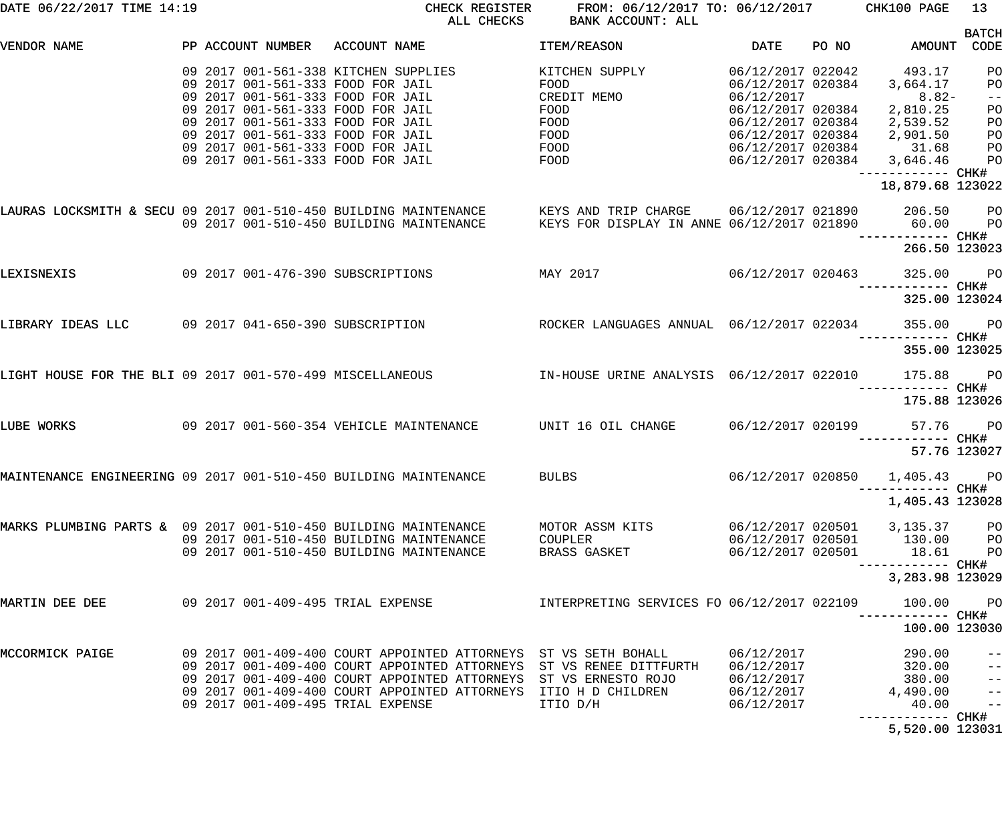| DATE 06/22/2017 TIME 14:19                                      |  | CHECK REGISTER<br>ALL CHECKS                                                                                                                                      | FROM: 06/12/2017 TO: 06/12/2017 CHK100 PAGE<br>BANK ACCOUNT: ALL |                                                             |                                                                                     | 13                                             |
|-----------------------------------------------------------------|--|-------------------------------------------------------------------------------------------------------------------------------------------------------------------|------------------------------------------------------------------|-------------------------------------------------------------|-------------------------------------------------------------------------------------|------------------------------------------------|
| VENDOR NAME                                                     |  | PP ACCOUNT NUMBER ACCOUNT NAME                                                                                                                                    | ITEM/REASON                                                      | DATE                                                        | PO NO AMOUNT                                                                        | <b>BATCH</b><br>CODE                           |
|                                                                 |  | 09 2017 001-561-338 KITCHEN SUPPLIES<br>09 2017 001-561-333 FOOD FOR JAIL                                                                                         | KITCHEN SUPPLY 06/12/2017 022042<br>FOOD                         |                                                             | 493.17<br>06/12/2017 020384 3,664.17                                                | PO<br>PO                                       |
|                                                                 |  | 09 2017 001-561-333 FOOD FOR JAIL<br>09 2017 001-561-333 FOOD FOR JAIL<br>09 2017 001-561-333 FOOD FOR JAIL                                                       | CREDIT MEMO<br>FOOD<br>FOOD <b>FOOD</b>                          | 06/12/2017                                                  | $8.82-$<br>06/12/2017 020384 2,810.25<br>06/12/2017 020384 2,539.52                 | $\frac{1}{2}$<br>PO<br>PO                      |
|                                                                 |  | 09 2017 001-561-333 FOOD FOR JAIL<br>09 2017 001-561-333 FOOD FOR JAIL<br>09 2017 001-561-333 FOOD FOR JAIL                                                       | FOOD<br>FOOD<br>FOOD <b>Example 20</b>                           |                                                             | 06/12/2017 020384 2,901.50<br>06/12/2017 020384 31.68<br>06/12/2017 020384 3,646.46 | PO<br>PO<br>P <sub>O</sub>                     |
|                                                                 |  |                                                                                                                                                                   |                                                                  |                                                             | 18,879.68 123022                                                                    |                                                |
|                                                                 |  | LAURAS LOCKSMITH & SECU 09 2017 001-510-450 BUILDING MAINTENANCE       KEYS AND TRIP CHARGE<br>09 2017 001-510-450 BUILDING MAINTENANCE                           | KEYS FOR DISPLAY IN ANNE 06/12/2017 021890 60.00                 |                                                             | 06/12/2017 021890 206.50 PO                                                         | P <sub>O</sub>                                 |
|                                                                 |  |                                                                                                                                                                   |                                                                  |                                                             | ------------ CHK#<br>266.50 123023                                                  |                                                |
| LEXISNEXIS                                                      |  | 09 2017 001-476-390 SUBSCRIPTIONS                                                                                                                                 | MAY 2017                                                         | 06/12/2017 020463                                           | 325.00<br>------------ CHK#                                                         | <b>PO</b>                                      |
| LIBRARY IDEAS LLC                                               |  | 09 2017 041-650-390 SUBSCRIPTION ROCKER LANGUAGES ANNUAL 06/12/2017 022034                                                                                        |                                                                  |                                                             | 325.00 123024<br>355.00                                                             | <b>PO</b>                                      |
|                                                                 |  |                                                                                                                                                                   |                                                                  |                                                             | ------------ CHK#<br>355.00 123025                                                  |                                                |
|                                                                 |  | LIGHT HOUSE FOR THE BLI 09 2017 001-570-499 MISCELLANEOUS TRO TH-HOUSE URINE ANALYSIS 06/12/2017 022010                                                           |                                                                  |                                                             | 175.88<br>------------ CHK#                                                         | <b>PO</b>                                      |
|                                                                 |  |                                                                                                                                                                   |                                                                  |                                                             | 175.88 123026                                                                       |                                                |
| LUBE WORKS                                                      |  | 09 2017 001-560-354 VEHICLE MAINTENANCE UNIT 16 OIL CHANGE                                                                                                        |                                                                  |                                                             | 06/12/2017 020199 57.76 PO<br>------------ CHK#<br>57.76 123027                     |                                                |
|                                                                 |  | MAINTENANCE ENGINEERING 09 2017 001-510-450 BUILDING MAINTENANCE BULBS                                                                                            |                                                                  |                                                             | 06/12/2017 020850 1,405.43 PO                                                       |                                                |
|                                                                 |  |                                                                                                                                                                   |                                                                  |                                                             | 1,405.43 123028                                                                     |                                                |
| MARKS PLUMBING PARTS & 09 2017 001-510-450 BUILDING MAINTENANCE |  | 09 2017 001-510-450 BUILDING MAINTENANCE<br>09 2017 001-510-450 BUILDING MAINTENANCE                                                                              | MOTOR ASSM KITS<br>COUPLER<br>BRASS GASKET                       | 06/12/2017 020501<br>06/12/2017 020501<br>06/12/2017 020501 | 3,135.37<br>130.00<br>18.61<br>------------ CHK#                                    | PO<br>PO<br>P <sub>O</sub>                     |
|                                                                 |  |                                                                                                                                                                   |                                                                  |                                                             | 3,283.98 123029                                                                     |                                                |
| MARTIN DEE DEE                                                  |  | 09 2017 001-409-495 TRIAL EXPENSE                                                                                                                                 | INTERPRETING SERVICES FO 06/12/2017 022109                       |                                                             | 100.00<br>100.00 123030                                                             | P <sub>O</sub>                                 |
| MCCORMICK PAIGE                                                 |  | 09 2017 001-409-400 COURT APPOINTED ATTORNEYS ST VS SETH BOHALL<br>09 2017 001-409-400 COURT APPOINTED ATTORNEYS<br>09 2017 001-409-400 COURT APPOINTED ATTORNEYS | ST VS RENEE DITTFURTH<br>ST VS ERNESTO ROJO                      | 06/12/2017<br>06/12/2017<br>06/12/2017                      | 290.00<br>320.00<br>380.00                                                          | $ -$<br>$\qquad \qquad -$<br>$\qquad \qquad -$ |
|                                                                 |  | 09 2017 001-409-400 COURT APPOINTED ATTORNEYS<br>09 2017 001-409-495 TRIAL EXPENSE                                                                                | ITIO H D CHILDREN<br>ITIO D/H                                    | 06/12/2017<br>06/12/2017                                    | 4,490.00<br>40.00                                                                   | $-$<br>$\pm$ $\pm$                             |
|                                                                 |  |                                                                                                                                                                   |                                                                  |                                                             | 5,520.00 123031                                                                     |                                                |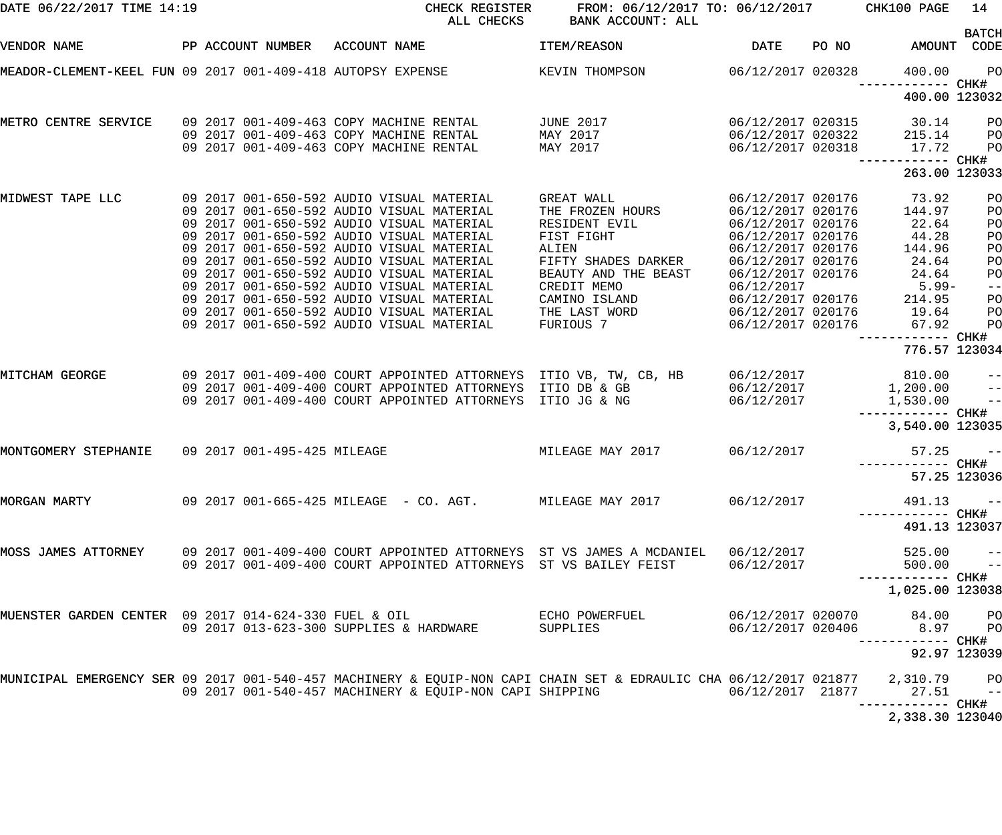| DATE 06/22/2017 TIME 14:19                                  |  |                             | CHECK REGISTER<br>ALL CHECKS                                                                                               | FROM: 06/12/2017 TO: 06/12/2017<br>BANK ACCOUNT: ALL |                                        |       | CHK100 PAGE                       | 14                               |
|-------------------------------------------------------------|--|-----------------------------|----------------------------------------------------------------------------------------------------------------------------|------------------------------------------------------|----------------------------------------|-------|-----------------------------------|----------------------------------|
| VENDOR NAME                                                 |  | PP ACCOUNT NUMBER           | ACCOUNT NAME                                                                                                               | <b>ITEM/REASON</b>                                   | <b>DATE</b>                            | PO NO | AMOUNT CODE                       | <b>BATCH</b>                     |
| MEADOR-CLEMENT-KEEL FUN 09 2017 001-409-418 AUTOPSY EXPENSE |  |                             |                                                                                                                            | KEVIN THOMPSON                                       | 06/12/2017 020328                      |       | 400.00<br>------------ CHK#       | PO                               |
|                                                             |  |                             |                                                                                                                            |                                                      |                                        |       | 400.00 123032                     |                                  |
| METRO CENTRE SERVICE                                        |  |                             | 09 2017 001-409-463 COPY MACHINE RENTAL<br>09 2017 001-409-463 COPY MACHINE RENTAL                                         | <b>JUNE 2017</b><br>MAY 2017                         | 06/12/2017 020315<br>06/12/2017 020322 |       | 30.14<br>215.14                   | P <sub>O</sub><br>P <sub>O</sub> |
|                                                             |  |                             | 09 2017 001-409-463 COPY MACHINE RENTAL                                                                                    | MAY 2017                                             | 06/12/2017 020318                      |       | 17.72<br>------------ CHK#        | P <sub>O</sub>                   |
|                                                             |  |                             |                                                                                                                            |                                                      |                                        |       | 263.00 123033                     |                                  |
| MIDWEST TAPE LLC                                            |  |                             | 09 2017 001-650-592 AUDIO VISUAL MATERIAL<br>09 2017 001-650-592 AUDIO VISUAL MATERIAL                                     | GREAT WALL<br>THE FROZEN HOURS                       | 06/12/2017 020176<br>06/12/2017 020176 |       | 73.92<br>144.97                   | P <sub>O</sub><br>PO             |
|                                                             |  |                             | 09 2017 001-650-592 AUDIO VISUAL MATERIAL<br>09 2017 001-650-592 AUDIO VISUAL MATERIAL                                     | RESIDENT EVIL<br>FIST FIGHT                          | 06/12/2017 020176<br>06/12/2017 020176 |       | 22.64<br>44.28                    | PO<br>PO                         |
|                                                             |  |                             | 09 2017 001-650-592 AUDIO VISUAL MATERIAL                                                                                  | ALIEN                                                | 06/12/2017 020176                      |       | 144.96                            | PO                               |
|                                                             |  |                             | 09 2017 001-650-592 AUDIO VISUAL MATERIAL                                                                                  | FIFTY SHADES DARKER                                  | 06/12/2017 020176                      |       | 24.64                             | PO                               |
|                                                             |  |                             | 09 2017 001-650-592 AUDIO VISUAL MATERIAL<br>09 2017 001-650-592 AUDIO VISUAL MATERIAL                                     | BEAUTY AND THE BEAST<br>CREDIT MEMO                  | 06/12/2017 020176<br>06/12/2017        |       | 24.64<br>$5.99-$                  | PO<br>$ -$                       |
|                                                             |  |                             | 09 2017 001-650-592 AUDIO VISUAL MATERIAL                                                                                  | CAMINO ISLAND                                        | 06/12/2017 020176                      |       | 214.95                            | PO                               |
|                                                             |  |                             | 09 2017 001-650-592 AUDIO VISUAL MATERIAL                                                                                  | THE LAST WORD                                        | 06/12/2017 020176                      |       | 19.64                             | PO                               |
|                                                             |  |                             | 09 2017 001-650-592 AUDIO VISUAL MATERIAL                                                                                  | FURIOUS 7                                            | 06/12/2017 020176                      |       | 67.92<br>------------ CHK#        | PO                               |
|                                                             |  |                             |                                                                                                                            |                                                      |                                        |       | 776.57 123034                     |                                  |
| MITCHAM GEORGE                                              |  |                             | 09 2017 001-409-400 COURT APPOINTED ATTORNEYS ITIO VB, TW, CB, HB                                                          |                                                      | 06/12/2017                             |       | 810.00                            | $- -$                            |
|                                                             |  |                             | 09 2017 001-409-400 COURT APPOINTED ATTORNEYS<br>09 2017 001-409-400 COURT APPOINTED ATTORNEYS                             | ITIO DB & GB<br>ITIO JG & NG                         | 06/12/2017<br>06/12/2017               |       | 1,200.00<br>1,530.00              | $\frac{1}{2}$<br>$ -$            |
|                                                             |  |                             |                                                                                                                            |                                                      |                                        |       | ------------ CHK#                 |                                  |
|                                                             |  |                             |                                                                                                                            |                                                      |                                        |       | 3,540.00 123035                   |                                  |
| MONTGOMERY STEPHANIE                                        |  | 09 2017 001-495-425 MILEAGE |                                                                                                                            | MILEAGE MAY 2017                                     | 06/12/2017                             |       | 57.25                             | $ -$                             |
|                                                             |  |                             |                                                                                                                            |                                                      |                                        |       | 57.25 123036                      |                                  |
| MORGAN MARTY                                                |  |                             |                                                                                                                            |                                                      | 06/12/2017                             |       | 491.13                            | $\sim$ $-$                       |
|                                                             |  |                             |                                                                                                                            |                                                      |                                        |       | 491.13 123037                     |                                  |
| MOSS JAMES ATTORNEY                                         |  |                             | 09 2017 001-409-400 COURT APPOINTED ATTORNEYS ST VS JAMES A MCDANIEL                                                       |                                                      | 06/12/2017                             |       | 525.00                            | $\sim$ $-$                       |
|                                                             |  |                             | 09 2017 001-409-400 COURT APPOINTED ATTORNEYS ST VS BAILEY FEIST                                                           |                                                      | 06/12/2017                             |       | 500.00                            | $\frac{1}{2}$                    |
|                                                             |  |                             |                                                                                                                            |                                                      |                                        |       | 1,025.00 123038                   |                                  |
| MUENSTER GARDEN CENTER 09 2017 014-624-330 FUEL & OIL       |  |                             | 09 2017 013-623-300 SUPPLIES & HARDWARE                                                                                    | ECHO POWERFUEL<br>SUPPLIES                           | 06/12/2017 020070<br>06/12/2017 020406 |       | 84.00<br>8.97<br>----------- CHK# | PO<br>PO                         |
|                                                             |  |                             |                                                                                                                            |                                                      |                                        |       |                                   | 92.97 123039                     |
|                                                             |  |                             | MUNICIPAL EMERGENCY SER 09 2017 001-540-457 MACHINERY & EQUIP-NON CAPI CHAIN SET & EDRAULIC CHA 06/12/2017 021877 2,310.79 |                                                      |                                        |       |                                   | PO                               |
|                                                             |  |                             | 09 2017 001-540-457 MACHINERY & EQUIP-NON CAPI SHIPPING                                                                    |                                                      | 06/12/2017 21877                       |       | 27.51<br>----------- CHK#         | $- -$                            |
|                                                             |  |                             |                                                                                                                            |                                                      |                                        |       | 2,338.30 123040                   |                                  |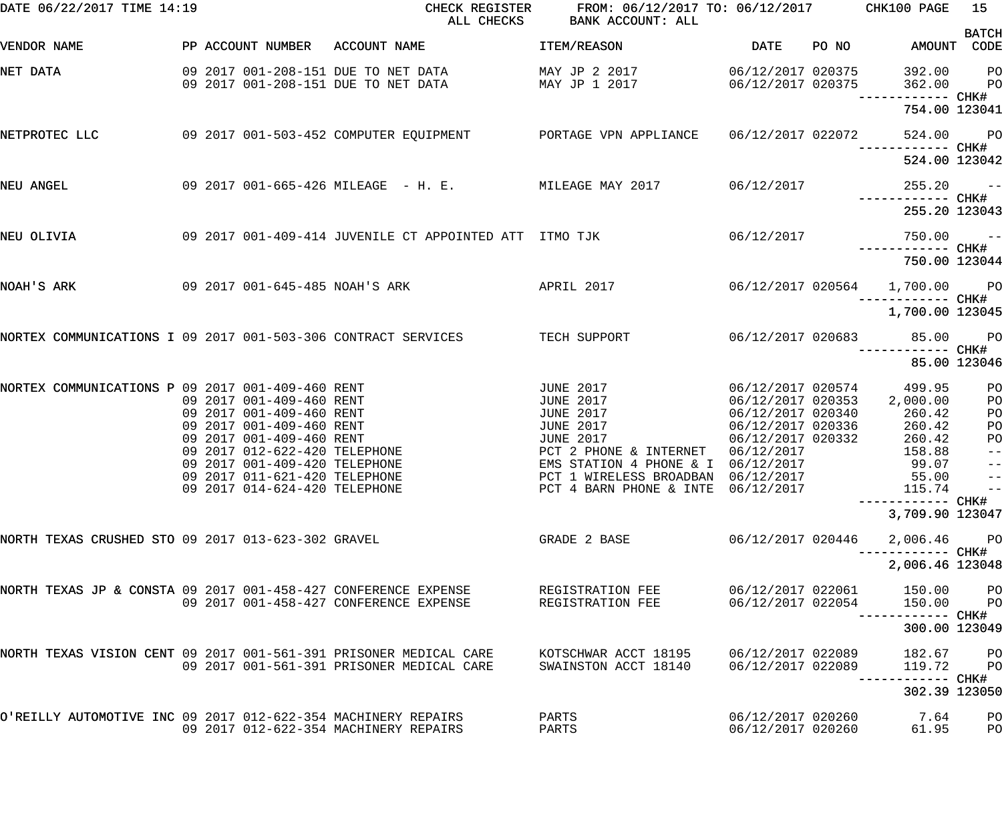| DATE 06/22/2017 TIME 14:19                                        |  |                                                                | CHECK REGISTER<br>ALL CHECKS                                               | FROM: 06/12/2017 TO: 06/12/2017 CHK100 PAGE<br>BANK ACCOUNT: ALL |                                        |       |                                   | 15                          |
|-------------------------------------------------------------------|--|----------------------------------------------------------------|----------------------------------------------------------------------------|------------------------------------------------------------------|----------------------------------------|-------|-----------------------------------|-----------------------------|
| VENDOR NAME                                                       |  |                                                                | PP ACCOUNT NUMBER ACCOUNT NAME                                             | ITEM/REASON                                                      | DATE                                   | PO NO | AMOUNT CODE                       | <b>BATCH</b>                |
| NET DATA                                                          |  |                                                                | 09 2017 001-208-151 DUE TO NET DATA<br>09 2017 001-208-151 DUE TO NET DATA | MAY JP 2 2017<br>MAY JP 1 2017                                   | 06/12/2017 020375<br>06/12/2017 020375 |       | 392.00<br>362.00                  | <b>PO</b><br>$P$ O          |
|                                                                   |  |                                                                |                                                                            |                                                                  |                                        |       | 754.00 123041                     |                             |
| NETPROTEC LLC                                                     |  |                                                                | 09  2017  001-503-452  COMPUTER EQUIPMENT   PORTAGE VPN APPLIANCE          |                                                                  | 06/12/2017 022072                      |       | 524.00                            | <b>PO</b>                   |
|                                                                   |  |                                                                |                                                                            |                                                                  |                                        |       | 524.00 123042                     |                             |
| NEU ANGEL                                                         |  |                                                                | 09 2017 001-665-426 MILEAGE - H. E. MILEAGE MAY 2017 66/12/2017            |                                                                  |                                        |       | $255.20 - -$<br>------------ CHK# |                             |
|                                                                   |  |                                                                |                                                                            |                                                                  |                                        |       | 255.20 123043                     |                             |
| NEU OLIVIA                                                        |  |                                                                | 09 2017 001-409-414 JUVENILE CT APPOINTED ATT ITMO TJK                     |                                                                  | 06/12/2017                             |       | $750.00 - -$                      |                             |
|                                                                   |  |                                                                |                                                                            |                                                                  |                                        |       | 750.00 123044                     |                             |
| NOAH'S ARK                                                        |  |                                                                |                                                                            |                                                                  | 06/12/2017 020564                      |       | 1,700.00 PO<br>—————————— CHK#    |                             |
|                                                                   |  |                                                                |                                                                            |                                                                  |                                        |       | 1,700.00 123045                   |                             |
| NORTEX COMMUNICATIONS I 09 2017 001-503-306 CONTRACT SERVICES     |  |                                                                |                                                                            | TECH SUPPORT                                                     | 06/12/2017 020683                      |       | 85.00 PO                          |                             |
|                                                                   |  |                                                                |                                                                            |                                                                  |                                        |       | 85.00 123046                      |                             |
| NORTEX COMMUNICATIONS P 09 2017 001-409-460 RENT                  |  | 09 2017 001-409-460 RENT                                       |                                                                            | <b>JUNE 2017</b><br><b>JUNE 2017</b>                             | 06/12/2017 020574<br>06/12/2017 020353 |       | 499.95<br>2,000.00                | PO<br>PO                    |
|                                                                   |  | 09 2017 001-409-460 RENT                                       |                                                                            | <b>JUNE 2017</b>                                                 | 06/12/2017 020340                      |       | 260.42                            | PO                          |
|                                                                   |  | 09 2017 001-409-460 RENT                                       |                                                                            | <b>JUNE 2017</b>                                                 | 06/12/2017 020336                      |       | 260.42                            | PO                          |
|                                                                   |  | 09 2017 001-409-460 RENT                                       |                                                                            | JUNE 2017                                                        | 06/12/2017 020332                      |       | 260.42                            | PO                          |
|                                                                   |  | 09 2017 012-622-420 TELEPHONE<br>09 2017 001-409-420 TELEPHONE |                                                                            | PCT 2 PHONE & INTERNET<br>EMS STATION 4 PHONE & I 06/12/2017     | 06/12/2017                             |       | 158.88<br>99.07                   | $\frac{-}{1}$               |
|                                                                   |  | 09 2017 011-621-420 TELEPHONE                                  |                                                                            | PCT 1 WIRELESS BROADBAN 06/12/2017                               |                                        |       | 55.00                             |                             |
|                                                                   |  | 09 2017 014-624-420 TELEPHONE                                  |                                                                            | PCT 4 BARN PHONE & INTE 06/12/2017                               |                                        |       | 115.74                            | $ -$<br>$\sim$ $ -$         |
|                                                                   |  |                                                                |                                                                            |                                                                  |                                        |       |                                   |                             |
|                                                                   |  |                                                                |                                                                            |                                                                  |                                        |       | 3,709.90 123047                   |                             |
| NORTH TEXAS CRUSHED STO 09 2017 013-623-302 GRAVEL                |  |                                                                |                                                                            | GRADE 2 BASE                                                     | 06/12/2017 020446                      |       | 2,006.46                          | $P$ O                       |
|                                                                   |  |                                                                |                                                                            |                                                                  |                                        |       | 2,006.46 123048                   |                             |
| NORTH TEXAS JP & CONSTA 09 2017 001-458-427 CONFERENCE EXPENSE    |  |                                                                | 09 2017 001-458-427 CONFERENCE EXPENSE                                     | REGISTRATION FEE<br>REGISTRATION FEE                             | 06/12/2017 022061<br>06/12/2017 022054 |       | 150.00<br>150.00                  | <b>PO</b><br>P <sub>O</sub> |
|                                                                   |  |                                                                |                                                                            |                                                                  |                                        |       | ------- CHK#<br>300.00 123049     |                             |
| NORTH TEXAS VISION CENT 09 2017 001-561-391 PRISONER MEDICAL CARE |  |                                                                |                                                                            | KOTSCHWAR ACCT 18195                                             | 06/12/2017 022089                      |       | 182.67                            | $P$ O                       |
|                                                                   |  |                                                                | 09 2017 001-561-391 PRISONER MEDICAL CARE                                  | SWAINSTON ACCT 18140                                             | 06/12/2017 022089                      |       | 119.72<br>------- CHK#            | $P$ O                       |
|                                                                   |  |                                                                |                                                                            |                                                                  |                                        |       | 302.39 123050                     |                             |
| O'REILLY AUTOMOTIVE INC 09 2017 012-622-354 MACHINERY REPAIRS     |  |                                                                | 09 2017 012-622-354 MACHINERY REPAIRS                                      | PARTS<br>PARTS                                                   | 06/12/2017 020260<br>06/12/2017 020260 |       | 7.64<br>61.95                     | PO<br>PO                    |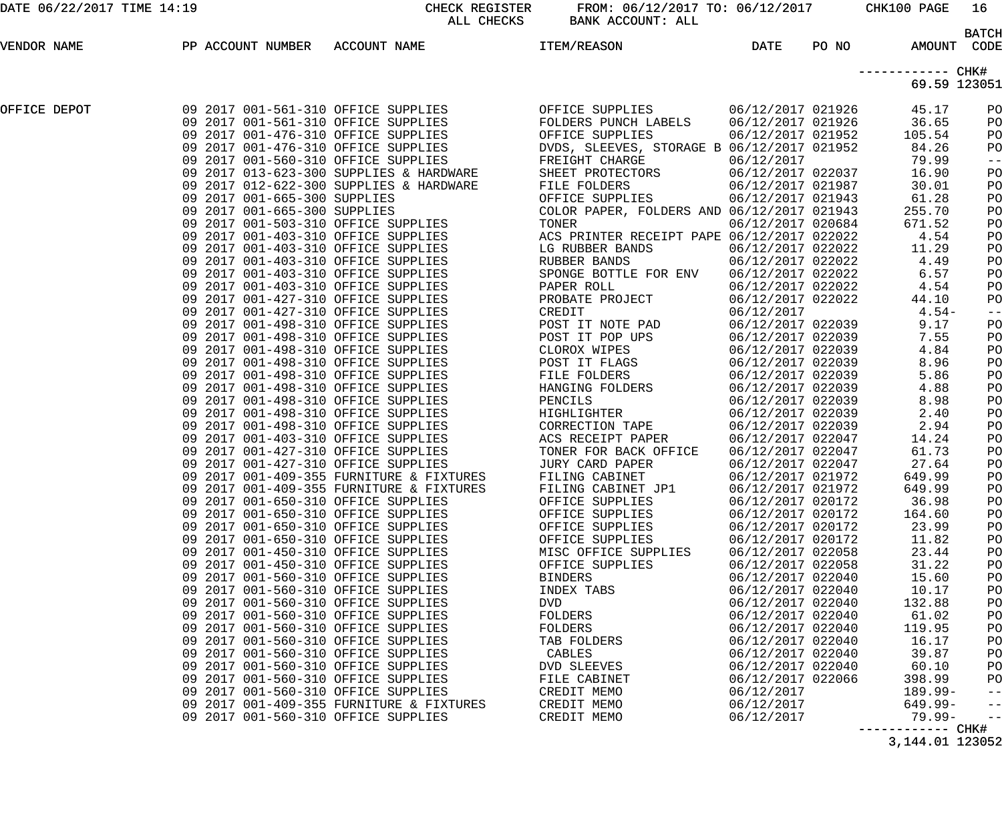| DATE 06/22/2017 TIME 14:19 |                                                                            | CHECK REGISTER<br>ALL CHECKS                                                                                                                                                                                                               | FROM: 06/12/2017 TO: 06/12/2017 CHK100 PAGE<br>BANK ACCOUNT: ALL |                                        |       |                   | 16<br><b>BATCH</b> |
|----------------------------|----------------------------------------------------------------------------|--------------------------------------------------------------------------------------------------------------------------------------------------------------------------------------------------------------------------------------------|------------------------------------------------------------------|----------------------------------------|-------|-------------------|--------------------|
| VENDOR NAME                |                                                                            | PP ACCOUNT NUMBER ACCOUNT NAME                                                                                                                                                                                                             | ITEM/REASON                                                      | DATE                                   | PO NO |                   | AMOUNT CODE        |
|                            |                                                                            |                                                                                                                                                                                                                                            |                                                                  |                                        |       | ------------ CHK# |                    |
|                            |                                                                            |                                                                                                                                                                                                                                            |                                                                  |                                        |       |                   | 69.59 123051       |
| OFFICE DEPOT               |                                                                            | 09 2017 001-561-310 OFFICE SUPPLIES                           OFFICE SUPPLIES                           06/12/2017 021926<br>09 2017 001-561-310 OFFICE SUPPLIES                   FOLDERS PUNCH LABELS     06/12/2017 021926              |                                                                  |                                        |       | 45.17             | PO                 |
|                            |                                                                            |                                                                                                                                                                                                                                            |                                                                  |                                        |       | 36.65             | PO                 |
|                            |                                                                            | 09 2017 001-476-310 OFFICE SUPPLIES<br>09 2017 001-476-310 OFFICE SUPPLIES<br>09 2017 001-560-310 OFFICE SUPPLIES<br>09 2017 013-623-300 SUPPLIES & HARDWARE                                                                               | OFFICE SUPPLIES                                                  | 06/12/2017 021952                      |       | 105.54            | PO                 |
|                            |                                                                            |                                                                                                                                                                                                                                            | DVDS, SLEEVES, STORAGE B 06/12/2017 021952                       |                                        |       | 84.26             | PO                 |
|                            |                                                                            |                                                                                                                                                                                                                                            | FREIGHT CHARGE                                                   | 06/12/2017                             |       | 79.99             | $- -$              |
|                            |                                                                            |                                                                                                                                                                                                                                            | SHEET PROTECTORS                                                 | 06/12/2017 022037                      |       | 16.90             | PO                 |
|                            |                                                                            | 09 2017 012-622-300 SUPPLIES & HARDWARE                                                                                                                                                                                                    | FILE FOLDERS                                                     | 06/12/2017 021987                      |       | 30.01             | PO                 |
|                            |                                                                            |                                                                                                                                                                                                                                            |                                                                  |                                        |       | 61.28             | PO                 |
|                            |                                                                            |                                                                                                                                                                                                                                            |                                                                  |                                        |       | 255.70            | PO                 |
|                            |                                                                            |                                                                                                                                                                                                                                            |                                                                  |                                        |       | 671.52            | PO                 |
|                            |                                                                            | 09 2017 001-665-300 SUPPLIES<br>09 2017 001-665-300 SUPPLIES<br>09 2017 001-665-300 SUPPLIES<br>09 2017 001-665-300 SUPPLIES<br>09 2017 001-403-310 OFFICE SUPPLIES<br>09 2017 001-403-310 OFFICE SUPPLIES<br>2017 001-403-310 OFFICE SUPP |                                                                  |                                        |       | 4.54              | PO                 |
|                            |                                                                            |                                                                                                                                                                                                                                            |                                                                  |                                        |       | 11.29             | PO                 |
|                            |                                                                            |                                                                                                                                                                                                                                            |                                                                  |                                        |       | 4.49              | PO                 |
|                            |                                                                            |                                                                                                                                                                                                                                            |                                                                  |                                        |       | 6.57              | PO                 |
|                            | 09 2017 001-403-310 OFFICE SUPPLIES                                        |                                                                                                                                                                                                                                            | PAPER ROLL                                                       | 06/12/2017 022022                      |       | 4.54              | PO                 |
|                            | 09 2017 001-427-310 OFFICE SUPPLIES                                        |                                                                                                                                                                                                                                            | PROBATE PROJECT                                                  | 06/12/2017 022022                      |       | 44.10             | PO                 |
|                            | 09 2017 001-427-310 OFFICE SUPPLIES                                        |                                                                                                                                                                                                                                            | CREDIT                                                           | 06/12/2017                             |       | $4.54-$           | $- -$              |
|                            | 09 2017 001-498-310 OFFICE SUPPLIES                                        |                                                                                                                                                                                                                                            | POST IT NOTE PAD                                                 | 06/12/2017 022039                      |       | 9.17              | PO                 |
|                            | 09 2017 001-498-310 OFFICE SUPPLIES                                        |                                                                                                                                                                                                                                            | POST IT POP UPS                                                  | 06/12/2017 022039                      |       | 7.55              | PO                 |
|                            | 09 2017 001-498-310 OFFICE SUPPLIES                                        |                                                                                                                                                                                                                                            | CLOROX WIPES                                                     | 06/12/2017 022039                      |       | 4.84              | PO                 |
|                            | 09 2017 001-498-310 OFFICE SUPPLIES                                        |                                                                                                                                                                                                                                            | POST IT FLAGS                                                    | 06/12/2017 022039                      |       | 8.96              | PO                 |
|                            | 09 2017 001-498-310 OFFICE SUPPLIES                                        |                                                                                                                                                                                                                                            | FILE FOLDERS                                                     | 06/12/2017 022039                      |       | 5.86              | PO                 |
|                            | 09 2017 001-498-310 OFFICE SUPPLIES<br>09 2017 001-498-310 OFFICE SUPPLIES |                                                                                                                                                                                                                                            | HANGING FOLDERS<br>PENCILS                                       | 06/12/2017 022039<br>06/12/2017 022039 |       | 4.88<br>8.98      | PO                 |
|                            | 09 2017 001-498-310 OFFICE SUPPLIES                                        |                                                                                                                                                                                                                                            | HIGHLIGHTER                                                      | 06/12/2017 022039                      |       | 2.40              | PO<br>PO           |
|                            | 09 2017 001-498-310 OFFICE SUPPLIES                                        |                                                                                                                                                                                                                                            | CORRECTION TAPE                                                  | 06/12/2017 022039                      |       | 2.94              | PO                 |
|                            | 09 2017 001-403-310 OFFICE SUPPLIES                                        |                                                                                                                                                                                                                                            | ACS RECEIPT PAPER                                                | 06/12/2017 022047                      |       | 14.24             | PO                 |
|                            | 09 2017 001-427-310 OFFICE SUPPLIES                                        |                                                                                                                                                                                                                                            | TONER FOR BACK OFFICE                                            | 06/12/2017 022047                      |       | 61.73             | PO                 |
|                            | 09 2017 001-427-310 OFFICE SUPPLIES                                        |                                                                                                                                                                                                                                            | JURY CARD PAPER                                                  | 06/12/2017 022047                      |       | 27.64             | PO                 |
|                            |                                                                            | 09 2017 001-409-355 FURNITURE & FIXTURES                                                                                                                                                                                                   | FILING CABINET                                                   | 06/12/2017 021972                      |       | 649.99            | PO                 |
|                            |                                                                            | 09 2017 001-409-355 FURNITURE & FIXTURES                                                                                                                                                                                                   | FILING CABINET JP1                                               | 06/12/2017 021972                      |       | 649.99            | PO                 |
|                            | 09 2017 001-650-310 OFFICE SUPPLIES                                        |                                                                                                                                                                                                                                            | OFFICE SUPPLIES                                                  | 06/12/2017 020172                      |       | 36.98             | PO                 |
|                            | 09 2017 001-650-310 OFFICE SUPPLIES                                        |                                                                                                                                                                                                                                            | OFFICE SUPPLIES                                                  | 06/12/2017 020172                      |       | 164.60            | PO                 |
|                            | 09 2017 001-650-310 OFFICE SUPPLIES                                        |                                                                                                                                                                                                                                            | OFFICE SUPPLIES                                                  | 06/12/2017 020172                      |       | 23.99             | PO                 |
|                            | 09 2017 001-650-310 OFFICE SUPPLIES                                        |                                                                                                                                                                                                                                            | OFFICE SUPPLIES                                                  | 06/12/2017 020172                      |       | 11.82             | PO                 |
|                            | 09 2017 001-450-310 OFFICE SUPPLIES                                        |                                                                                                                                                                                                                                            | MISC OFFICE SUPPLIES                                             | 06/12/2017 022058                      |       | 23.44             | PO                 |
|                            | 09 2017 001-450-310 OFFICE SUPPLIES                                        |                                                                                                                                                                                                                                            | OFFICE SUPPLIES                                                  | 06/12/2017 022058                      |       | 31.22             | PO                 |
|                            | 09 2017 001-560-310 OFFICE SUPPLIES                                        |                                                                                                                                                                                                                                            | <b>BINDERS</b>                                                   | 06/12/2017 022040                      |       | 15.60             | PO                 |
|                            | 09 2017 001-560-310 OFFICE SUPPLIES                                        |                                                                                                                                                                                                                                            | INDEX TABS                                                       | 06/12/2017 022040                      |       | 10.17             | PO                 |
|                            | 09 2017 001-560-310 OFFICE SUPPLIES                                        |                                                                                                                                                                                                                                            | <b>DVD</b>                                                       | 06/12/2017 022040                      |       | 132.88            | PO                 |
|                            | 09 2017 001-560-310 OFFICE SUPPLIES                                        |                                                                                                                                                                                                                                            | FOLDERS                                                          | 06/12/2017 022040                      |       | 61.02             | PO                 |
|                            | 09 2017 001-560-310 OFFICE SUPPLIES                                        |                                                                                                                                                                                                                                            | FOLDERS                                                          | 06/12/2017 022040                      |       | 119.95            | PO                 |
|                            | 09 2017 001-560-310 OFFICE SUPPLIES                                        |                                                                                                                                                                                                                                            | TAB FOLDERS                                                      | 06/12/2017 022040                      |       | 16.17             | PO                 |
|                            | 09 2017 001-560-310 OFFICE SUPPLIES                                        |                                                                                                                                                                                                                                            | CABLES                                                           | 06/12/2017 022040                      |       | 39.87             | PO                 |
|                            | 09 2017 001-560-310 OFFICE SUPPLIES                                        |                                                                                                                                                                                                                                            | DVD SLEEVES                                                      | 06/12/2017 022040                      |       | 60.10             | PO                 |
|                            | 09 2017 001-560-310 OFFICE SUPPLIES                                        |                                                                                                                                                                                                                                            | FILE CABINET                                                     | 06/12/2017 022066                      |       | 398.99            | PO                 |
|                            | 09 2017 001-560-310 OFFICE SUPPLIES                                        |                                                                                                                                                                                                                                            | CREDIT MEMO                                                      | 06/12/2017                             |       | 189.99-           | $- -$              |
|                            |                                                                            | 09 2017 001-409-355 FURNITURE & FIXTURES                                                                                                                                                                                                   | CREDIT MEMO                                                      | 06/12/2017                             |       | $649.99 -$        | $ -$               |
|                            | 09 2017 001-560-310 OFFICE SUPPLIES                                        |                                                                                                                                                                                                                                            | CREDIT MEMO                                                      | 06/12/2017                             |       | $79.99 -$         | $- -$              |
|                            |                                                                            |                                                                                                                                                                                                                                            |                                                                  |                                        |       |                   |                    |

3,144.01 123052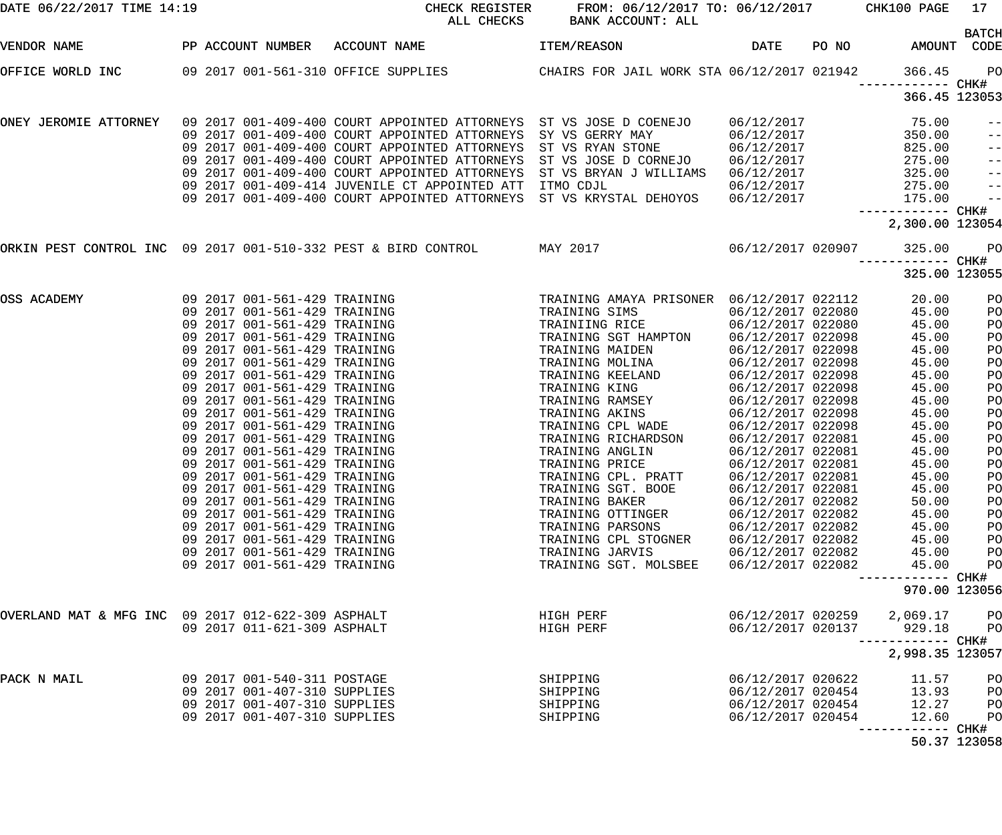| DATE 06/22/2017 TIME 14:19                         |                                                              | CHECK REGISTER<br>ALL CHECKS                                                                   | FROM: 06/12/2017 TO: 06/12/2017 CHK100 PAGE<br>BANK ACCOUNT: ALL |                                        |       |                               | 17                                     |
|----------------------------------------------------|--------------------------------------------------------------|------------------------------------------------------------------------------------------------|------------------------------------------------------------------|----------------------------------------|-------|-------------------------------|----------------------------------------|
| VENDOR NAME                                        | PP ACCOUNT NUMBER                                            | ACCOUNT NAME                                                                                   | ITEM/REASON                                                      | DATE                                   | PO NO | AMOUNT                        | <b>BATCH</b><br>CODE                   |
| OFFICE WORLD INC                                   | 09 2017 001-561-310 OFFICE SUPPLIES                          |                                                                                                | CHAIRS FOR JAIL WORK STA 06/12/2017 021942                       |                                        |       | 366.45                        | P <sub>O</sub>                         |
|                                                    |                                                              |                                                                                                |                                                                  |                                        |       | ------------<br>366.45 123053 | CHK#                                   |
| ONEY JEROMIE ATTORNEY                              |                                                              | 09 2017 001-409-400 COURT APPOINTED ATTORNEYS ST VS JOSE D COENEJO                             |                                                                  | 06/12/2017<br>06/12/2017<br>06/12/2017 |       | 75.00                         | $- -$                                  |
|                                                    |                                                              | 09 2017 001-409-400 COURT APPOINTED ATTORNEYS<br>09 2017 001-409-400 COURT APPOINTED ATTORNEYS | SY VS GERRY MAY<br>ST VS RYAN STONE                              |                                        |       | 350.00<br>825.00              | $\qquad \qquad -$<br>$\qquad \qquad -$ |
|                                                    |                                                              | 09 2017 001-409-400 COURT APPOINTED ATTORNEYS                                                  | ST VS JOSE D CORNEJO                                             | 06/12/2017                             |       | 275.00                        | $ -$                                   |
|                                                    |                                                              | 09 2017 001-409-400 COURT APPOINTED ATTORNEYS                                                  | ST VS BRYAN J WILLIAMS                                           | 06/12/2017                             |       | 325.00                        | $\qquad \qquad -$                      |
|                                                    |                                                              | 09 2017 001-409-414 JUVENILE CT APPOINTED ATT                                                  | ITMO CDJL                                                        | 06/12/2017                             |       | 275.00                        | $\frac{1}{2}$                          |
|                                                    |                                                              | 09 2017 001-409-400 COURT APPOINTED ATTORNEYS                                                  | ST VS KRYSTAL DEHOYOS                                            | 06/12/2017                             |       | 175.00                        | $\qquad \qquad -$                      |
|                                                    |                                                              |                                                                                                |                                                                  |                                        |       | 2,300.00 123054               |                                        |
|                                                    |                                                              | ORKIN PEST CONTROL INC 09 2017 001-510-332 PEST & BIRD CONTROL         MAY 2017                |                                                                  | 06/12/2017 020907                      |       | 325.00                        | P <sub>O</sub>                         |
|                                                    |                                                              |                                                                                                |                                                                  |                                        |       | 325.00 123055                 |                                        |
| OSS ACADEMY                                        |                                                              |                                                                                                | TRAINING AMAYA PRISONER 06/12/2017 022112                        |                                        |       | 20.00                         | PO                                     |
|                                                    |                                                              |                                                                                                | TRAINING SIMS                                                    | 06/12/2017 022080                      |       | 45.00                         | PO                                     |
|                                                    | 09 2017 001-561-429 TRAINING                                 |                                                                                                | TRAINIING RICE                                                   | 06/12/2017 022080                      |       | 45.00                         | PO                                     |
|                                                    | 09 2017 001-561-429 TRAINING                                 |                                                                                                | TRAINING SGT HAMPTON                                             | 06/12/2017 022098                      |       | 45.00                         | PO                                     |
|                                                    | 09 2017 001-561-429 TRAINING<br>09 2017 001-561-429 TRAINING |                                                                                                | TRAINING MAIDEN                                                  | 06/12/2017 022098                      |       | 45.00                         | PO                                     |
|                                                    | 09 2017 001-561-429 TRAINING                                 |                                                                                                | TRAINING MOLINA<br>TRAINING KEELAND                              | 06/12/2017 022098<br>06/12/2017 022098 |       | 45.00<br>45.00                | PO<br>PO                               |
|                                                    | 09 2017 001-561-429 TRAINING                                 |                                                                                                | TRAINING KING                                                    | 06/12/2017 022098                      |       | 45.00                         | PO                                     |
|                                                    | 09 2017 001-561-429 TRAINING                                 |                                                                                                | TRAINING RAMSEY                                                  | 06/12/2017 022098                      |       | 45.00                         | PO                                     |
|                                                    | 09 2017 001-561-429 TRAINING                                 |                                                                                                | TRAINING AKINS                                                   | 06/12/2017 022098                      |       | 45.00                         | PO                                     |
|                                                    | 09 2017 001-561-429 TRAINING                                 |                                                                                                | TRAINING CPL WADE                                                | 06/12/2017 022098                      |       | 45.00                         | PO                                     |
|                                                    | 09 2017 001-561-429 TRAINING                                 |                                                                                                | TRAINING RICHARDSON                                              | 06/12/2017 022081                      |       | 45.00                         | PO                                     |
|                                                    | 09 2017 001-561-429 TRAINING                                 |                                                                                                | TRAINING ANGLIN                                                  | 06/12/2017 022081                      |       | 45.00                         | PO                                     |
|                                                    | 09 2017 001-561-429 TRAINING<br>09 2017 001-561-429 TRAINING |                                                                                                | TRAINING PRICE<br>TRAINING CPL. PRATT                            | 06/12/2017 022081<br>06/12/2017 022081 |       | 45.00                         | PO                                     |
|                                                    | 09 2017 001-561-429 TRAINING                                 |                                                                                                | TRAINING SGT. BOOE                                               | 06/12/2017 022081                      |       | 45.00<br>45.00                | PO<br>PO                               |
|                                                    | 09 2017 001-561-429 TRAINING                                 |                                                                                                | TRAINING BAKER                                                   | 06/12/2017 022082                      |       | 50.00                         | PO                                     |
|                                                    | 09 2017 001-561-429 TRAINING                                 |                                                                                                | TRAINING OTTINGER                                                | 06/12/2017 022082                      |       | 45.00                         | PO                                     |
|                                                    | 09 2017 001-561-429 TRAINING                                 |                                                                                                | TRAINING PARSONS                                                 | 06/12/2017 022082                      |       | 45.00                         | PO                                     |
|                                                    | 09 2017 001-561-429 TRAINING                                 |                                                                                                | TRAINING CPL STOGNER                                             | 06/12/2017 022082                      |       | 45.00                         | PO                                     |
|                                                    | 09 2017 001-561-429 TRAINING                                 |                                                                                                | TRAINING JARVIS                                                  | 06/12/2017 022082                      |       | 45.00                         | P <sub>O</sub>                         |
|                                                    | 09 2017 001-561-429 TRAINING                                 |                                                                                                | TRAINING SGT. MOLSBEE                                            | 06/12/2017 022082                      |       | 45.00<br>------               | PO<br>CHK#                             |
|                                                    |                                                              |                                                                                                |                                                                  |                                        |       | 970.00 123056                 |                                        |
| OVERLAND MAT & MFG INC 09 2017 012-622-309 ASPHALT |                                                              |                                                                                                | HIGH PERF                                                        | 06/12/2017 020259                      |       | 2,069.17                      | PО                                     |
|                                                    | 09 2017 011-621-309 ASPHALT                                  |                                                                                                | HIGH PERF                                                        | 06/12/2017 020137                      |       | 929.18                        | PO                                     |
|                                                    |                                                              |                                                                                                |                                                                  |                                        |       | ----------<br>2,998.35 123057 | CHK#                                   |
| PACK N MAIL                                        | 09 2017 001-540-311 POSTAGE                                  |                                                                                                | SHIPPING                                                         | 06/12/2017 020622                      |       | 11.57                         | P <sub>O</sub>                         |
|                                                    | 09 2017 001-407-310 SUPPLIES                                 |                                                                                                | SHIPPING                                                         | 06/12/2017 020454                      |       | 13.93                         | PO                                     |
|                                                    | 09 2017 001-407-310 SUPPLIES                                 |                                                                                                | SHIPPING                                                         | 06/12/2017 020454                      |       | 12.27                         | PO                                     |
|                                                    | 09 2017 001-407-310 SUPPLIES                                 |                                                                                                | SHIPPING                                                         | 06/12/2017 020454                      |       | 12.60<br>------------ CHK#    | PO                                     |

50.37 123058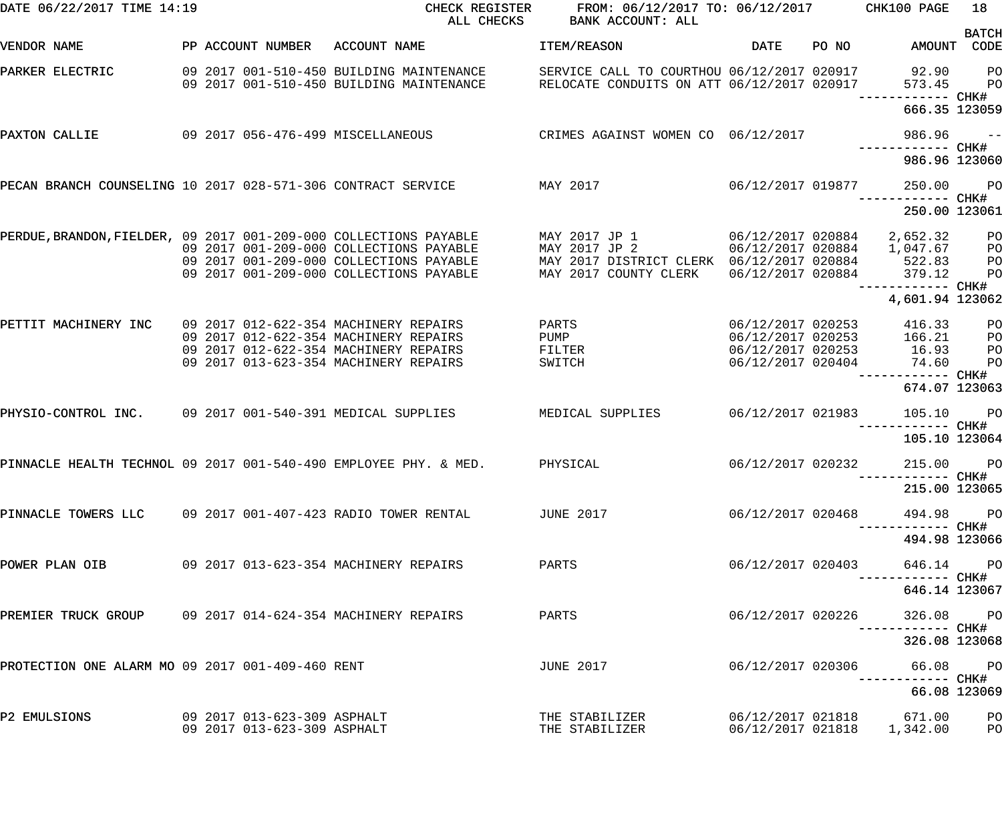| DATE 06/22/2017 TIME 14:19                                        |  |                                                            | CHECK REGISTER<br>ALL CHECKS                                                         | FROM: 06/12/2017 TO: 06/12/2017 CHK100 PAGE<br>BANK ACCOUNT: ALL                         |                   |       |                                                           | 18                               |
|-------------------------------------------------------------------|--|------------------------------------------------------------|--------------------------------------------------------------------------------------|------------------------------------------------------------------------------------------|-------------------|-------|-----------------------------------------------------------|----------------------------------|
| VENDOR NAME                                                       |  | PP ACCOUNT NUMBER                                          | ACCOUNT NAME                                                                         | ITEM/REASON                                                                              | <b>DATE</b>       | PO NO | AMOUNT CODE                                               | <b>BATCH</b>                     |
| PARKER ELECTRIC                                                   |  |                                                            | 09 2017 001-510-450 BUILDING MAINTENANCE<br>09 2017 001-510-450 BUILDING MAINTENANCE | SERVICE CALL TO COURTHOU 06/12/2017 020917<br>RELOCATE CONDUITS ON ATT 06/12/2017 020917 |                   |       | 92.90<br>573.45                                           | P <sub>O</sub><br>$P$ O          |
|                                                                   |  |                                                            |                                                                                      |                                                                                          |                   |       | 666.35 123059                                             |                                  |
| PAXTON CALLIE                                                     |  |                                                            | 09 2017 056-476-499 MISCELLANEOUS                                                    | CRIMES AGAINST WOMEN CO 06/12/2017                                                       |                   |       | 986.96                                                    | $\sim$ $ -$                      |
|                                                                   |  |                                                            |                                                                                      |                                                                                          |                   |       | 986.96 123060                                             |                                  |
| PECAN BRANCH COUNSELING 10 2017 028-571-306 CONTRACT SERVICE      |  |                                                            |                                                                                      | MAY 2017                                                                                 | 06/12/2017 019877 |       | 250.00                                                    | <b>PO</b>                        |
|                                                                   |  |                                                            |                                                                                      |                                                                                          |                   |       | 250.00 123061                                             |                                  |
| PERDUE, BRANDON, FIELDER, 09 2017 001-209-000 COLLECTIONS PAYABLE |  |                                                            |                                                                                      | MAY 2017 JP 1 06/12/2017 020884                                                          |                   |       | 2,652.32                                                  | P <sub>O</sub>                   |
|                                                                   |  |                                                            | 09 2017 001-209-000 COLLECTIONS PAYABLE<br>09 2017 001-209-000 COLLECTIONS PAYABLE   | MAY 2017 JP 2<br>MAY 2017 DISTRICT CLERK 06/12/2017 020884                               | 06/12/2017 020884 |       | 1,047.67<br>522.83                                        | P <sub>O</sub><br>P <sub>O</sub> |
|                                                                   |  |                                                            | 09 2017 001-209-000 COLLECTIONS PAYABLE                                              | MAY 2017 COUNTY CLERK                                                                    | 06/12/2017 020884 |       | 379.12<br>------------ CHK#                               | P <sub>O</sub>                   |
|                                                                   |  |                                                            |                                                                                      |                                                                                          |                   |       | 4,601.94 123062                                           |                                  |
| PETTIT MACHINERY INC                                              |  |                                                            | 09 2017 012-622-354 MACHINERY REPAIRS                                                | PARTS                                                                                    | 06/12/2017 020253 |       | 416.33                                                    | P <sub>O</sub>                   |
|                                                                   |  |                                                            | 09 2017 012-622-354 MACHINERY REPAIRS                                                | PUMP                                                                                     | 06/12/2017 020253 |       | 166.21                                                    | P <sub>O</sub>                   |
|                                                                   |  |                                                            | 09 2017 012-622-354 MACHINERY REPAIRS                                                | FILTER                                                                                   | 06/12/2017 020253 |       | 16.93                                                     | P <sub>O</sub>                   |
|                                                                   |  |                                                            | 09 2017 013-623-354 MACHINERY REPAIRS                                                | SWITCH                                                                                   | 06/12/2017 020404 |       | 74.60                                                     | P <sub>O</sub>                   |
|                                                                   |  |                                                            |                                                                                      |                                                                                          |                   |       | 674.07 123063                                             |                                  |
| PHYSIO-CONTROL INC. 09 2017 001-540-391 MEDICAL SUPPLIES          |  |                                                            |                                                                                      | MEDICAL SUPPLIES                                                                         | 06/12/2017 021983 |       | 105.10                                                    | <b>PO</b>                        |
|                                                                   |  |                                                            |                                                                                      |                                                                                          |                   |       | 105.10 123064                                             |                                  |
| PINNACLE HEALTH TECHNOL 09 2017 001-540-490 EMPLOYEE PHY. & MED.  |  |                                                            |                                                                                      | PHYSICAL                                                                                 | 06/12/2017 020232 |       | 215.00<br>------------ CHK#                               | $P$ O                            |
|                                                                   |  |                                                            |                                                                                      |                                                                                          |                   |       | 215.00 123065                                             |                                  |
| PINNACLE TOWERS LLC 09 2017 001-407-423 RADIO TOWER RENTAL        |  |                                                            |                                                                                      | <b>JUNE 2017</b>                                                                         | 06/12/2017 020468 |       | 494.98 PO<br>---------- CHK#                              |                                  |
|                                                                   |  |                                                            |                                                                                      |                                                                                          |                   |       | 494.98 123066                                             |                                  |
| POWER PLAN OIB 09 2017 013-623-354 MACHINERY REPAIRS              |  |                                                            |                                                                                      | PARTS                                                                                    | 06/12/2017 020403 |       | 646.14 PO<br>———————— CHK# <sup> </sup>                   |                                  |
|                                                                   |  |                                                            |                                                                                      |                                                                                          |                   |       | 646.14 123067                                             |                                  |
| PREMIER TRUCK GROUP 09 2017 014-624-354 MACHINERY REPAIRS         |  |                                                            |                                                                                      | PARTS                                                                                    | 06/12/2017 020226 |       | 326.08 PO                                                 |                                  |
|                                                                   |  |                                                            |                                                                                      |                                                                                          |                   |       | 326.08 123068                                             |                                  |
| PROTECTION ONE ALARM MO 09 2017 001-409-460 RENT                  |  |                                                            |                                                                                      | <b>JUNE 2017</b>                                                                         | 06/12/2017 020306 |       | 66.08 PO<br>--------- CHK#                                |                                  |
|                                                                   |  |                                                            |                                                                                      |                                                                                          |                   |       | 66.08 123069                                              |                                  |
| P2 EMULSIONS                                                      |  | 09 2017 013-623-309 ASPHALT<br>09 2017 013-623-309 ASPHALT |                                                                                      | THE STABILIZER<br>THE STABILIZER                                                         |                   |       | 06/12/2017 021818 671.00 PO<br>06/12/2017 021818 1,342.00 | P <sub>O</sub>                   |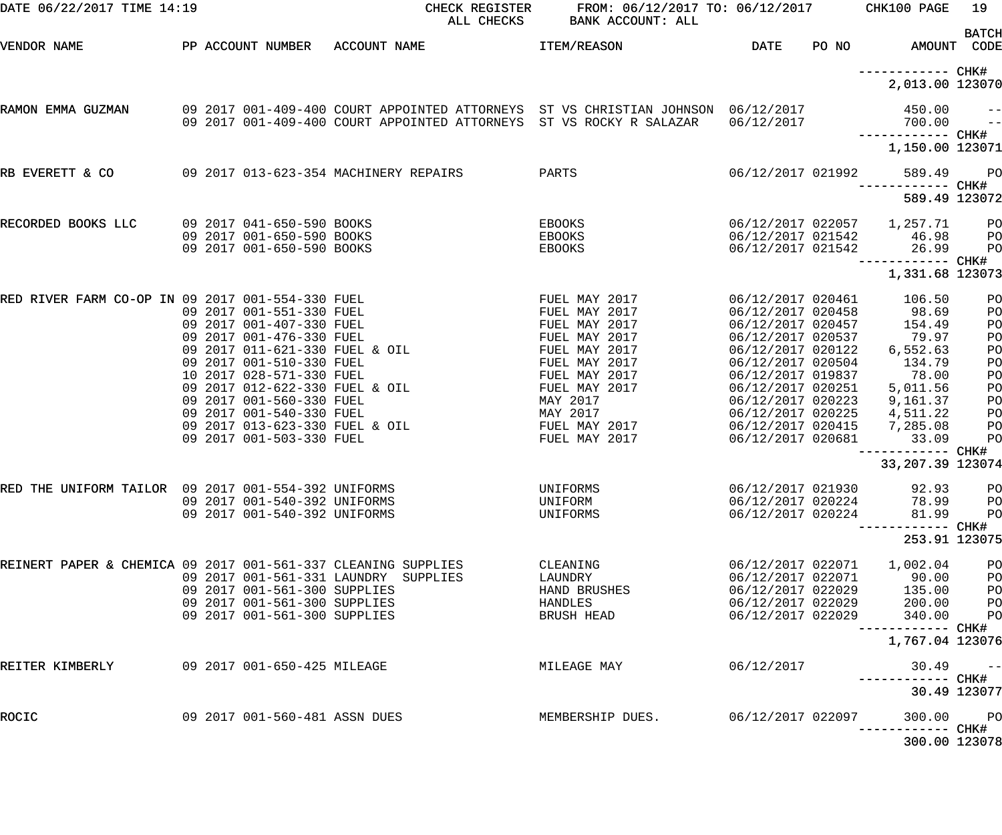| DATE 06/22/2017 TIME 14:19                                                                              |                                                                                                                                                                                                  | CHECK REGISTER<br>ALL CHECKS                                                                                                                                       | FROM: 06/12/2017 TO: 06/12/2017 CHK100 PAGE<br>BANK ACCOUNT: ALL                                                                                                                                           |                                                                                                                                                                                                                                     |       |                                                                                                                                                                                              | 19                                                                         |
|---------------------------------------------------------------------------------------------------------|--------------------------------------------------------------------------------------------------------------------------------------------------------------------------------------------------|--------------------------------------------------------------------------------------------------------------------------------------------------------------------|------------------------------------------------------------------------------------------------------------------------------------------------------------------------------------------------------------|-------------------------------------------------------------------------------------------------------------------------------------------------------------------------------------------------------------------------------------|-------|----------------------------------------------------------------------------------------------------------------------------------------------------------------------------------------------|----------------------------------------------------------------------------|
| VENDOR NAME                                                                                             |                                                                                                                                                                                                  | PP ACCOUNT NUMBER ACCOUNT NAME                                                                                                                                     | <b>ITEM/REASON</b>                                                                                                                                                                                         | DATE                                                                                                                                                                                                                                | PO NO |                                                                                                                                                                                              | <b>BATCH</b><br>AMOUNT CODE                                                |
|                                                                                                         |                                                                                                                                                                                                  |                                                                                                                                                                    |                                                                                                                                                                                                            |                                                                                                                                                                                                                                     |       | 2,013.00 123070                                                                                                                                                                              |                                                                            |
| RAMON EMMA GUZMAN                                                                                       |                                                                                                                                                                                                  | 09 2017 001-409-400 COURT APPOINTED ATTORNEYS ST VS CHRISTIAN JOHNSON 06/12/2017<br>09 2017 001-409-400 COURT APPOINTED ATTORNEYS ST VS ROCKY R SALAZAR 06/12/2017 |                                                                                                                                                                                                            |                                                                                                                                                                                                                                     |       | 450.00<br>700.00                                                                                                                                                                             | $\vert - - \vert$<br>$\sim$ $-$                                            |
|                                                                                                         |                                                                                                                                                                                                  |                                                                                                                                                                    |                                                                                                                                                                                                            |                                                                                                                                                                                                                                     |       | 1,150.00 123071                                                                                                                                                                              |                                                                            |
| RB EVERETT & CO                                                                                         |                                                                                                                                                                                                  | 09 2017 013-623-354 MACHINERY REPAIRS                                                                                                                              | PARTS                                                                                                                                                                                                      | 06/12/2017 021992                                                                                                                                                                                                                   |       | 589.49<br>------------ CHK#                                                                                                                                                                  | PO                                                                         |
|                                                                                                         |                                                                                                                                                                                                  |                                                                                                                                                                    |                                                                                                                                                                                                            |                                                                                                                                                                                                                                     |       | 589.49 123072                                                                                                                                                                                |                                                                            |
| RECORDED BOOKS LLC                                                                                      | 09 2017 041-650-590 BOOKS<br>09 2017 001-650-590 BOOKS<br>09 2017 001-650-590 BOOKS                                                                                                              |                                                                                                                                                                    | EBOOKS<br>EBOOKS<br>EBOOKS                                                                                                                                                                                 | 06/12/2017 021542<br>06/12/2017 021542                                                                                                                                                                                              |       | 06/12/2017 022057 1,257.71<br>46.98<br>26.99                                                                                                                                                 | PO<br>PO<br>PO                                                             |
|                                                                                                         |                                                                                                                                                                                                  |                                                                                                                                                                    |                                                                                                                                                                                                            |                                                                                                                                                                                                                                     |       | 1,331.68 123073                                                                                                                                                                              |                                                                            |
| RED RIVER FARM CO-OP IN 09 2017 001-554-330 FUEL<br>RED THE UNIFORM TAILOR 09 2017 001-554-392 UNIFORMS | 09 2017 001-551-330 FUEL<br>09 2017 001-407-330 FUEL<br>09 2017 001-476-330 FUEL<br>09 2017 001-510-330 FUEL<br>09 2017 001-560-330 FUEL<br>09 2017 001-540-330 FUEL<br>09 2017 001-503-330 FUEL | 09 2017 011-621-330 FUEL & OIL<br>10 2017 028-571-330 FUEL<br>09 2017 012-622-330 FUEL & OIL<br>09 2017 013-623-330 FUEL & OIL                                     | FUEL MAY 2017<br>FUEL MAY 2017<br>FUEL MAY 2017<br>FUEL MAY 2017<br>FUEL MAY 2017<br>FUEL MAY 2017<br>FUEL MAY 2017<br>FUEL MAY 2017<br>MAY 2017<br>MAY 2017<br>FUEL MAY 2017<br>FUEL MAY 2017<br>UNIFORMS | 06/12/2017 020461<br>06/12/2017 020458<br>06/12/2017 020457<br>06/12/2017 020537<br>06/12/2017 020122<br>06/12/2017 020504<br>06/12/2017 019837<br>06/12/2017 020225<br>06/12/2017 020415<br>06/12/2017 020681<br>06/12/2017 021930 |       | 106.50<br>98.69<br>154.49<br>79.97<br>6,552.63<br>134.79<br>78.00<br>06/12/2017 020251 5,011.56<br>06/12/2017 020223 9,161.37<br>4,511.22<br>7,285.08<br>33.09<br>33, 207.39 123074<br>92.93 | PO<br>PO<br>PO<br>PO<br>PO<br>PO<br>PO<br>PO<br>PO<br>PO<br>PO<br>PO<br>PO |
|                                                                                                         | 09 2017 001-540-392 UNIFORMS<br>09 2017 001-540-392 UNIFORMS                                                                                                                                     |                                                                                                                                                                    | UNIFORM<br>UNIFORMS                                                                                                                                                                                        | 06/12/2017 020224<br>06/12/2017 020224                                                                                                                                                                                              |       | 78.99<br>81.99<br>------------ CHK#<br>253.91 123075                                                                                                                                         | P <sub>O</sub><br>PO                                                       |
| REINERT PAPER & CHEMICA 09 2017 001-561-337 CLEANING SUPPLIES                                           | 09 2017 001-561-300 SUPPLIES<br>09 2017 001-561-300 SUPPLIES<br>09 2017 001-561-300 SUPPLIES                                                                                                     | 09 2017 001-561-331 LAUNDRY SUPPLIES                                                                                                                               | CLEANING<br>LAUNDRY<br>HAND BRUSHES<br>HANDLES<br>BRUSH HEAD                                                                                                                                               | 06/12/2017 022071<br>06/12/2017 022071<br>06/12/2017 022029<br>06/12/2017 022029                                                                                                                                                    |       | 1,002.04<br>90.00<br>06/12/2017 022029 135.00<br>200.00<br>340.00<br>----------- CHK#<br>1,767.04 123076                                                                                     | PO<br>P <sub>O</sub><br>PO<br>PO<br>PO                                     |
| REITER KIMBERLY                                                                                         | 09 2017 001-650-425 MILEAGE                                                                                                                                                                      |                                                                                                                                                                    | MILEAGE MAY                                                                                                                                                                                                | 06/12/2017                                                                                                                                                                                                                          |       | 30.49<br>----------- CHK#                                                                                                                                                                    | $- -$<br>30.49 123077                                                      |
| ROCIC                                                                                                   | 09 2017 001-560-481 ASSN DUES                                                                                                                                                                    |                                                                                                                                                                    | MEMBERSHIP DUES.                                                                                                                                                                                           | 06/12/2017 022097                                                                                                                                                                                                                   |       | 300.00                                                                                                                                                                                       | <b>PO</b>                                                                  |
|                                                                                                         |                                                                                                                                                                                                  |                                                                                                                                                                    |                                                                                                                                                                                                            |                                                                                                                                                                                                                                     |       | ----------- CHK#<br>300.00 123078                                                                                                                                                            |                                                                            |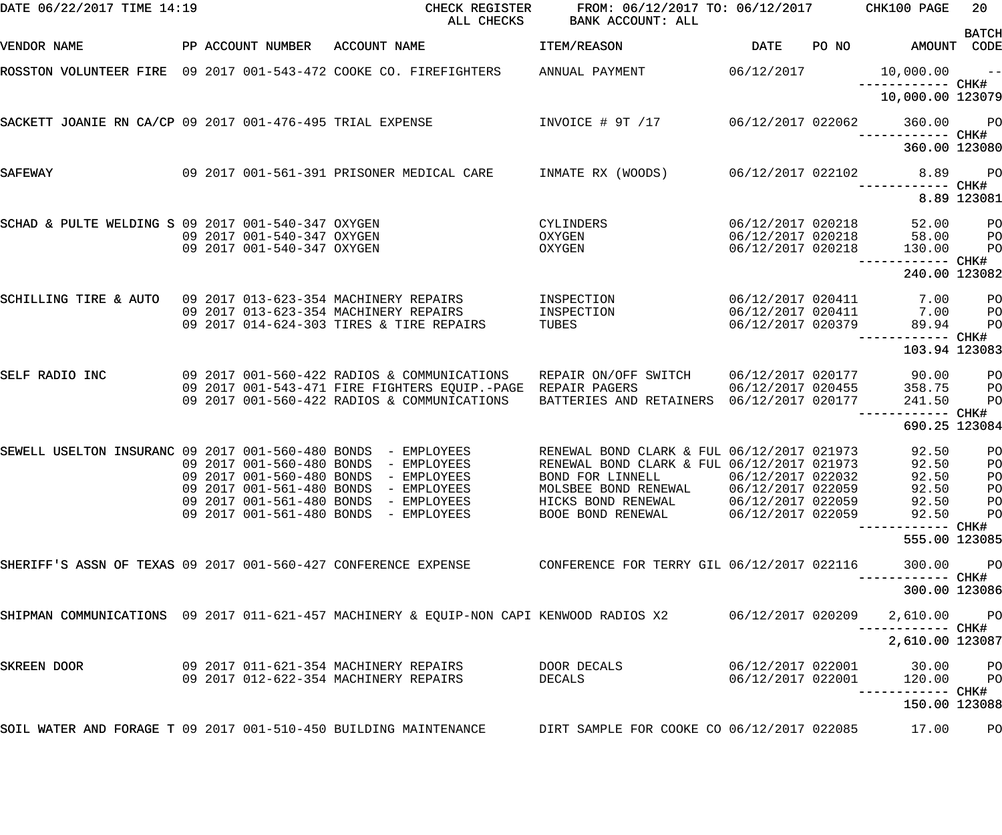| DATE 06/22/2017 TIME 14:19                                        |  |                                                          | CHECK REGISTER<br>ALL CHECKS                                                                               | FROM: 06/12/2017 TO: 06/12/2017 CHK100 PAGE<br>BANK ACCOUNT: ALL |                                        |       |                                    | 20 <sub>2</sub>      |
|-------------------------------------------------------------------|--|----------------------------------------------------------|------------------------------------------------------------------------------------------------------------|------------------------------------------------------------------|----------------------------------------|-------|------------------------------------|----------------------|
| VENDOR NAME                                                       |  | PP ACCOUNT NUMBER                                        | ACCOUNT NAME                                                                                               | ITEM/REASON                                                      | <b>DATE</b>                            | PO NO | AMOUNT CODE                        | <b>BATCH</b>         |
| ROSSTON VOLUNTEER FIRE 09 2017 001-543-472 COOKE CO. FIREFIGHTERS |  |                                                          |                                                                                                            | ANNUAL PAYMENT                                                   | 06/12/2017                             |       | $10,000.00$ --                     |                      |
|                                                                   |  |                                                          |                                                                                                            |                                                                  |                                        |       | 10,000.00 123079                   |                      |
| SACKETT JOANIE RN CA/CP 09 2017 001-476-495 TRIAL EXPENSE         |  |                                                          |                                                                                                            | INVOICE # 9T /17 06/12/2017 022062                               |                                        |       | 360.00 PO                          |                      |
|                                                                   |  |                                                          |                                                                                                            |                                                                  |                                        |       | 360.00 123080                      |                      |
| SAFEWAY                                                           |  |                                                          | 09 2017 001-561-391 PRISONER MEDICAL CARE                                                                  | INMATE RX (WOODS)                                                | 06/12/2017 022102                      |       | 8.89                               | <b>PO</b>            |
|                                                                   |  |                                                          |                                                                                                            |                                                                  |                                        |       |                                    | 8.89 123081          |
| SCHAD & PULTE WELDING S 09 2017 001-540-347 OXYGEN                |  |                                                          |                                                                                                            | CYLINDERS                                                        | 06/12/2017 020218                      |       | 52.00                              | PО                   |
|                                                                   |  | 09 2017 001-540-347 OXYGEN<br>09 2017 001-540-347 OXYGEN |                                                                                                            | OXYGEN<br>OXYGEN                                                 | 06/12/2017 020218<br>06/12/2017 020218 |       | 58.00<br>130.00                    | PO<br>P <sub>O</sub> |
|                                                                   |  |                                                          |                                                                                                            |                                                                  |                                        |       | ------------ CHK#<br>240.00 123082 |                      |
|                                                                   |  |                                                          |                                                                                                            |                                                                  |                                        |       |                                    |                      |
| SCHILLING TIRE & AUTO 09 2017 013-623-354 MACHINERY REPAIRS       |  |                                                          |                                                                                                            | INSPECTION                                                       | 06/12/2017 020411                      |       | 7.00                               | P <sub>O</sub>       |
|                                                                   |  |                                                          | 09 2017 013-623-354 MACHINERY REPAIRS<br>09 2017 014-624-303 TIRES & TIRE REPAIRS                          | INSPECTION<br>TUBES                                              | 06/12/2017 020411<br>06/12/2017 020379 |       | 7.00<br>89.94                      | PО<br>PO             |
|                                                                   |  |                                                          |                                                                                                            |                                                                  |                                        |       | ------------ CHK#                  |                      |
|                                                                   |  |                                                          |                                                                                                            |                                                                  |                                        |       | 103.94 123083                      |                      |
| SELF RADIO INC                                                    |  |                                                          | 09 2017 001-560-422 RADIOS & COMMUNICATIONS                                                                | REPAIR ON/OFF SWITCH                                             | 06/12/2017 020177                      |       | 90.00                              | P <sub>O</sub>       |
|                                                                   |  |                                                          | 09 2017 001-543-471 FIRE FIGHTERS EQUIP.-PAGE REPAIR PAGERS<br>09 2017 001-560-422 RADIOS & COMMUNICATIONS | BATTERIES AND RETAINERS 06/12/2017 020177                        | 06/12/2017 020455                      |       | 358.75<br>241.50                   | PО<br>P <sub>O</sub> |
|                                                                   |  |                                                          |                                                                                                            |                                                                  |                                        |       | ------------ CHK#                  |                      |
|                                                                   |  |                                                          |                                                                                                            |                                                                  |                                        |       | 690.25 123084                      |                      |
| SEWELL USELTON INSURANC 09 2017 001-560-480 BONDS - EMPLOYEES     |  |                                                          |                                                                                                            | RENEWAL BOND CLARK & FUL 06/12/2017 021973                       |                                        |       | 92.50                              | P <sub>O</sub>       |
|                                                                   |  | 09 2017 001-560-480 BONDS                                | - EMPLOYEES                                                                                                | RENEWAL BOND CLARK & FUL 06/12/2017 021973                       |                                        |       | 92.50                              | PO                   |
|                                                                   |  |                                                          | 09 2017 001-560-480 BONDS - EMPLOYEES<br>09 2017 001-561-480 BONDS - EMPLOYEES                             | BOND FOR LINNELL 06/12/2017 022032<br>MOLSBEE BOND RENEWAL       | 06/12/2017 022059                      |       | 92.50<br>92.50                     | $P$ O<br>PО          |
|                                                                   |  |                                                          | 09 2017 001-561-480 BONDS - EMPLOYEES                                                                      | HICKS BOND RENEWAL                                               | 06/12/2017 022059                      |       | 92.50                              | PО                   |
|                                                                   |  |                                                          | 09 2017 001-561-480 BONDS - EMPLOYEES                                                                      | BOOE BOND RENEWAL                                                | 06/12/2017 022059                      |       | 92.50                              | PО                   |
|                                                                   |  |                                                          |                                                                                                            |                                                                  |                                        |       | 555.00 123085                      |                      |
| SHERIFF'S ASSN OF TEXAS 09 2017 001-560-427 CONFERENCE EXPENSE    |  |                                                          |                                                                                                            | CONFERENCE FOR TERRY GIL 06/12/2017 022116                       |                                        |       | 300.00                             | $P$ O                |
|                                                                   |  |                                                          |                                                                                                            |                                                                  |                                        |       | 300.00 123086                      |                      |
|                                                                   |  |                                                          | SHIPMAN COMMUNICATIONS 09 2017 011-621-457 MACHINERY & EQUIP-NON CAPI KENWOOD RADIOS X2 66/12/2017 020209  |                                                                  |                                        |       | 2,610.00                           | <b>PO</b>            |
|                                                                   |  |                                                          |                                                                                                            |                                                                  |                                        |       | 2,610.00 123087                    |                      |
| SKREEN DOOR                                                       |  |                                                          | 09 2017 011-621-354 MACHINERY REPAIRS                                                                      | DOOR DECALS                                                      | 06/12/2017 022001                      |       | 30.00                              | $_{\rm PO}$          |
|                                                                   |  |                                                          | 09 2017 012-622-354 MACHINERY REPAIRS                                                                      | DECALS                                                           | 06/12/2017 022001                      |       | 120.00<br>----------- CHK#         | $_{\rm PO}$          |
|                                                                   |  |                                                          |                                                                                                            |                                                                  |                                        |       | 150.00 123088                      |                      |
| SOIL WATER AND FORAGE T 09 2017 001-510-450 BUILDING MAINTENANCE  |  |                                                          |                                                                                                            | DIRT SAMPLE FOR COOKE CO 06/12/2017 022085                       |                                        |       | 17.00                              | PO                   |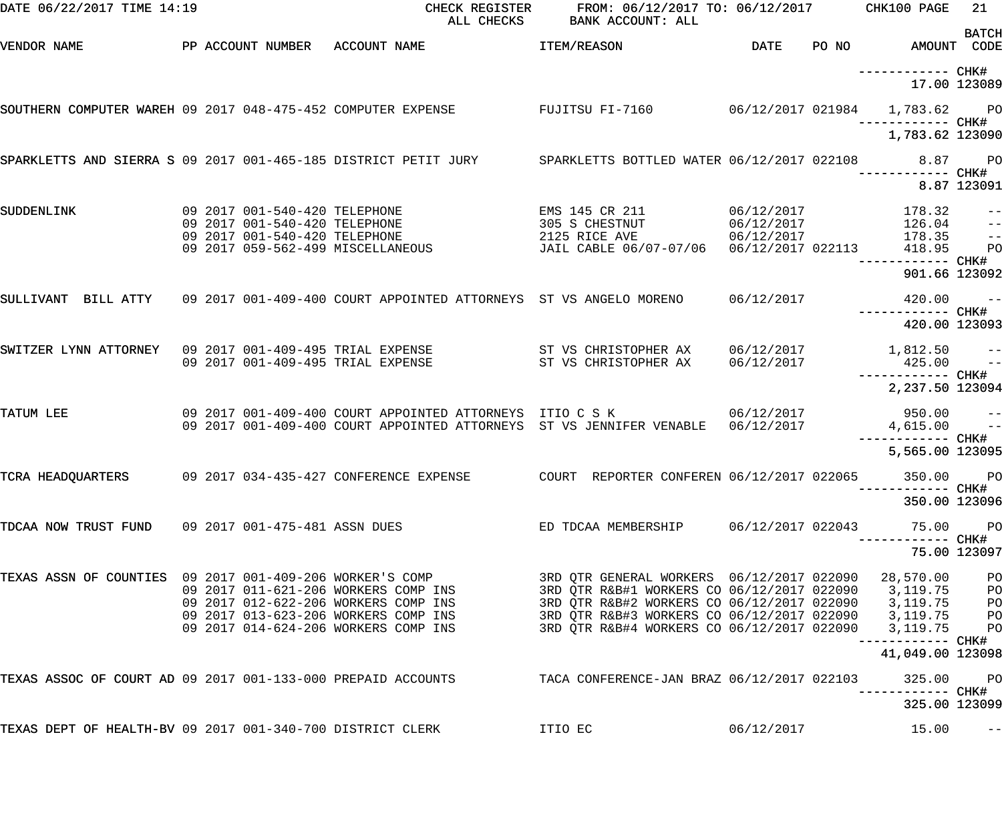| DATE 06/22/2017 TIME 14:19                                   |  |                               |                                                                                                                                                                                                                                     | CHECK REGISTER FROM: 06/12/2017 TO: 06/12/2017 CHK100 PAGE<br>ALL CHECKS BANK ACCOUNT: ALL                 |            |                              | 21                                                                                                                                                                                                                                                                                                                                                                                                                                                                              |
|--------------------------------------------------------------|--|-------------------------------|-------------------------------------------------------------------------------------------------------------------------------------------------------------------------------------------------------------------------------------|------------------------------------------------------------------------------------------------------------|------------|------------------------------|---------------------------------------------------------------------------------------------------------------------------------------------------------------------------------------------------------------------------------------------------------------------------------------------------------------------------------------------------------------------------------------------------------------------------------------------------------------------------------|
| VENDOR NAME                                                  |  |                               | PP ACCOUNT NUMBER ACCOUNT NAME                                                                                                                                                                                                      | <b>ITEM/REASON</b>                                                                                         |            | DATE PO NO AMOUNT CODE       | <b>BATCH</b>                                                                                                                                                                                                                                                                                                                                                                                                                                                                    |
|                                                              |  |                               |                                                                                                                                                                                                                                     |                                                                                                            |            |                              |                                                                                                                                                                                                                                                                                                                                                                                                                                                                                 |
|                                                              |  |                               |                                                                                                                                                                                                                                     |                                                                                                            |            | 17.00 123089                 |                                                                                                                                                                                                                                                                                                                                                                                                                                                                                 |
| SOUTHERN COMPUTER WAREH 09 2017 048-475-452 COMPUTER EXPENSE |  |                               |                                                                                                                                                                                                                                     |                                                                                                            |            |                              |                                                                                                                                                                                                                                                                                                                                                                                                                                                                                 |
|                                                              |  |                               |                                                                                                                                                                                                                                     |                                                                                                            |            | 1,783.62 123090              |                                                                                                                                                                                                                                                                                                                                                                                                                                                                                 |
|                                                              |  |                               | SPARKLETTS AND SIERRA S 09 2017 001-465-185 DISTRICT PETIT JURY SPARKLETTS BOTTLED WATER 06/12/2017 022108 8.87                                                                                                                     |                                                                                                            |            | ------------ CHK#            | <b>PO</b>                                                                                                                                                                                                                                                                                                                                                                                                                                                                       |
|                                                              |  |                               |                                                                                                                                                                                                                                     |                                                                                                            |            |                              | 8.87 123091                                                                                                                                                                                                                                                                                                                                                                                                                                                                     |
| SUDDENLINK                                                   |  |                               |                                                                                                                                                                                                                                     |                                                                                                            |            |                              | $\rightarrow$ $\rightarrow$<br>$\rightarrow$ $\rightarrow$                                                                                                                                                                                                                                                                                                                                                                                                                      |
|                                                              |  | 09 2017 001-540-420 TELEPHONE | 09 2017 001-540-420 TELEPHONE                                 2125 RICE AVE             06/12/2017           178.35<br>09 2017 059-562-499 MISCELLANEOUS               JAIL CABLE 06/07-07/06   06/12/2017 022113       418.95      |                                                                                                            |            |                              | $\frac{1}{2}$<br>PO                                                                                                                                                                                                                                                                                                                                                                                                                                                             |
|                                                              |  |                               |                                                                                                                                                                                                                                     |                                                                                                            |            | 901.66 123092                |                                                                                                                                                                                                                                                                                                                                                                                                                                                                                 |
|                                                              |  |                               | SULLIVANT BILL ATTY 09 2017 001-409-400 COURT APPOINTED ATTORNEYS ST VS ANGELO MORENO 06/12/2017                                                                                                                                    |                                                                                                            |            | 420.00                       | $\overline{\phantom{a}}$ $\overline{\phantom{a}}$ $\overline{\phantom{a}}$ $\overline{\phantom{a}}$ $\overline{\phantom{a}}$ $\overline{\phantom{a}}$ $\overline{\phantom{a}}$ $\overline{\phantom{a}}$ $\overline{\phantom{a}}$ $\overline{\phantom{a}}$ $\overline{\phantom{a}}$ $\overline{\phantom{a}}$ $\overline{\phantom{a}}$ $\overline{\phantom{a}}$ $\overline{\phantom{a}}$ $\overline{\phantom{a}}$ $\overline{\phantom{a}}$ $\overline{\phantom{a}}$ $\overline{\$ |
|                                                              |  |                               |                                                                                                                                                                                                                                     |                                                                                                            |            |                              |                                                                                                                                                                                                                                                                                                                                                                                                                                                                                 |
|                                                              |  |                               |                                                                                                                                                                                                                                     |                                                                                                            |            | 420.00 123093                |                                                                                                                                                                                                                                                                                                                                                                                                                                                                                 |
|                                                              |  |                               |                                                                                                                                                                                                                                     |                                                                                                            |            |                              |                                                                                                                                                                                                                                                                                                                                                                                                                                                                                 |
|                                                              |  |                               |                                                                                                                                                                                                                                     |                                                                                                            |            | 2,237.50 123094              |                                                                                                                                                                                                                                                                                                                                                                                                                                                                                 |
| TATUM LEE                                                    |  |                               |                                                                                                                                                                                                                                     |                                                                                                            |            |                              |                                                                                                                                                                                                                                                                                                                                                                                                                                                                                 |
|                                                              |  |                               | -- 09 2017 001-409-400 COURT APPOINTED ATTORNEYS ITIO C S K 06/12/2017 001-409-400 COURT APPOINTED ATTORNEYS ITIO C S K<br>-- 1,615.00 ------ - 1,615.00 APPOINTED ATTORNEYS ST VS JENNIFER VENABLE 06/12/2017<br>----------------- |                                                                                                            |            |                              |                                                                                                                                                                                                                                                                                                                                                                                                                                                                                 |
|                                                              |  |                               |                                                                                                                                                                                                                                     |                                                                                                            |            | 5,565.00 123095              |                                                                                                                                                                                                                                                                                                                                                                                                                                                                                 |
|                                                              |  |                               | TCRA HEADQUARTERS 600 09 2017 034-435-427 CONFERENCE EXPENSE 6000 COURT REPORTER CONFEREN 06/12/2017 022065                                                                                                                         |                                                                                                            |            | 350.00                       | $P$ O                                                                                                                                                                                                                                                                                                                                                                                                                                                                           |
|                                                              |  |                               |                                                                                                                                                                                                                                     |                                                                                                            |            | 350.00 123096                |                                                                                                                                                                                                                                                                                                                                                                                                                                                                                 |
| TDCAA NOW TRUST FUND 09 2017 001-475-481 ASSN DUES           |  |                               |                                                                                                                                                                                                                                     | ED TDCAA MEMBERSHIP 06/12/2017 022043                                                                      |            | 75.00                        | PO                                                                                                                                                                                                                                                                                                                                                                                                                                                                              |
|                                                              |  |                               |                                                                                                                                                                                                                                     |                                                                                                            |            | ----------- CHK#             | 75.00 123097                                                                                                                                                                                                                                                                                                                                                                                                                                                                    |
| TEXAS ASSN OF COUNTIES 09 2017 001-409-206 WORKER'S COMP     |  |                               |                                                                                                                                                                                                                                     | 3RD QTR GENERAL WORKERS 06/12/2017 022090                                                                  |            | 28,570.00                    | PO                                                                                                                                                                                                                                                                                                                                                                                                                                                                              |
|                                                              |  |                               | 09 2017 012-622-206 WORKERS COMP INS                                                                                                                                                                                                | 3RD QTR R&B#1 WORKERS CO 06/12/2017 022090 3,119.75<br>3RD QTR R&B#2 WORKERS CO 06/12/2017 022090 3,119.75 |            |                              | P <sub>O</sub><br>PO                                                                                                                                                                                                                                                                                                                                                                                                                                                            |
|                                                              |  |                               | 09 2017 013-623-206 WORKERS COMP INS                                                                                                                                                                                                | 3RD QTR R&B#3 WORKERS CO 06/12/2017 022090 3,119.75                                                        |            |                              | PO                                                                                                                                                                                                                                                                                                                                                                                                                                                                              |
|                                                              |  |                               | 09 2017 014-624-206 WORKERS COMP INS                                                                                                                                                                                                | 3RD QTR R&B#4 WORKERS CO 06/12/2017 022090                                                                 |            | 3,119.75<br>----------- CHK# | PO                                                                                                                                                                                                                                                                                                                                                                                                                                                                              |
|                                                              |  |                               |                                                                                                                                                                                                                                     |                                                                                                            |            | 41,049.00 123098             |                                                                                                                                                                                                                                                                                                                                                                                                                                                                                 |
| TEXAS ASSOC OF COURT AD 09 2017 001-133-000 PREPAID ACCOUNTS |  |                               |                                                                                                                                                                                                                                     | TACA CONFERENCE-JAN BRAZ 06/12/2017 022103                                                                 |            | 325.00<br>----------- CHK#   | PO                                                                                                                                                                                                                                                                                                                                                                                                                                                                              |
|                                                              |  |                               |                                                                                                                                                                                                                                     |                                                                                                            |            | 325.00 123099                |                                                                                                                                                                                                                                                                                                                                                                                                                                                                                 |
| TEXAS DEPT OF HEALTH-BV 09 2017 001-340-700 DISTRICT CLERK   |  |                               |                                                                                                                                                                                                                                     | ITIO EC                                                                                                    | 06/12/2017 | 15.00                        | $ -$                                                                                                                                                                                                                                                                                                                                                                                                                                                                            |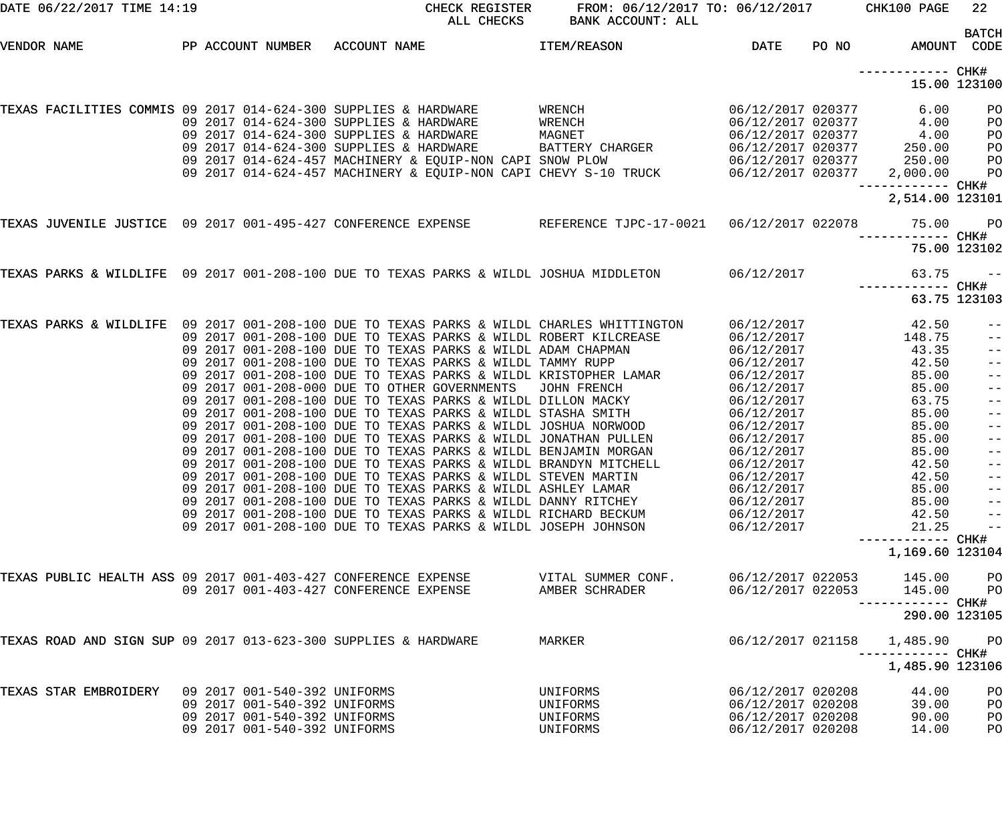|             | DATE 06/22/2017 TIME 14:19 |  |                              | CHECK REGISTER<br>ALL CHECKS                                                                                                | FROM: 06/12/2017 TO: 06/12/2017 CHK100 PAGE<br>BANK ACCOUNT: ALL                                  |                          |       |                                       | 22                     |
|-------------|----------------------------|--|------------------------------|-----------------------------------------------------------------------------------------------------------------------------|---------------------------------------------------------------------------------------------------|--------------------------|-------|---------------------------------------|------------------------|
| VENDOR NAME |                            |  | PP ACCOUNT NUMBER            | ACCOUNT NAME                                                                                                                | ITEM/REASON                                                                                       | <b>DATE</b>              | PO NO | AMOUNT CODE                           | <b>BATCH</b>           |
|             |                            |  |                              |                                                                                                                             |                                                                                                   |                          |       | 15.00 123100                          |                        |
|             |                            |  |                              | TEXAS FACILITIES COMMIS 09 2017 014-624-300 SUPPLIES & HARDWARE                                                             | WRENCH                                                                                            | 06/12/2017 020377        |       | 6.00                                  | PO                     |
|             |                            |  |                              | 09 2017 014-624-300 SUPPLIES & HARDWARE                                                                                     | WRENCH                                                                                            | 06/12/2017 020377        |       | 4.00                                  | PO                     |
|             |                            |  |                              | 09 2017 014-624-300 SUPPLIES & HARDWARE                                                                                     | MAGNET                                                                                            | 06/12/2017 020377        |       | 4.00                                  | PO                     |
|             |                            |  |                              | 09 2017 014-624-300 SUPPLIES & HARDWARE                                                                                     | BATTERY CHARGER                                                                                   | 06/12/2017 020377        |       | 250.00                                | PO                     |
|             |                            |  |                              | 09 2017 014-624-457 MACHINERY & EQUIP-NON CAPI SNOW PLOW                                                                    |                                                                                                   | 06/12/2017 020377        |       | 250.00                                | PO                     |
|             |                            |  |                              | 09 2017 014-624-457 MACHINERY & EQUIP-NON CAPI CHEVY S-10 TRUCK                                                             |                                                                                                   | 06/12/2017 020377        |       | 2,000.00                              | PO                     |
|             |                            |  |                              |                                                                                                                             |                                                                                                   |                          |       | 2,514.00 123101                       |                        |
|             |                            |  |                              | TEXAS JUVENILE JUSTICE 09 2017 001-495-427 CONFERENCE EXPENSE TREFERENCE TJPC-17-0021                                       |                                                                                                   | 06/12/2017 022078        |       | 75.00                                 | P <sub>O</sub><br>CHK# |
|             |                            |  |                              |                                                                                                                             |                                                                                                   |                          |       | 75.00 123102                          |                        |
|             |                            |  |                              |                                                                                                                             | TEXAS PARKS & WILDLIFE 09 2017 001-208-100 DUE TO TEXAS PARKS & WILDL JOSHUA MIDDLETON 06/12/2017 |                          |       | 63.75<br>------------                 | $\qquad -$<br>CHK#     |
|             |                            |  |                              |                                                                                                                             |                                                                                                   |                          |       | 63.75 123103                          |                        |
|             |                            |  |                              | TEXAS PARKS & WILDLIFE 09 2017 001-208-100 DUE TO TEXAS PARKS & WILDL CHARLES WHITTINGTON                                   |                                                                                                   | 06/12/2017               |       | 42.50                                 | $- -$                  |
|             |                            |  |                              | 09 2017 001-208-100 DUE TO TEXAS PARKS & WILDL ROBERT KILCREASE                                                             |                                                                                                   | 06/12/2017               |       | 148.75                                | $\qquad \qquad -$      |
|             |                            |  |                              | 09 2017 001-208-100 DUE TO TEXAS PARKS & WILDL ADAM CHAPMAN                                                                 |                                                                                                   | 06/12/2017               |       | 43.35                                 | $ -$                   |
|             |                            |  |                              | 09 2017 001-208-100 DUE TO TEXAS PARKS & WILDL TAMMY RUPP                                                                   |                                                                                                   | 06/12/2017               |       | 42.50                                 | $ -$                   |
|             |                            |  |                              | 09 2017 001-208-100 DUE TO TEXAS PARKS & WILDL KRISTOPHER LAMAR                                                             |                                                                                                   | 06/12/2017               |       | 85.00                                 | $-$                    |
|             |                            |  |                              | 09 2017 001-208-000 DUE TO OTHER GOVERNMENTS                                                                                | JOHN FRENCH                                                                                       | 06/12/2017               |       | 85.00                                 | $-$                    |
|             |                            |  |                              | 09 2017 001-208-100 DUE TO TEXAS PARKS & WILDL DILLON MACKY                                                                 |                                                                                                   | 06/12/2017               |       | 63.75                                 | $ -$                   |
|             |                            |  |                              | 09 2017 001-208-100 DUE TO TEXAS PARKS & WILDL STASHA SMITH                                                                 |                                                                                                   | 06/12/2017               |       | 85.00                                 | $ -$                   |
|             |                            |  |                              | 09 2017 001-208-100 DUE TO TEXAS PARKS & WILDL JOSHUA NORWOOD                                                               |                                                                                                   | 06/12/2017               |       | 85.00                                 | $-$                    |
|             |                            |  |                              | 09 2017 001-208-100 DUE TO TEXAS PARKS & WILDL JONATHAN PULLEN                                                              |                                                                                                   | 06/12/2017               |       | 85.00                                 | $-$                    |
|             |                            |  |                              | 09 2017 001-208-100 DUE TO TEXAS PARKS & WILDL BENJAMIN MORGAN                                                              |                                                                                                   | 06/12/2017               |       | 85.00                                 | $\frac{-}{1}$          |
|             |                            |  |                              | 09 2017 001-208-100 DUE TO TEXAS PARKS & WILDL BRANDYN MITCHELL                                                             |                                                                                                   | 06/12/2017               |       | 42.50                                 |                        |
|             |                            |  |                              | 09 2017 001-208-100 DUE TO TEXAS PARKS & WILDL STEVEN MARTIN<br>09 2017 001-208-100 DUE TO TEXAS PARKS & WILDL ASHLEY LAMAR |                                                                                                   | 06/12/2017<br>06/12/2017 |       | 42.50                                 | $- -$                  |
|             |                            |  |                              | 09 2017 001-208-100 DUE TO TEXAS PARKS & WILDL DANNY RITCHEY                                                                |                                                                                                   | 06/12/2017               |       | 85.00<br>85.00                        | $- -$<br>$- -$         |
|             |                            |  |                              | 09 2017 001-208-100 DUE TO TEXAS PARKS & WILDL RICHARD BECKUM                                                               |                                                                                                   | 06/12/2017               |       | 42.50                                 | $- -$                  |
|             |                            |  |                              | 09 2017 001-208-100 DUE TO TEXAS PARKS & WILDL JOSEPH JOHNSON                                                               |                                                                                                   | 06/12/2017               |       | 21.25                                 | $- -$                  |
|             |                            |  |                              |                                                                                                                             |                                                                                                   |                          |       | --------                              | CHK#                   |
|             |                            |  |                              |                                                                                                                             |                                                                                                   |                          |       | 1,169.60 123104                       |                        |
|             |                            |  |                              | TEXAS PUBLIC HEALTH ASS 09 2017 001-403-427 CONFERENCE EXPENSE                                                              | VITAL SUMMER CONF.                                                                                | 06/12/2017 022053        |       | 145.00                                | PO                     |
|             |                            |  |                              | 09 2017 001-403-427 CONFERENCE EXPENSE                                                                                      | AMBER SCHRADER                                                                                    | 06/12/2017 022053        |       | 145.00<br>$\qquad \qquad - - - - - -$ | PO<br>CHK#             |
|             |                            |  |                              |                                                                                                                             |                                                                                                   |                          |       | 290.00 123105                         |                        |
|             |                            |  |                              | TEXAS ROAD AND SIGN SUP 09 2017 013-623-300 SUPPLIES & HARDWARE                                                             | MARKER                                                                                            | 06/12/2017 021158        |       | 1,485.90<br>---------                 | PO<br>CHK#             |
|             |                            |  |                              |                                                                                                                             |                                                                                                   |                          |       | 1,485.90 123106                       |                        |
|             | TEXAS STAR EMBROIDERY      |  | 09 2017 001-540-392 UNIFORMS |                                                                                                                             | UNIFORMS                                                                                          | 06/12/2017 020208        |       | 44.00                                 | PO                     |
|             |                            |  | 09 2017 001-540-392 UNIFORMS |                                                                                                                             | UNIFORMS                                                                                          | 06/12/2017 020208        |       | 39.00                                 | PO                     |
|             |                            |  | 09 2017 001-540-392 UNIFORMS |                                                                                                                             | UNIFORMS                                                                                          | 06/12/2017 020208        |       | 90.00                                 | PO                     |
|             |                            |  | 09 2017 001-540-392 UNIFORMS |                                                                                                                             | UNIFORMS                                                                                          | 06/12/2017 020208        |       | 14.00                                 | PO                     |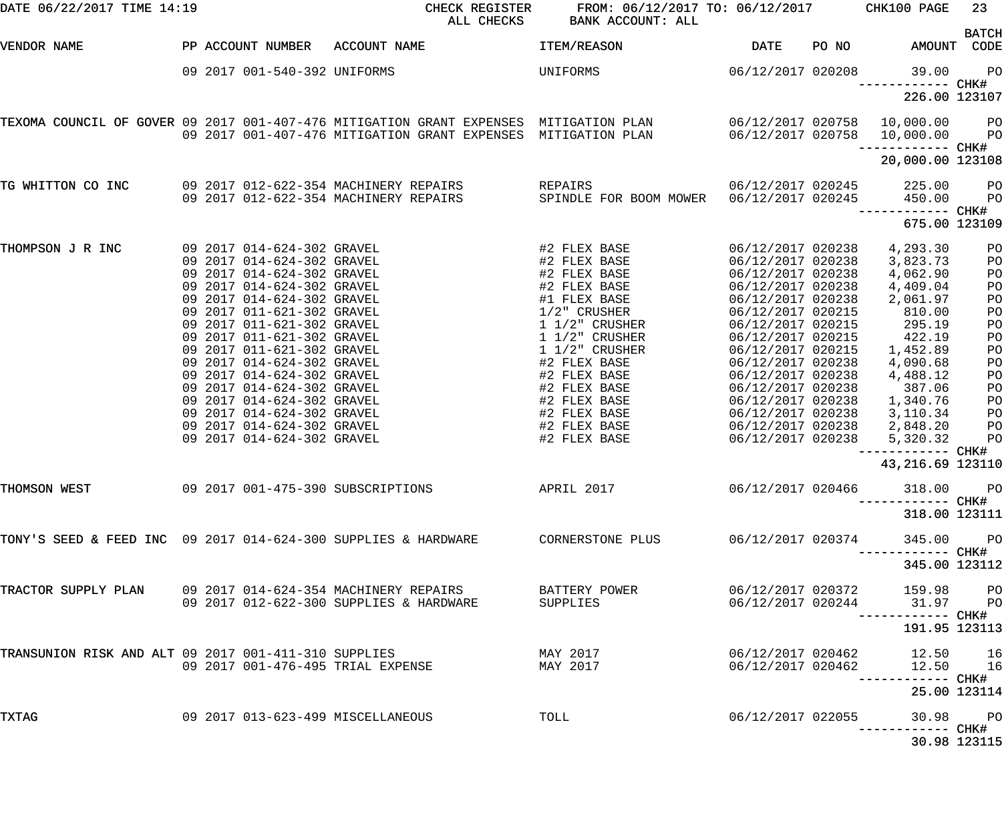| DATE 06/22/2017 TIME 14:19                                     |                                                                                                                                                                                                                                                                                                                                                                                                                                                                                              | CHECK REGISTER<br>ALL CHECKS                                                                                                                           | FROM: 06/12/2017 TO: 06/12/2017<br>BANK ACCOUNT: ALL                                                                                                                                                                                                                           |                                                                                                                                                                                                                                                                                                                                              |       | CHK100 PAGE                                                                                                                                                                                                                    | 23                                                                                           |
|----------------------------------------------------------------|----------------------------------------------------------------------------------------------------------------------------------------------------------------------------------------------------------------------------------------------------------------------------------------------------------------------------------------------------------------------------------------------------------------------------------------------------------------------------------------------|--------------------------------------------------------------------------------------------------------------------------------------------------------|--------------------------------------------------------------------------------------------------------------------------------------------------------------------------------------------------------------------------------------------------------------------------------|----------------------------------------------------------------------------------------------------------------------------------------------------------------------------------------------------------------------------------------------------------------------------------------------------------------------------------------------|-------|--------------------------------------------------------------------------------------------------------------------------------------------------------------------------------------------------------------------------------|----------------------------------------------------------------------------------------------|
| <b>VENDOR NAME</b>                                             | PP ACCOUNT NUMBER                                                                                                                                                                                                                                                                                                                                                                                                                                                                            | ACCOUNT NAME                                                                                                                                           | <b>ITEM/REASON</b>                                                                                                                                                                                                                                                             | DATE                                                                                                                                                                                                                                                                                                                                         | PO NO | AMOUNT                                                                                                                                                                                                                         | <b>BATCH</b><br>CODE                                                                         |
|                                                                | 09 2017 001-540-392 UNIFORMS                                                                                                                                                                                                                                                                                                                                                                                                                                                                 |                                                                                                                                                        | UNIFORMS                                                                                                                                                                                                                                                                       | 06/12/2017 020208                                                                                                                                                                                                                                                                                                                            |       | 39.00<br>------------                                                                                                                                                                                                          | P <sub>O</sub><br>CHK#                                                                       |
|                                                                |                                                                                                                                                                                                                                                                                                                                                                                                                                                                                              |                                                                                                                                                        |                                                                                                                                                                                                                                                                                |                                                                                                                                                                                                                                                                                                                                              |       | 226.00 123107                                                                                                                                                                                                                  |                                                                                              |
|                                                                |                                                                                                                                                                                                                                                                                                                                                                                                                                                                                              | TEXOMA COUNCIL OF GOVER 09 2017 001-407-476 MITIGATION GRANT EXPENSES MITIGATION PLAN<br>09 2017 001-407-476 MITIGATION GRANT EXPENSES MITIGATION PLAN |                                                                                                                                                                                                                                                                                | 06/12/2017 020758                                                                                                                                                                                                                                                                                                                            |       | 06/12/2017 020758 10,000.00<br>10,000.00<br>------------ CHK#                                                                                                                                                                  | $P$ O<br>P <sub>O</sub>                                                                      |
|                                                                |                                                                                                                                                                                                                                                                                                                                                                                                                                                                                              |                                                                                                                                                        |                                                                                                                                                                                                                                                                                |                                                                                                                                                                                                                                                                                                                                              |       | 20,000.00 123108                                                                                                                                                                                                               |                                                                                              |
| TG WHITTON CO INC                                              |                                                                                                                                                                                                                                                                                                                                                                                                                                                                                              | 09 2017 012-622-354 MACHINERY REPAIRS<br>09 2017 012-622-354 MACHINERY REPAIRS                                                                         | REPAIRS<br>SPINDLE FOR BOOM MOWER  06/12/2017 020245                                                                                                                                                                                                                           | 06/12/2017 020245                                                                                                                                                                                                                                                                                                                            |       | 225.00<br>450.00<br>------------ CHK#                                                                                                                                                                                          | PO<br>PO                                                                                     |
|                                                                |                                                                                                                                                                                                                                                                                                                                                                                                                                                                                              |                                                                                                                                                        |                                                                                                                                                                                                                                                                                |                                                                                                                                                                                                                                                                                                                                              |       | 675.00 123109                                                                                                                                                                                                                  |                                                                                              |
| THOMPSON J R INC<br>THOMSON WEST                               | 09 2017 014-624-302 GRAVEL<br>09 2017 014-624-302 GRAVEL<br>09 2017 014-624-302 GRAVEL<br>09 2017 014-624-302 GRAVEL<br>09 2017 014-624-302 GRAVEL<br>09 2017 011-621-302 GRAVEL<br>09 2017 011-621-302 GRAVEL<br>09 2017 011-621-302 GRAVEL<br>09 2017 011-621-302 GRAVEL<br>09 2017 014-624-302 GRAVEL<br>09 2017 014-624-302 GRAVEL<br>09 2017 014-624-302 GRAVEL<br>09 2017 014-624-302 GRAVEL<br>09 2017 014-624-302 GRAVEL<br>09 2017 014-624-302 GRAVEL<br>09 2017 014-624-302 GRAVEL |                                                                                                                                                        | #2 FLEX BASE<br>#2 FLEX BASE<br>#2 FLEX BASE<br>#2 FLEX BASE<br>#1 FLEX BASE<br>1/2" CRUSHER<br>$1\ 1/2$ " CRUSHER<br>$1\ 1/2$ " CRUSHER<br>$1\ 1/2$ " CRUSHER<br>#2 FLEX BASE<br>#2 FLEX BASE<br>#2 FLEX BASE<br>#2 FLEX BASE<br>#2 FLEX BASE<br>#2 FLEX BASE<br>#2 FLEX BASE | 06/12/2017 020238<br>06/12/2017 020238<br>06/12/2017 020238<br>06/12/2017 020238<br>06/12/2017 020238<br>06/12/2017 020215<br>06/12/2017 020215<br>06/12/2017 020215<br>06/12/2017 020215<br>06/12/2017 020238<br>06/12/2017 020238<br>06/12/2017 020238<br>06/12/2017 020238<br>06/12/2017 020238<br>06/12/2017 020238<br>06/12/2017 020238 |       | 4,293.30<br>3,823.73<br>4,062.90<br>4,409.04<br>2,061.97<br>810.00<br>295.19<br>422.19<br>1,452.89<br>4,090.68<br>4,488.12<br>387.06<br>1,340.76<br>3,110.34<br>2,848.20<br>5,320.32<br>------------ CHK#<br>43, 216.69 123110 | PO<br>PO<br>PO<br>PO<br>PO<br>PO<br>PO<br>PO<br>PO<br>PO<br>PO<br>PO<br>PO<br>PO<br>PO<br>PO |
|                                                                |                                                                                                                                                                                                                                                                                                                                                                                                                                                                                              | 09 2017 001-475-390 SUBSCRIPTIONS                                                                                                                      | APRIL 2017                                                                                                                                                                                                                                                                     | 06/12/2017 020466                                                                                                                                                                                                                                                                                                                            |       | 318.00 PO<br>318.00 123111                                                                                                                                                                                                     |                                                                                              |
| TONY'S SEED & FEED INC 09 2017 014-624-300 SUPPLIES & HARDWARE |                                                                                                                                                                                                                                                                                                                                                                                                                                                                                              |                                                                                                                                                        | CORNERSTONE PLUS                                                                                                                                                                                                                                                               | 06/12/2017 020374                                                                                                                                                                                                                                                                                                                            |       | 345.00 PO                                                                                                                                                                                                                      |                                                                                              |
|                                                                |                                                                                                                                                                                                                                                                                                                                                                                                                                                                                              |                                                                                                                                                        |                                                                                                                                                                                                                                                                                |                                                                                                                                                                                                                                                                                                                                              |       | 345.00 123112                                                                                                                                                                                                                  |                                                                                              |
| TRACTOR SUPPLY PLAN                                            |                                                                                                                                                                                                                                                                                                                                                                                                                                                                                              | 09 2017 012-622-300 SUPPLIES & HARDWARE                                                                                                                | BATTERY POWER<br>SUPPLIES                                                                                                                                                                                                                                                      | 06/12/2017 020372<br>06/12/2017 020244                                                                                                                                                                                                                                                                                                       |       | 159.98 PO<br>31.97 PO                                                                                                                                                                                                          |                                                                                              |
|                                                                |                                                                                                                                                                                                                                                                                                                                                                                                                                                                                              |                                                                                                                                                        |                                                                                                                                                                                                                                                                                |                                                                                                                                                                                                                                                                                                                                              |       | 191.95 123113                                                                                                                                                                                                                  |                                                                                              |
|                                                                |                                                                                                                                                                                                                                                                                                                                                                                                                                                                                              | TRANSUNION RISK AND ALT 09 2017 001-411-310 SUPPLIES<br>09 2017 001-476-495 TRIAL EXPENSE                                                              | MAY 2017<br>MAY 2017                                                                                                                                                                                                                                                           | 06/12/2017 020462<br>06/12/2017 020462                                                                                                                                                                                                                                                                                                       |       | 12.50 16<br>12.50 16                                                                                                                                                                                                           |                                                                                              |
|                                                                |                                                                                                                                                                                                                                                                                                                                                                                                                                                                                              |                                                                                                                                                        |                                                                                                                                                                                                                                                                                |                                                                                                                                                                                                                                                                                                                                              |       | 25.00 123114                                                                                                                                                                                                                   |                                                                                              |
| TXTAG                                                          |                                                                                                                                                                                                                                                                                                                                                                                                                                                                                              | 09 2017 013-623-499 MISCELLANEOUS                                                                                                                      | TOLL                                                                                                                                                                                                                                                                           | 06/12/2017 022055                                                                                                                                                                                                                                                                                                                            |       |                                                                                                                                                                                                                                | 30.98 PO                                                                                     |
|                                                                |                                                                                                                                                                                                                                                                                                                                                                                                                                                                                              |                                                                                                                                                        |                                                                                                                                                                                                                                                                                |                                                                                                                                                                                                                                                                                                                                              |       |                                                                                                                                                                                                                                | 30.98 123115                                                                                 |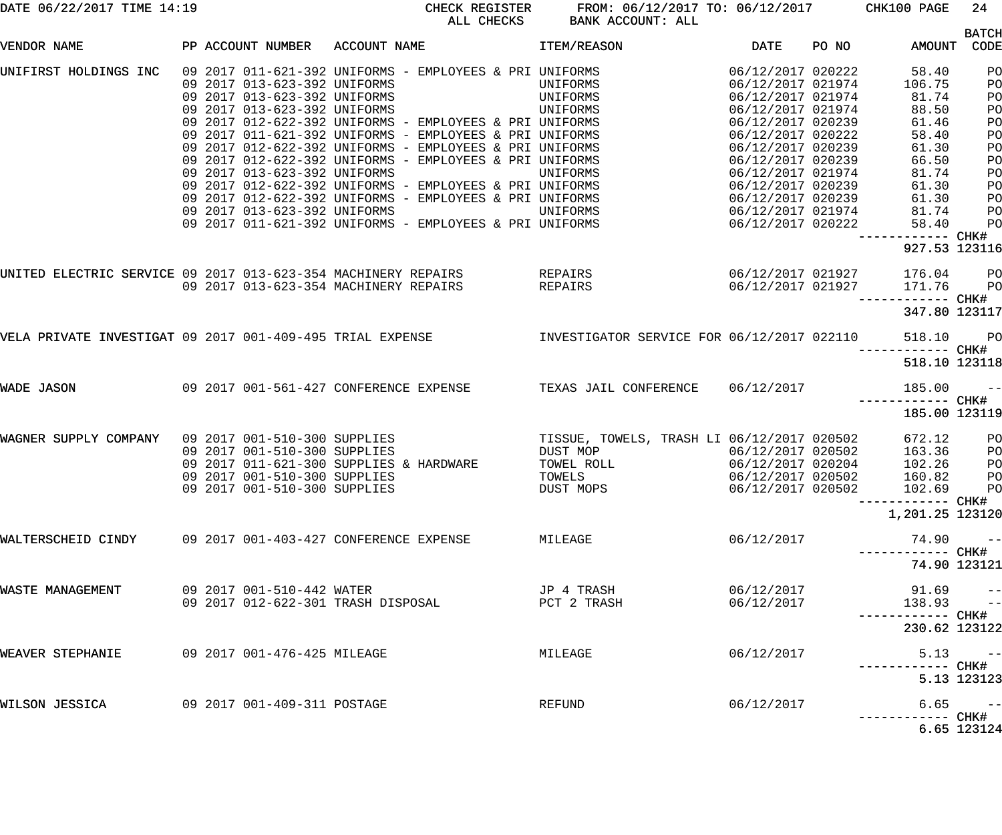| DATE 06/22/2017 TIME 14:19 |                                                              | CHECK REGISTER<br>ALL CHECKS                                                                                                             | FROM: 06/12/2017 TO: 06/12/2017 CHK100 PAGE<br>BANK ACCOUNT: ALL |                                                             |       |                                              | 24                          |
|----------------------------|--------------------------------------------------------------|------------------------------------------------------------------------------------------------------------------------------------------|------------------------------------------------------------------|-------------------------------------------------------------|-------|----------------------------------------------|-----------------------------|
| VENDOR NAME                |                                                              | PP ACCOUNT NUMBER ACCOUNT NAME                                                                                                           | ITEM/REASON                                                      | DATE                                                        | PO NO | AMOUNT                                       | <b>BATCH</b><br>CODE        |
| UNIFIRST HOLDINGS INC      | 09 2017 013-623-392 UNIFORMS<br>09 2017 013-623-392 UNIFORMS | 09 2017 011-621-392 UNIFORMS - EMPLOYEES & PRI UNIFORMS                                                                                  | UNIFORMS<br>UNIFORMS                                             | 06/12/2017 020222<br>06/12/2017 021974<br>06/12/2017 021974 |       | 58.40<br>106.75<br>81.74                     | PO<br>PO<br>PO              |
|                            | 09 2017 013-623-392 UNIFORMS                                 | 09 2017 012-622-392 UNIFORMS - EMPLOYEES & PRI UNIFORMS<br>09 2017 011-621-392 UNIFORMS - EMPLOYEES & PRI UNIFORMS                       | UNIFORMS                                                         | 06/12/2017 021974<br>06/12/2017 020239                      |       | 88.50<br>61.46                               | PO<br>PO                    |
|                            |                                                              | 09 2017 012-622-392 UNIFORMS - EMPLOYEES & PRI UNIFORMS<br>09 2017 012-622-392 UNIFORMS - EMPLOYEES & PRI UNIFORMS                       |                                                                  | 06/12/2017 020222<br>06/12/2017 020239<br>06/12/2017 020239 |       | 58.40<br>61.30<br>66.50                      | PO<br>PO<br>PO              |
|                            | 09 2017 013-623-392 UNIFORMS                                 | 09 2017 012-622-392 UNIFORMS - EMPLOYEES & PRI UNIFORMS<br>09 2017 012-622-392 UNIFORMS - EMPLOYEES & PRI UNIFORMS                       | UNIFORMS                                                         | 06/12/2017 021974<br>06/12/2017 020239<br>06/12/2017 020239 |       | 81.74<br>61.30<br>61.30                      | PO<br>PO<br>PO              |
|                            | 09 2017 013-623-392 UNIFORMS                                 | 09 2017 011-621-392 UNIFORMS - EMPLOYEES & PRI UNIFORMS                                                                                  | UNIFORMS<br>06/12/2017 020222                                    | 06/12/2017 021974                                           |       | 81.74<br>58.40<br>------------ CHK#          | PO<br>PO                    |
|                            |                                                              |                                                                                                                                          |                                                                  |                                                             |       | 927.53 123116                                |                             |
|                            |                                                              | UNITED ELECTRIC SERVICE 09 2017 013-623-354 MACHINERY REPAIRS REPAIRS REPAIRS 06/12/2017 021927<br>09 2017 013-623-354 MACHINERY REPAIRS | 06/12/2017 021927<br>REPAIRS                                     |                                                             |       | 176.04<br>171.76<br>------------ CHK#        | <b>PO</b><br>P <sub>O</sub> |
|                            |                                                              |                                                                                                                                          |                                                                  |                                                             |       | 347.80 123117                                |                             |
|                            |                                                              | VELA PRIVATE INVESTIGAT 09 2017 001-409-495 TRIAL EXPENSE NA SUNVESTIGATOR SERVICE FOR 06/12/2017 022110                                 |                                                                  |                                                             |       | 518.10<br>------------ CHK#<br>518.10 123118 | <b>PO</b>                   |
| WADE JASON                 |                                                              | 09 2017 001-561-427 CONFERENCE EXPENSE TEXAS JAIL CONFERENCE                                                                             |                                                                  | 06/12/2017                                                  |       | 185.00                                       | $ -$                        |
|                            |                                                              |                                                                                                                                          |                                                                  |                                                             |       | ------------ CHK#<br>185.00 123119           |                             |
|                            | 09 2017 001-510-300 SUPPLIES<br>09 2017 001-510-300 SUPPLIES | WAGNER SUPPLY COMPANY 09 2017 001-510-300 SUPPLIES TISSUE, TOWELS, TRASH LI 06/12/2017 020502<br>09 2017 011-621-300 SUPPLIES & HARDWARE | TOWEL ROLL 06/12/2017 020204<br>TOWELS                           | 06/12/2017 020502                                           |       | 672.12<br>163.36<br>102.26<br>160.82 PO      | PO<br>PO<br>PO              |
|                            | 09 2017 001-510-300 SUPPLIES                                 |                                                                                                                                          | DUST MOPS                                                        | 06/12/2017 020502                                           |       | 102.69 PO<br>1,201.25 123120                 |                             |
| WALTERSCHEID CINDY         |                                                              | 09 2017 001-403-427 CONFERENCE EXPENSE                                                                                                   | MILEAGE                                                          | 06/12/2017                                                  |       | 74.90                                        | $ -$                        |
|                            |                                                              |                                                                                                                                          |                                                                  |                                                             |       |                                              | 74.90 123121                |
| WASTE MANAGEMENT           | 09 2017 001-510-442 WATER                                    | 09 2017 012-622-301 TRASH DISPOSAL                                                                                                       | JP 4 TRASH<br>PCT 2 TRASH                                        | 06/12/2017<br>06/12/2017                                    |       | $91.69 - -$<br>$138.93 - -$                  |                             |
| WEAVER STEPHANIE           | 09 2017 001-476-425 MILEAGE                                  |                                                                                                                                          | MILEAGE                                                          | 06/12/2017                                                  |       | 230.62 123122<br>5.13                        | $\sim$ $-$                  |
|                            |                                                              |                                                                                                                                          |                                                                  |                                                             |       | ----------- CHK#                             | 5.13 123123                 |
| WILSON JESSICA             | 09 2017 001-409-311 POSTAGE                                  |                                                                                                                                          | REFUND                                                           | 06/12/2017                                                  |       |                                              | $6.65 - -$                  |
|                            |                                                              |                                                                                                                                          |                                                                  |                                                             |       |                                              | 6.65 123124                 |